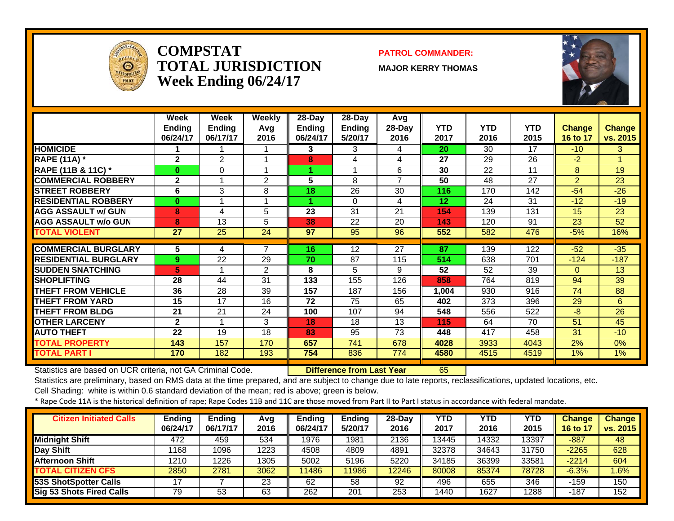

#### **COMPSTATTOTAL JURISDICTIONWeek Ending 06/24/17**

#### **PATROL COMMANDER:**

**MAJOR KERRY THOMAS**



|                               | Week<br><b>Ending</b><br>06/24/17 | Week<br><b>Ending</b><br>06/17/17 | Weekly<br>Avg<br>2016 | $28$ -Day<br><b>Ending</b><br>06/24/17 | 28-Day<br><b>Ending</b><br>5/20/17 | Avg<br>28-Day<br>2016 | <b>YTD</b><br>2017 | <b>YTD</b><br>2016 | <b>YTD</b><br>2015 | Change<br>16 to 17 | <b>Change</b><br>vs. 2015 |
|-------------------------------|-----------------------------------|-----------------------------------|-----------------------|----------------------------------------|------------------------------------|-----------------------|--------------------|--------------------|--------------------|--------------------|---------------------------|
| <b>HOMICIDE</b>               |                                   |                                   |                       | 3                                      | 3                                  | 4                     | 20                 | 30                 | 17                 | $-10$              | 3                         |
| <b>RAPE (11A) *</b>           | $\overline{2}$                    | $\overline{2}$                    |                       | 8                                      | 4                                  | 4                     | 27                 | 29                 | 26                 | $-2$               | 1.                        |
| <b>RAPE (11B &amp; 11C)</b> * | 0                                 | 0                                 |                       |                                        | $\overline{\mathbf{A}}$            | 6                     | 30                 | 22                 | 11                 | 8                  | 19                        |
| <b>COMMERCIAL ROBBERY</b>     | $\overline{2}$                    | 1                                 | $\overline{2}$        | $5\phantom{1}$                         | 8                                  | $\overline{ }$        | 50                 | 48                 | 27                 | $\overline{2}$     | 23                        |
| <b>STREET ROBBERY</b>         | 6                                 | 3                                 | 8                     | 18                                     | 26                                 | 30                    | 116                | 170                | 142                | $-54$              | $-26$                     |
| <b>RESIDENTIAL ROBBERY</b>    | 0                                 | 1                                 |                       |                                        | $\Omega$                           | 4                     | 12                 | 24                 | 31                 | $-12$              | $-19$                     |
| <b>AGG ASSAULT w/ GUN</b>     | 8                                 | 4                                 | 5                     | 23                                     | 31                                 | 21                    | 154                | 139                | 131                | 15                 | 23                        |
| <b>AGG ASSAULT w/o GUN</b>    | 8                                 | 13                                | 5                     | 38                                     | 22                                 | 20                    | 143                | 120                | 91                 | 23                 | 52                        |
| <b>TOTAL VIOLENT</b>          | 27                                | 25                                | 24                    | 97                                     | 95                                 | 96                    | 552                | 582                | 476                | $-5%$              | 16%                       |
|                               |                                   |                                   |                       |                                        |                                    |                       |                    |                    |                    |                    |                           |
| <b>COMMERCIAL BURGLARY</b>    | 5                                 | 4                                 | 7                     | 16                                     | 12                                 | 27                    | 87                 | 139                | 122                | $-52$              | $-35$                     |
| <b>RESIDENTIAL BURGLARY</b>   | 9.                                | 22                                | 29                    | 70                                     | 87                                 | 115                   | 514                | 638                | 701                | $-124$             | $-187$                    |
| <b>ISUDDEN SNATCHING</b>      | 5                                 | 1                                 | 2                     | 8                                      | 5                                  | 9                     | 52                 | 52                 | 39                 | $\Omega$           | 13                        |
| <b>SHOPLIFTING</b>            | 28                                | 44                                | 31                    | 133                                    | 155                                | 126                   | 858                | 764                | 819                | 94                 | 39                        |
| <b>THEFT FROM VEHICLE</b>     | 36                                | 28                                | 39                    | 157                                    | 187                                | 156                   | 1,004              | 930                | 916                | 74                 | 88                        |
| <b>THEFT FROM YARD</b>        | 15                                | 17                                | 16                    | 72                                     | 75                                 | 65                    | 402                | 373                | 396                | 29                 | 6                         |
| <b>THEFT FROM BLDG</b>        | 21                                | 21                                | 24                    | 100                                    | 107                                | 94                    | 548                | 556                | 522                | $-8$               | $\overline{26}$           |
| <b>OTHER LARCENY</b>          | $\mathbf{2}$                      | 1                                 | 3                     | 18                                     | 18                                 | 13                    | 115                | 64                 | 70                 | 51                 | 45                        |
| <b>AUTO THEFT</b>             | 22                                | 19                                | 18                    | 83                                     | 95                                 | 73                    | 448                | 417                | 458                | 31                 | $-10$                     |
| <b>TOTAL PROPERTY</b>         | 143                               | 157                               | 170                   | 657                                    | 741                                | 678                   | 4028               | 3933               | 4043               | 2%                 | 0%                        |
| <b>TOTAL PART I</b>           | 170                               | 182                               | 193                   | 754                                    | 836                                | 774                   | 4580               | 4515               | 4519               | 1%                 | 1%                        |

Statistics are based on UCR criteria, not GA Criminal Code. **Difference from Last Year** 65

Statistics are preliminary, based on RMS data at the time prepared, and are subject to change due to late reports, reclassifications, updated locations, etc.

Cell Shading: white is within 0.6 standard deviation of the mean; red is above; green is below.

| <b>Citizen Initiated Calls</b> | <b>Ending</b><br>06/24/17 | <b>Endina</b><br>06/17/17 | Avq<br>2016 | <b>Ending</b><br>06/24/17 | <b>Ending</b><br>5/20/17 | $28-Dav$<br>2016 | <b>YTD</b><br>2017 | <b>YTD</b><br>2016 | YTD<br>2015 | <b>Change</b><br>$16$ to | <b>Change</b><br>vs. 2015 |
|--------------------------------|---------------------------|---------------------------|-------------|---------------------------|--------------------------|------------------|--------------------|--------------------|-------------|--------------------------|---------------------------|
| <b>Midnight Shift</b>          | 472                       | 459                       | 534         | 1976                      | 1981                     | 2136             | 13445              | 14332              | 13397       | $-887$                   | 48                        |
| Day Shift                      | 1168                      | 1096                      | 1223        | 4508                      | 4809                     | 4891             | 32378              | 34643              | 31750       | $-2265$                  | 628                       |
| <b>Afternoon Shift</b>         | 1210                      | 1226                      | 1305        | 5002                      | 5196                     | 5220             | 34185              | 36399              | 33581       | $-2214$                  | 604                       |
| <b>TOTAL CITIZEN CFS</b>       | 2850                      | 2781                      | 3062        | 11486                     | 1986                     | 12246            | 80008              | 85374              | 78728       | $-6.3%$                  | 1.6%                      |
| 53S ShotSpotter Calls          | ᅠ                         |                           | 23          | 62                        | 58                       | 92               | 496                | 655                | 346         | $-159$                   | 150                       |
| Sig 53 Shots Fired Calls       | 79                        | 53                        | 63          | 262                       | 201                      | 253              | 1440               | 1627               | 1288        | -187                     | 152                       |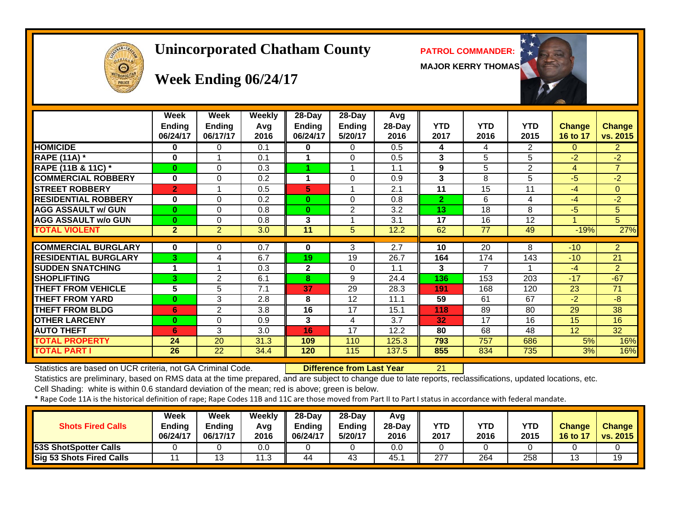# $\boldsymbol{\Theta}$

#### **Unincorporated Chatham County PATROL COMMANDER:**

**MAJOR KERRY THOMAS**



#### **Week Ending 06/24/17**

|                               | Week<br><b>Ending</b><br>06/24/17 | Week<br><b>Ending</b><br>06/17/17 | <b>Weekly</b><br>Avq<br>2016 | 28-Day<br><b>Ending</b><br>06/24/17 | 28-Day<br><b>Ending</b><br>5/20/17 | Avg<br>28-Day<br>2016 | <b>YTD</b><br>2017 | <b>YTD</b><br>2016 | <b>YTD</b><br>2015 | <b>Change</b><br>16 to 17 | <b>Change</b><br>vs. 2015 |
|-------------------------------|-----------------------------------|-----------------------------------|------------------------------|-------------------------------------|------------------------------------|-----------------------|--------------------|--------------------|--------------------|---------------------------|---------------------------|
| <b>HOMICIDE</b>               | 0                                 | 0                                 | 0.1                          | 0                                   | 0                                  | 0.5                   | 4                  | 4                  | 2                  | 0                         | $^{2}$                    |
| <b>RAPE (11A)</b> *           | 0                                 |                                   | 0.1                          |                                     | 0                                  | 0.5                   | 3                  | 5                  | 5                  | $-2$                      | $-2$                      |
| <b>RAPE (11B &amp; 11C) *</b> | $\bf{0}$                          | 0                                 | 0.3                          |                                     |                                    | 1.1                   | 9                  | 5                  | 2                  | 4                         | $\overline{7}$            |
| <b>COMMERCIAL ROBBERY</b>     | 0                                 | 0                                 | 0.2                          |                                     | 0                                  | 0.9                   | 3                  | 8                  | 5                  | -5                        | $-2$                      |
| <b>STREET ROBBERY</b>         | $\overline{2}$                    |                                   | 0.5                          | 5                                   |                                    | 2.1                   | 11                 | 15                 | 11                 | $-4$                      | $\Omega$                  |
| <b>RESIDENTIAL ROBBERY</b>    | $\bf{0}$                          | $\Omega$                          | 0.2                          | $\bf{0}$                            | 0                                  | 0.8                   | $\overline{2}$     | 6                  | 4                  | $-4$                      | $-2$                      |
| <b>AGG ASSAULT w/ GUN</b>     | $\bf{0}$                          | $\Omega$                          | 0.8                          | $\bf{0}$                            | $\overline{2}$                     | 3.2                   | 13                 | 18                 | 8                  | $-5$                      | 5                         |
| <b>AGG ASSAULT w/o GUN</b>    | $\bf{0}$                          | 0                                 | 0.8                          | 3                                   |                                    | 3.1                   | 17                 | 16                 | 12                 |                           | 5                         |
| <b>TOTAL VIOLENT</b>          | $\mathbf{2}$                      | $\overline{2}$                    | 3.0                          | 11                                  | 5                                  | 12.2                  | 62                 | 77                 | 49                 | $-19%$                    | 27%                       |
|                               |                                   |                                   |                              |                                     |                                    |                       |                    |                    |                    |                           |                           |
| <b>COMMERCIAL BURGLARY</b>    | 0                                 | 0                                 | 0.7                          | 0                                   | 3                                  | 2.7                   | 10                 | 20                 | 8                  | $-10$                     | $\overline{2}$            |
| <b>RESIDENTIAL BURGLARY</b>   | 3                                 | 4                                 | 6.7                          | 19                                  | 19                                 | 26.7                  | 164                | 174                | 143                | $-10$                     | 21                        |
| <b>SUDDEN SNATCHING</b>       | 1                                 |                                   | 0.3                          | 2                                   | 0                                  | 1.1                   | 3                  | 7                  | 1                  | $-4$                      | $\overline{2}$            |
| <b>ISHOPLIFTING</b>           | 3                                 | 2                                 | 6.1                          | 8                                   | 9                                  | 24.4                  | 136                | 153                | 203                | $-17$                     | $-67$                     |
| <b>THEFT FROM VEHICLE</b>     | 5                                 | 5                                 | 7.1                          | 37                                  | 29                                 | 28.3                  | 191                | 168                | 120                | 23                        | 71                        |
| <b>THEFT FROM YARD</b>        | 0                                 | 3                                 | 2.8                          | 8                                   | 12                                 | 11.1                  | 59                 | 61                 | 67                 | $-2$                      | -8                        |
| <b>THEFT FROM BLDG</b>        | 6                                 | $\overline{2}$                    | 3.8                          | 16                                  | 17                                 | 15.1                  | 118                | 89                 | 80                 | 29                        | 38                        |
| <b>OTHER LARCENY</b>          | $\bf{0}$                          | $\Omega$                          | 0.9                          | 3                                   | 4                                  | 3.7                   | 32                 | 17                 | 16                 | 15                        | 16                        |
| <b>AUTO THEFT</b>             | 6                                 | 3                                 | 3.0                          | 16                                  | 17                                 | 12.2                  | 80                 | 68                 | 48                 | 12                        | 32                        |
| <b>TOTAL PROPERTY</b>         | 24                                | 20                                | 31.3                         | 109                                 | 110                                | 125.3                 | 793                | 757                | 686                | 5%                        | 16%                       |
| <b>TOTAL PART I</b>           | 26                                | 22                                | 34.4                         | 120                                 | 115                                | 137.5                 | 855                | 834                | 735                | 3%                        | 16%                       |

Statistics are based on UCR criteria, not GA Criminal Code. **Difference from Last Year** 21

Statistics are preliminary, based on RMS data at the time prepared, and are subject to change due to late reports, reclassifications, updated locations, etc.

Cell Shading: white is within 0.6 standard deviation of the mean; red is above; green is below.

| <b>Shots Fired Calls</b>        | Week<br><b>Ending</b><br>06/24/17 | Week<br><b>Ending</b><br>06/17/17 | Weekly<br>Avg<br>2016 | $28-Dav$<br><b>Ending</b><br>06/24/17 | $28-Dav$<br><b>Endina</b><br>5/20/17 | Avg<br>$28-Dav$<br>2016 | <b>YTD</b><br>2017 | <b>YTD</b><br>2016 | <b>YTD</b><br>2015 | <b>Change</b><br>16 to 17 | <b>Change</b><br>vs. 2015 |
|---------------------------------|-----------------------------------|-----------------------------------|-----------------------|---------------------------------------|--------------------------------------|-------------------------|--------------------|--------------------|--------------------|---------------------------|---------------------------|
| 53S ShotSpotter Calls           |                                   |                                   | 0.0                   |                                       |                                      | 0.0                     |                    |                    |                    |                           |                           |
| <b>Sig 53 Shots Fired Calls</b> |                                   |                                   | 12<br>- 1. 0          | 44                                    | 43                                   | 45.                     | 277                | 264                | 258                |                           | 19                        |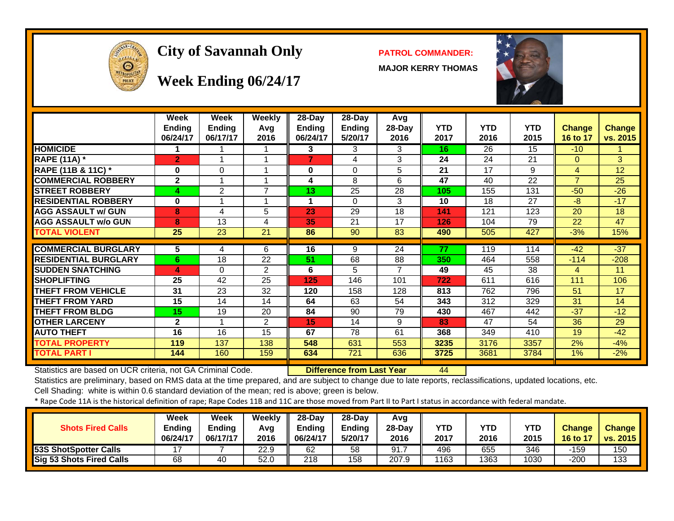

#### City of Savannah Only **PATROL COMMANDER:**

**MAJOR KERRY THOMAS**



#### **Week Ending 06/24/17**

|                             | Week<br><b>Ending</b><br>06/24/17 | Week<br><b>Ending</b><br>06/17/17 | Weekly<br>Avg<br>2016 | 28-Day<br><b>Ending</b><br>06/24/17 | 28-Day<br><b>Ending</b><br>5/20/17 | Avg<br>28-Day<br>2016 | <b>YTD</b><br>2017 | <b>YTD</b><br>2016 | <b>YTD</b><br>2015 | <b>Change</b><br>16 to 17 | Change<br>vs. 2015 |
|-----------------------------|-----------------------------------|-----------------------------------|-----------------------|-------------------------------------|------------------------------------|-----------------------|--------------------|--------------------|--------------------|---------------------------|--------------------|
| <b>HOMICIDE</b>             |                                   |                                   |                       | 3                                   | 3                                  | 3                     | 16                 | 26                 | 15                 | $-10$                     |                    |
| <b>RAPE (11A) *</b>         | $\overline{2}$                    |                                   |                       | $\overline{7}$                      | 4                                  | 3                     | 24                 | 24                 | 21                 | $\Omega$                  | 3                  |
| RAPE (11B & 11C) *          | $\bf{0}$                          | $\Omega$                          |                       | 0                                   | $\Omega$                           | 5                     | 21                 | 17                 | 9                  | $\overline{4}$            | 12                 |
| <b>COMMERCIAL ROBBERY</b>   | $\mathbf{2}$                      |                                   |                       | 4                                   | 8                                  | 6                     | 47                 | 40                 | 22                 | $\overline{7}$            | 25                 |
| <b>STREET ROBBERY</b>       | 4                                 | $\overline{2}$                    | $\overline{7}$        | 13                                  | 25                                 | 28                    | 105                | 155                | 131                | $-50$                     | $-26$              |
| <b>RESIDENTIAL ROBBERY</b>  | $\bf{0}$                          |                                   |                       |                                     | $\Omega$                           | 3                     | 10                 | 18                 | 27                 | $-8$                      | $-17$              |
| <b>AGG ASSAULT w/ GUN</b>   | 8                                 | 4                                 | 5                     | 23                                  | 29                                 | 18                    | 141                | 121                | 123                | 20                        | 18                 |
| <b>AGG ASSAULT w/o GUN</b>  | 8                                 | 13                                | 4                     | 35                                  | 21                                 | 17                    | 126                | 104                | 79                 | 22                        | 47                 |
| <b>TOTAL VIOLENT</b>        | 25                                | 23                                | 21                    | 86                                  | 90                                 | 83                    | 490                | 505                | 427                | $-3%$                     | 15%                |
|                             |                                   |                                   |                       |                                     |                                    |                       |                    |                    |                    |                           |                    |
| <b>COMMERCIAL BURGLARY</b>  | 5                                 | 4                                 | 6                     | 16                                  | 9                                  | 24                    | 77                 | 119                | 114                | $-42$                     | $-37$              |
| <b>RESIDENTIAL BURGLARY</b> | 6                                 | 18                                | 22                    | 51                                  | 68                                 | 88                    | 350                | 464                | 558                | $-114$                    | $-208$             |
| <b>SUDDEN SNATCHING</b>     | 4                                 | $\Omega$                          | 2                     | 6                                   | 5                                  |                       | 49                 | 45                 | 38                 | 4                         | 11                 |
| <b>SHOPLIFTING</b>          | 25                                | 42                                | 25                    | 125                                 | 146                                | 101                   | 722                | 611                | 616                | 111                       | 106                |
| THEFT FROM VEHICLE          | 31                                | 23                                | 32                    | 120                                 | 158                                | 128                   | 813                | 762                | 796                | 51                        | 17                 |
| <b>THEFT FROM YARD</b>      | 15                                | 14                                | 14                    | 64                                  | 63                                 | 54                    | 343                | 312                | 329                | 31                        | 14                 |
| <b>THEFT FROM BLDG</b>      | 15                                | 19                                | 20                    | 84                                  | 90                                 | 79                    | 430                | 467                | 442                | $-37$                     | $-12$              |
| <b>OTHER LARCENY</b>        | $\overline{2}$                    |                                   | $\overline{2}$        | 15                                  | 14                                 | 9                     | 83                 | 47                 | 54                 | 36                        | 29                 |
| <b>AUTO THEFT</b>           | 16                                | 16                                | 15                    | 67                                  | 78                                 | 61                    | 368                | 349                | 410                | 19                        | $-42$              |
| <b>TOTAL PROPERTY</b>       | 119                               | 137                               | 138                   | 548                                 | 631                                | 553                   | 3235               | 3176               | 3357               | 2%                        | $-4%$              |
| TOTAL PART I                | 144                               | 160                               | 159                   | 634                                 | 721                                | 636                   | 3725               | 3681               | 3784               | 1%                        | $-2%$              |

Statistics are based on UCR criteria, not GA Criminal Code. **Difference from Last Year** 44

Statistics are preliminary, based on RMS data at the time prepared, and are subject to change due to late reports, reclassifications, updated locations, etc.

Cell Shading: white is within 0.6 standard deviation of the mean; red is above; green is below.

| <b>Shots Fired Calls</b>        | Week<br>Ending<br>06/24/17 | Week<br>Endina<br>06/17/17 | Weekly<br>Ava<br>2016 | $28-Dav$<br><b>Ending</b><br>06/24/17 | $28-Dav$<br><b>Ending</b><br>5/20/17 | Avg<br>$28-Dav$<br>2016 | YTD<br>2017 | <b>YTD</b><br>2016 | YTD<br>2015 | <b>Change</b><br>16 to 17 | <b>Change</b><br><b>vs. 2015</b> |
|---------------------------------|----------------------------|----------------------------|-----------------------|---------------------------------------|--------------------------------------|-------------------------|-------------|--------------------|-------------|---------------------------|----------------------------------|
| <b>53S ShotSpotter Calls</b>    |                            |                            | 22.9                  | 62                                    | 58                                   | 91.                     | 496         | 655                | 346         | -159                      | 150                              |
| <b>Sig 53 Shots Fired Calls</b> | 68                         | 40                         | 52.0                  | 218                                   | 158                                  | 207.9                   | 1163        | 1363               | 1030        | -200                      | 133                              |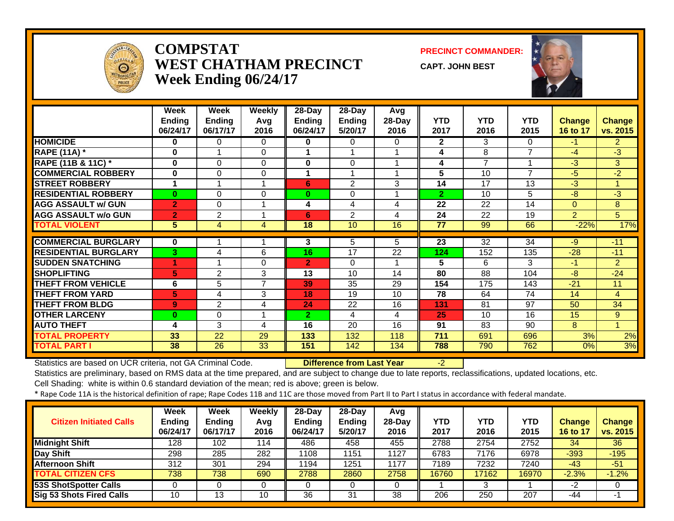

#### **COMPSTATWEST CHATHAM PRECINCTWeek Ending 06/24/17**

**PRECINCT COMMANDER:**

**CAPT. JOHN BEST**



|                             | Week           | Week           | <b>Weekly</b> | $28 - Day$     | $28 - Day$     | Avg    |                |                |            |                |                |
|-----------------------------|----------------|----------------|---------------|----------------|----------------|--------|----------------|----------------|------------|----------------|----------------|
|                             | <b>Ending</b>  | <b>Ending</b>  | Avg           | <b>Ending</b>  | <b>Ending</b>  | 28-Day | <b>YTD</b>     | <b>YTD</b>     | <b>YTD</b> | <b>Change</b>  | <b>Change</b>  |
|                             | 06/24/17       | 06/17/17       | 2016          | 06/24/17       | 5/20/17        | 2016   | 2017           | 2016           | 2015       | 16 to 17       | vs. 2015       |
| <b>HOMICIDE</b>             | 0              | 0              | 0             | 0              | 0              | 0      | $\mathbf{2}$   | 3              | 0          | $-1$           | $\overline{2}$ |
| <b>RAPE (11A)</b> *         | 0              |                | 0             |                |                |        | 4              | 8              | 7          | $-4$           | $-3$           |
| RAPE (11B & 11C) *          | $\bf{0}$       | $\Omega$       | $\Omega$      | $\bf{0}$       | 0              |        | 4              | $\overline{7}$ | 4          | $-3$           | 3 <sup>1</sup> |
| <b>COMMERCIAL ROBBERY</b>   | $\bf{0}$       | $\Omega$       | 0             |                |                |        | 5              | 10             | 7          | -5             | $-2$           |
| <b>STREET ROBBERY</b>       | 1              |                | 1             | 6              | $\overline{2}$ | 3      | 14             | 17             | 13         | $-3$           |                |
| <b>RESIDENTIAL ROBBERY</b>  | $\bf{0}$       | 0              | $\Omega$      | $\bf{0}$       | 0              |        | $\overline{2}$ | 10             | 5          | $-8$           | $-3$           |
| <b>AGG ASSAULT w/ GUN</b>   | $\overline{2}$ | 0              | 1             | 4              | 4              | 4      | 22             | 22             | 14         | $\Omega$       | 8              |
| <b>AGG ASSAULT w/o GUN</b>  | $\overline{2}$ | $\overline{2}$ | 1             | 6              | $\overline{2}$ | 4      | 24             | 22             | 19         | $\overline{2}$ | 5              |
| <b>TOTAL VIOLENT</b>        | 5              | 4              | 4             | 18             | 10             | 16     | 77             | 99             | 66         | $-22%$         | 17%            |
|                             |                |                |               |                |                |        |                |                |            |                |                |
| <b>COMMERCIAL BURGLARY</b>  | 0              |                |               | 3              | 5              | 5.     | 23             | 32             | 34         | $-9$           | $-11$          |
| <b>RESIDENTIAL BURGLARY</b> | 3              | 4              | 6             | 16             | 17             | 22     | 124            | 152            | 135        | $-28$          | $-11$          |
| <b>SUDDEN SNATCHING</b>     | 4              |                | 0             | $\overline{2}$ | $\Omega$       |        | 5              | 6              | 3          | -1             | $\overline{2}$ |
| <b>SHOPLIFTING</b>          | 5              | $\overline{2}$ | 3             | 13             | 10             | 14     | 80             | 88             | 104        | -8             | $-24$          |
| <b>THEFT FROM VEHICLE</b>   | 6              | 5              | 7             | 39             | 35             | 29     | 154            | 175            | 143        | $-21$          | 11             |
| <b>THEFT FROM YARD</b>      | 5              | 4              | 3             | 18             | 19             | 10     | 78             | 64             | 74         | 14             | 4              |
| <b>THEFT FROM BLDG</b>      | 9              | $\overline{2}$ | 4             | 24             | 22             | 16     | 131            | 81             | 97         | 50             | 34             |
| <b>OTHER LARCENY</b>        | 0              | $\Omega$       | 1             | $\mathbf{2}$   | 4              | 4      | 25             | 10             | 16         | 15             | 9              |
| <b>AUTO THEFT</b>           | 4              | 3              | 4             | 16             | 20             | 16     | 91             | 83             | 90         | 8              |                |
| <b>TOTAL PROPERTY</b>       | 33             | 22             | 29            | 133            | 132            | 118    | 711            | 691            | 696        | 3%             | 2%             |
| <b>TOTAL PART I</b>         | 38             | 26             | 33            | 151            | 142            | 134    | 788            | 790            | 762        | 0%             | 3%             |

Statistics are based on UCR criteria, not GA Criminal Code. **Difference from Last Year** -2

Statistics are preliminary, based on RMS data at the time prepared, and are subject to change due to late reports, reclassifications, updated locations, etc.

Cell Shading: white is within 0.6 standard deviation of the mean; red is above; green is below.

| <b>Citizen Initiated Calls</b> | Week<br>Ending<br>06/24/17 | <b>Week</b><br><b>Ending</b><br>06/17/17 | Weekly<br>Avg<br>2016 | $28$ -Day<br><b>Ending</b><br>06/24/17 | $28-Dav$<br><b>Ending</b><br>5/20/17 | Avg<br>28-Dav<br>2016 | YTD<br>2017 | YTD<br>2016 | YTD<br>2015 | <b>Change</b><br>16 to 17 | <b>Change</b><br>vs. 2015 |
|--------------------------------|----------------------------|------------------------------------------|-----------------------|----------------------------------------|--------------------------------------|-----------------------|-------------|-------------|-------------|---------------------------|---------------------------|
| Midnight Shift                 | 128                        | 102                                      | 114                   | 486                                    | 458                                  | 455                   | 2788        | 2754        | 2752        | 34                        | 36                        |
| Day Shift                      | 298                        | 285                                      | 282                   | 1108                                   | 1151                                 | 1127                  | 6783        | 7176        | 6978        | $-393$                    | $-195$                    |
| <b>Afternoon Shift</b>         | 312                        | 301                                      | 294                   | 1194                                   | 1251                                 | 1177                  | 7189        | 7232        | 7240        | $-43$                     | $-51$                     |
| <b>TOTAL CITIZEN CFS</b>       | 738                        | 738                                      | 690                   | 2788                                   | 2860                                 | 2758                  | 16760       | 17162       | 16970       | $-2.3%$                   | $-1.2%$                   |
| <b>53S ShotSpotter Calls</b>   |                            |                                          |                       |                                        |                                      |                       |             |             |             | -2                        |                           |
| Sig 53 Shots Fired Calls       | 10                         | 13                                       | 10                    | 36                                     | 31                                   | 38                    | 206         | 250         | 207         | -44                       | -1                        |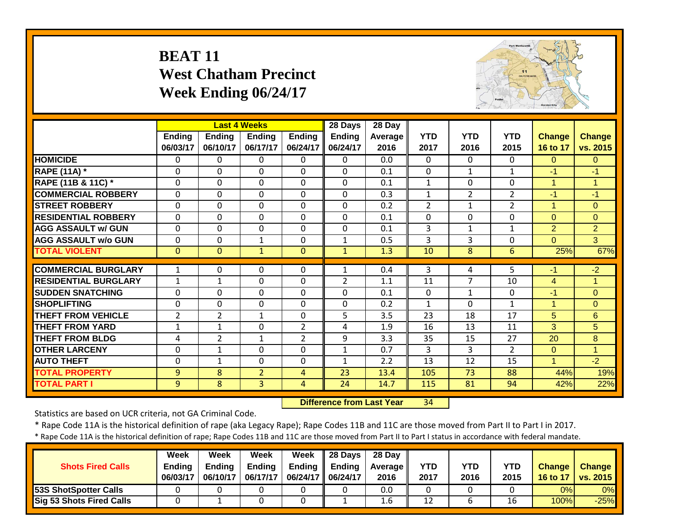#### **BEAT 11 West Chatham Precinct Week Ending 06/24/17**



|                             |                |                | <b>Last 4 Weeks</b> |                | 28 Days        | 28 Day  |                |                |                |                |                |
|-----------------------------|----------------|----------------|---------------------|----------------|----------------|---------|----------------|----------------|----------------|----------------|----------------|
|                             | <b>Ending</b>  | <b>Ending</b>  | <b>Ending</b>       | <b>Ending</b>  | <b>Ending</b>  | Average | <b>YTD</b>     | <b>YTD</b>     | <b>YTD</b>     | <b>Change</b>  | <b>Change</b>  |
|                             | 06/03/17       | 06/10/17       | 06/17/17            | 06/24/17       | 06/24/17       | 2016    | 2017           | 2016           | 2015           | 16 to 17       | vs. 2015       |
| <b>HOMICIDE</b>             | 0              | 0              | 0                   | $\Omega$       | $\Omega$       | 0.0     | $\Omega$       | $\Omega$       | 0              | $\Omega$       | $\overline{0}$ |
| <b>RAPE (11A) *</b>         | $\mathbf{0}$   | 0              | $\mathbf 0$         | $\mathbf{0}$   | $\Omega$       | 0.1     | $\Omega$       | 1              | $\mathbf{1}$   | $-1$           | $-1$           |
| RAPE (11B & 11C) *          | 0              | $\Omega$       | $\mathbf 0$         | $\mathbf{0}$   | $\Omega$       | 0.1     | $\mathbf{1}$   | $\Omega$       | $\Omega$       | 1              | 1              |
| <b>COMMERCIAL ROBBERY</b>   | $\mathbf{0}$   | 0              | $\Omega$            | $\mathbf{0}$   | $\Omega$       | 0.3     | $\mathbf{1}$   | $\overline{2}$ | $\overline{2}$ | $-1$           | $-1$           |
| <b>STREET ROBBERY</b>       | 0              | $\mathbf 0$    | 0                   | $\mathbf 0$    | $\mathbf{0}$   | 0.2     | $\overline{2}$ | $\mathbf{1}$   | $\overline{2}$ | $\mathbf{1}$   | $\overline{0}$ |
| <b>RESIDENTIAL ROBBERY</b>  | 0              | $\Omega$       | 0                   | 0              | $\mathbf{0}$   | 0.1     | 0              | $\Omega$       | 0              | $\overline{0}$ | $\overline{0}$ |
| <b>AGG ASSAULT w/ GUN</b>   | $\mathbf{0}$   | 0              | $\mathbf 0$         | $\mathbf{0}$   | $\mathbf{0}$   | 0.1     | 3              | $\mathbf{1}$   | $\mathbf{1}$   | $\overline{2}$ | $\overline{2}$ |
| <b>AGG ASSAULT w/o GUN</b>  | $\mathbf{0}$   | $\mathbf 0$    | $\mathbf{1}$        | $\mathbf 0$    | $\mathbf{1}$   | 0.5     | 3              | 3              | 0              | $\Omega$       | $\overline{3}$ |
| <b>TOTAL VIOLENT</b>        | $\mathbf{0}$   | $\Omega$       | $\mathbf{1}$        | $\mathbf{0}$   | $\mathbf{1}$   | 1.3     | 10             | 8              | 6              | 25%            | 67%            |
|                             |                |                |                     |                |                |         |                |                |                |                |                |
| <b>COMMERCIAL BURGLARY</b>  | 1              | 0              | 0                   | $\mathbf{0}$   | $\mathbf{1}$   | 0.4     | 3              | 4              | 5.             | $-1$           | $-2$           |
| <b>RESIDENTIAL BURGLARY</b> | $\mathbf{1}$   | $\mathbf{1}$   | $\mathbf 0$         | $\mathbf 0$    | $\overline{2}$ | 1.1     | 11             | $\overline{7}$ | 10             | $\overline{4}$ | $\mathbf{1}$   |
| <b>SUDDEN SNATCHING</b>     | $\mathbf{0}$   | $\Omega$       | $\mathbf 0$         | $\mathbf 0$    | $\Omega$       | 0.1     | $\mathbf 0$    | $\mathbf{1}$   | $\mathbf 0$    | $-1$           | $\overline{0}$ |
| <b>SHOPLIFTING</b>          | $\mathbf 0$    | 0              | $\mathbf 0$         | $\mathbf 0$    | $\Omega$       | 0.2     | $\mathbf{1}$   | $\Omega$       | $\mathbf{1}$   | $\mathbf{1}$   | $\overline{0}$ |
| <b>THEFT FROM VEHICLE</b>   | $\overline{2}$ | $\overline{2}$ | 1                   | $\mathbf 0$    | 5              | 3.5     | 23             | 18             | 17             | 5 <sup>5</sup> | 6              |
| <b>THEFT FROM YARD</b>      | $\mathbf{1}$   | $\mathbf{1}$   | 0                   | $\overline{2}$ | 4              | 1.9     | 16             | 13             | 11             | 3              | 5              |
| <b>THEFT FROM BLDG</b>      | 4              | $\overline{2}$ | 1                   | $\overline{2}$ | 9              | 3.3     | 35             | 15             | 27             | 20             | 8              |
| <b>OTHER LARCENY</b>        | 0              | $\mathbf{1}$   | 0                   | $\mathbf 0$    | $\mathbf{1}$   | 0.7     | 3              | 3              | $\overline{2}$ | $\overline{0}$ | $\overline{1}$ |
| <b>AUTO THEFT</b>           | $\mathbf{0}$   | $\mathbf{1}$   | $\Omega$            | $\mathbf 0$    | $\mathbf{1}$   | 2.2     | 13             | 12             | 15             | $\mathbf{1}$   | $-2$           |
| <b>TOTAL PROPERTY</b>       | 9              | 8              | $\overline{2}$      | 4              | 23             | 13.4    | 105            | 73             | 88             | 44%            | 19%            |
| <b>TOTAL PART I</b>         | 9              | 8              | $\overline{3}$      | $\overline{4}$ | 24             | 14.7    | 115            | 81             | 94             | 42%            | 22%            |

 **Difference from Last Year**34

Statistics are based on UCR criteria, not GA Criminal Code.

\* Rape Code 11A is the historical definition of rape (aka Legacy Rape); Rape Codes 11B and 11C are those moved from Part II to Part I in 2017.

| <b>Shots Fired Calls</b>        | Week<br><b>Endina</b><br>06/03/17 | Week<br><b>Ending</b><br>06/10/17 | Week<br><b>Ending</b><br>06/17/17 | Week<br><b>Ending</b><br>06/24/17   06/24/17 | $\parallel$ 28 Davs<br><b>Ending</b> | 28 Dav<br><b>Average II</b><br>2016 | <b>YTD</b><br>2017 | YTD<br>2016 | <b>YTD</b><br>2015 | <b>Change</b><br>16 to 17 | <b>Change</b><br>vs. 2015 |
|---------------------------------|-----------------------------------|-----------------------------------|-----------------------------------|----------------------------------------------|--------------------------------------|-------------------------------------|--------------------|-------------|--------------------|---------------------------|---------------------------|
| 53S ShotSpotter Calls           |                                   |                                   |                                   |                                              |                                      | 0.0                                 |                    |             |                    | 0%                        | 0%                        |
| <b>Sig 53 Shots Fired Calls</b> |                                   |                                   |                                   |                                              |                                      | 1.6                                 | 12                 |             | 16                 | 100%                      | $-25%$                    |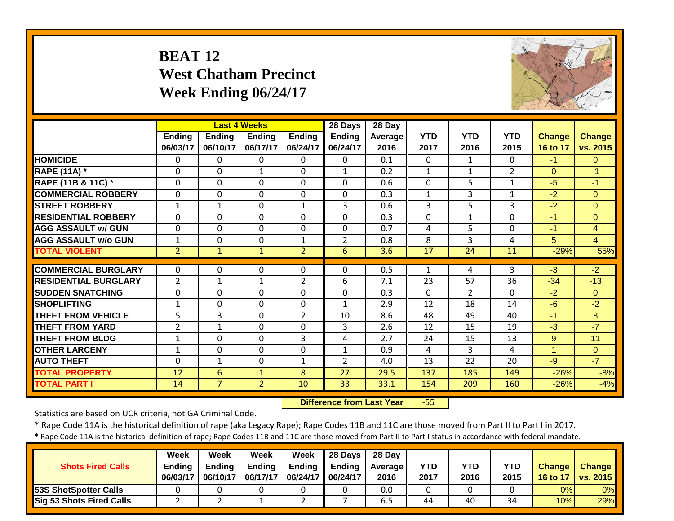#### **BEAT 12 West Chatham Precinct Week Ending 06/24/17**



|                             |                |                | <b>Last 4 Weeks</b> |                | 28 Days        | 28 Day  |              |                |                |                |                |
|-----------------------------|----------------|----------------|---------------------|----------------|----------------|---------|--------------|----------------|----------------|----------------|----------------|
|                             | <b>Ending</b>  | <b>Ending</b>  | <b>Ending</b>       | <b>Ending</b>  | Ending         | Average | <b>YTD</b>   | <b>YTD</b>     | <b>YTD</b>     | Change         | <b>Change</b>  |
|                             | 06/03/17       | 06/10/17       | 06/17/17            | 06/24/17       | 06/24/17       | 2016    | 2017         | 2016           | 2015           | 16 to 17       | vs. 2015       |
| <b>HOMICIDE</b>             | 0              | 0              | 0                   | $\Omega$       | $\Omega$       | 0.1     | $\Omega$     | $\mathbf{1}$   | 0              | $-1$           | $\Omega$       |
| <b>RAPE (11A)</b> *         | 0              | $\Omega$       | $\mathbf{1}$        | $\mathbf{0}$   | $\mathbf{1}$   | 0.2     | $\mathbf{1}$ | $\mathbf{1}$   | $\overline{2}$ | $\Omega$       | $-1$           |
| RAPE (11B & 11C) *          | 0              | $\Omega$       | 0                   | $\mathbf{0}$   | $\Omega$       | 0.6     | 0            | 5              | $\mathbf{1}$   | $-5$           | $-1$           |
| <b>COMMERCIAL ROBBERY</b>   | $\mathbf{0}$   | $\Omega$       | $\Omega$            | $\mathbf{0}$   | $\mathbf{0}$   | 0.3     | $\mathbf{1}$ | 3              | $\mathbf{1}$   | $-2$           | $\Omega$       |
| <b>STREET ROBBERY</b>       | $\mathbf{1}$   | $\mathbf{1}$   | $\mathbf 0$         | $\mathbf{1}$   | 3              | 0.6     | 3            | 5              | 3              | $-2$           | $\overline{0}$ |
| <b>RESIDENTIAL ROBBERY</b>  | $\Omega$       | $\Omega$       | $\mathbf 0$         | $\Omega$       | $\Omega$       | 0.3     | $\mathbf 0$  | $\mathbf{1}$   | $\Omega$       | $-1$           | $\overline{0}$ |
| <b>AGG ASSAULT w/ GUN</b>   | 0              | 0              | $\mathbf 0$         | $\mathbf 0$    | $\Omega$       | 0.7     | 4            | 5              | $\Omega$       | $-1$           | $\overline{4}$ |
| <b>AGG ASSAULT w/o GUN</b>  | $\mathbf{1}$   | 0              | 0                   | $\mathbf{1}$   | $\overline{2}$ | 0.8     | 8            | 3              | 4              | 5 <sup>5</sup> | $\overline{4}$ |
| <b>TOTAL VIOLENT</b>        | $\overline{2}$ | $\mathbf{1}$   | $\mathbf{1}$        | $\overline{2}$ | 6              | 3.6     | 17           | 24             | 11             | $-29%$         | 55%            |
|                             |                |                |                     |                |                |         |              |                |                |                |                |
| <b>COMMERCIAL BURGLARY</b>  | $\Omega$       | 0              | 0                   | $\mathbf{0}$   | $\Omega$       | 0.5     | 1            | 4              | 3              | $-3$           | $-2$           |
| <b>RESIDENTIAL BURGLARY</b> | $\overline{2}$ | $\mathbf{1}$   | $\mathbf{1}$        | $\overline{2}$ | 6              | 7.1     | 23           | 57             | 36             | $-34$          | $-13$          |
| <b>ISUDDEN SNATCHING</b>    | $\mathbf 0$    | $\Omega$       | $\mathbf 0$         | $\mathbf 0$    | $\Omega$       | 0.3     | $\Omega$     | $\overline{2}$ | $\Omega$       | $-2$           | $\Omega$       |
| <b>SHOPLIFTING</b>          | $\mathbf{1}$   | $\Omega$       | $\mathbf 0$         | $\mathbf 0$    | 1              | 2.9     | 12           | 18             | 14             | $-6$           | $-2$           |
| <b>THEFT FROM VEHICLE</b>   | 5              | 3              | 0                   | $\overline{2}$ | 10             | 8.6     | 48           | 49             | 40             | $-1$           | 8              |
| <b>THEFT FROM YARD</b>      | $\overline{2}$ | $\mathbf{1}$   | 0                   | $\Omega$       | 3              | 2.6     | 12           | 15             | 19             | $-3$           | $-7$           |
| <b>THEFT FROM BLDG</b>      | $\mathbf{1}$   | 0              | 0                   | 3              | 4              | 2.7     | 24           | 15             | 13             | 9              | 11             |
| <b>OTHER LARCENY</b>        | $\mathbf{1}$   | $\mathbf 0$    | $\mathbf 0$         | $\mathbf 0$    | $\mathbf{1}$   | 0.9     | 4            | $\overline{3}$ | 4              | $\mathbf{1}$   | $\overline{0}$ |
| <b>AUTO THEFT</b>           | 0              | $\mathbf{1}$   | 0                   | $\mathbf{1}$   | $\overline{2}$ | 4.0     | 13           | 22             | 20             | $-9$           | $-7$           |
| <b>TOTAL PROPERTY</b>       | 12             | 6              | $\mathbf{1}$        | 8              | 27             | 29.5    | 137          | 185            | 149            | $-26%$         | $-8%$          |
| <b>TOTAL PART I</b>         | 14             | $\overline{7}$ | $\overline{2}$      | 10             | 33             | 33.1    | 154          | 209            | 160            | $-26%$         | $-4%$          |

 **Difference from Last Year**‐55

Statistics are based on UCR criteria, not GA Criminal Code.

\* Rape Code 11A is the historical definition of rape (aka Legacy Rape); Rape Codes 11B and 11C are those moved from Part II to Part I in 2017.

| <b>Shots Fired Calls</b>        | Week<br><b>Ending</b><br>06/03/17 | Week<br>Endina<br>06/10/17 | Week<br><b>Endina</b><br>06/17/17 | Week<br>Ending<br>06/24/17 | 28 Days<br><b>Ending</b><br>06/24/17 | 28 Day<br><b>Average II</b><br>2016 | YTD<br>2017 | YTD<br>2016 | YTD<br>2015 | <b>Change</b><br><b>16 to 17</b> | <b>Change</b><br>$\sqrt{vs. 2015}$ |
|---------------------------------|-----------------------------------|----------------------------|-----------------------------------|----------------------------|--------------------------------------|-------------------------------------|-------------|-------------|-------------|----------------------------------|------------------------------------|
| <b>53S ShotSpotter Calls</b>    |                                   |                            |                                   |                            |                                      | 0.0                                 |             |             |             | 0%                               | $0\%$                              |
| <b>Sig 53 Shots Fired Calls</b> |                                   |                            |                                   | -                          |                                      | 6.5                                 | 44          | 40          | 34          | 10%                              | 29%                                |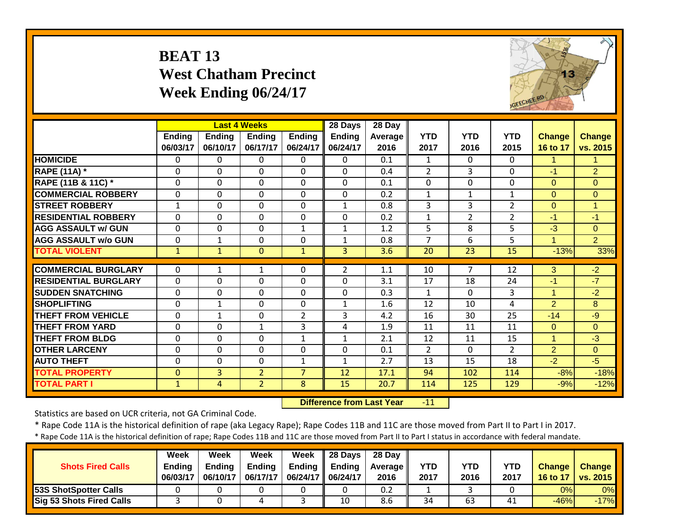#### **BEAT 13 West Chatham Precinct Week Ending 06/24/17**



|                             |               |               | <b>Last 4 Weeks</b> |                | 28 Days        | 28 Day  |                |                |                |                |                |
|-----------------------------|---------------|---------------|---------------------|----------------|----------------|---------|----------------|----------------|----------------|----------------|----------------|
|                             | <b>Ending</b> | <b>Ending</b> | Ending              | <b>Ending</b>  | Ending         | Average | <b>YTD</b>     | <b>YTD</b>     | <b>YTD</b>     | Change         | <b>Change</b>  |
|                             | 06/03/17      | 06/10/17      | 06/17/17            | 06/24/17       | 06/24/17       | 2016    | 2017           | 2016           | 2015           | 16 to 17       | vs. 2015       |
| <b>HOMICIDE</b>             | 0             | 0             | 0                   | $\Omega$       | $\Omega$       | 0.1     | 1              | $\Omega$       | 0              | 1.             | 1              |
| <b>RAPE (11A) *</b>         | 0             | $\Omega$      | $\Omega$            | $\Omega$       | $\Omega$       | 0.4     | $\overline{2}$ | 3              | $\Omega$       | $-1$           | $\overline{2}$ |
| RAPE (11B & 11C) *          | 0             | $\Omega$      | $\Omega$            | $\Omega$       | $\Omega$       | 0.1     | 0              | $\mathbf 0$    | $\Omega$       | $\overline{0}$ | $\Omega$       |
| <b>COMMERCIAL ROBBERY</b>   | $\mathbf{0}$  | $\Omega$      | 0                   | $\Omega$       | $\Omega$       | 0.2     | $\mathbf{1}$   | $\mathbf{1}$   | $\mathbf{1}$   | $\Omega$       | $\overline{0}$ |
| <b>STREET ROBBERY</b>       | $\mathbf{1}$  | $\Omega$      | $\mathbf 0$         | $\Omega$       | $\mathbf{1}$   | 0.8     | 3              | 3              | $\overline{2}$ | $\overline{0}$ | $\mathbf{1}$   |
| <b>RESIDENTIAL ROBBERY</b>  | $\Omega$      | $\Omega$      | $\mathbf 0$         | $\mathbf 0$    | $\Omega$       | 0.2     | $\mathbf{1}$   | $\overline{2}$ | $\overline{2}$ | $-1$           | $-1$           |
| <b>AGG ASSAULT w/ GUN</b>   | $\mathbf{0}$  | 0             | $\mathbf 0$         | $\mathbf{1}$   | $\mathbf{1}$   | 1.2     | 5              | 8              | 5              | $-3$           | $\overline{0}$ |
| <b>AGG ASSAULT w/o GUN</b>  | $\mathbf{0}$  | $\mathbf 1$   | $\mathbf 0$         | $\mathbf 0$    | $\mathbf{1}$   | 0.8     | $\overline{7}$ | 6              | 5              | $\mathbf{1}$   | $\overline{2}$ |
| <b>TOTAL VIOLENT</b>        | $\mathbf{1}$  | $\mathbf{1}$  | $\mathbf{0}$        | $\mathbf{1}$   | $\overline{3}$ | 3.6     | 20             | 23             | 15             | $-13%$         | 33%            |
|                             |               |               |                     |                |                |         |                |                |                |                |                |
| <b>COMMERCIAL BURGLARY</b>  | $\mathbf{0}$  | $\mathbf{1}$  | 1                   | $\Omega$       | $\overline{2}$ | 1.1     | 10             | $\overline{7}$ | 12             | 3              | $-2$           |
| <b>RESIDENTIAL BURGLARY</b> | $\mathbf{0}$  | 0             | 0                   | $\mathbf 0$    | $\Omega$       | 3.1     | 17             | 18             | 24             | $-1$           | $-7$           |
| <b>SUDDEN SNATCHING</b>     | $\mathbf 0$   | $\Omega$      | $\mathbf 0$         | $\mathbf 0$    | $\Omega$       | 0.3     | $\mathbf{1}$   | $\Omega$       | 3              | $\mathbf{1}$   | $-2$           |
| <b>SHOPLIFTING</b>          | $\mathbf 0$   | $\mathbf{1}$  | 0                   | $\mathbf 0$    | $\mathbf{1}$   | 1.6     | 12             | 10             | 4              | $\overline{2}$ | 8              |
| <b>THEFT FROM VEHICLE</b>   | $\Omega$      | $\mathbf{1}$  | 0                   | $\overline{2}$ | 3              | 4.2     | 16             | 30             | 25             | $-14$          | $-9$           |
| <b>THEFT FROM YARD</b>      | $\Omega$      | 0             | $\mathbf{1}$        | 3              | 4              | 1.9     | 11             | 11             | 11             | $\Omega$       | $\overline{0}$ |
| <b>THEFT FROM BLDG</b>      | $\Omega$      | 0             | 0                   | $\mathbf{1}$   | $\mathbf{1}$   | 2.1     | 12             | 11             | 15             | $\mathbf{1}$   | $-3$           |
| <b>OTHER LARCENY</b>        | $\mathbf{0}$  | $\mathbf 0$   | $\mathbf 0$         | $\mathbf 0$    | $\mathbf 0$    | 0.1     | $\overline{2}$ | $\mathbf 0$    | $\overline{2}$ | $\overline{2}$ | $\overline{0}$ |
| <b>AUTO THEFT</b>           | $\mathbf{0}$  | 0             | $\mathbf 0$         | $\mathbf{1}$   | $\mathbf{1}$   | 2.7     | 13             | 15             | 18             | $-2$           | $-5$           |
| <b>TOTAL PROPERTY</b>       | $\mathbf{0}$  | 3             | $\overline{2}$      | $\overline{7}$ | 12             | 17.1    | 94             | 102            | 114            | $-8%$          | $-18%$         |
| <b>TOTAL PART I</b>         | $\mathbf{1}$  | 4             | 2 <sup>1</sup>      | 8              | 15             | 20.7    | 114            | 125            | 129            | $-9%$          | $-12%$         |

 **Difference from Last Year** $-11$ 

Statistics are based on UCR criteria, not GA Criminal Code.

\* Rape Code 11A is the historical definition of rape (aka Legacy Rape); Rape Codes 11B and 11C are those moved from Part II to Part I in 2017.

| <b>Shots Fired Calls</b>        | Week<br><b>Ending</b><br>06/03/17 | Week<br>Endina<br>06/10/17 | Week<br><b>Endina</b><br>06/17/17 | Week<br>Ending<br>06/24/17 | 28 Days<br><b>Ending</b><br>06/24/17 | 28 Day<br><b>Average II</b><br>2016 | <b>YTD</b><br>2017 | YTD<br>2016 | YTD<br>2017 | <b>Change</b><br>16 to 17 | <b>Change</b><br><b>vs. 2015</b> |
|---------------------------------|-----------------------------------|----------------------------|-----------------------------------|----------------------------|--------------------------------------|-------------------------------------|--------------------|-------------|-------------|---------------------------|----------------------------------|
| <b>53S ShotSpotter Calls</b>    |                                   |                            |                                   |                            |                                      | 0.2                                 |                    |             |             | 0%                        | $0\%$                            |
| <b>Sig 53 Shots Fired Calls</b> |                                   |                            |                                   |                            | 10                                   | 8.6                                 | 34                 | 63          | 41          | $-46%$                    | $-17%$                           |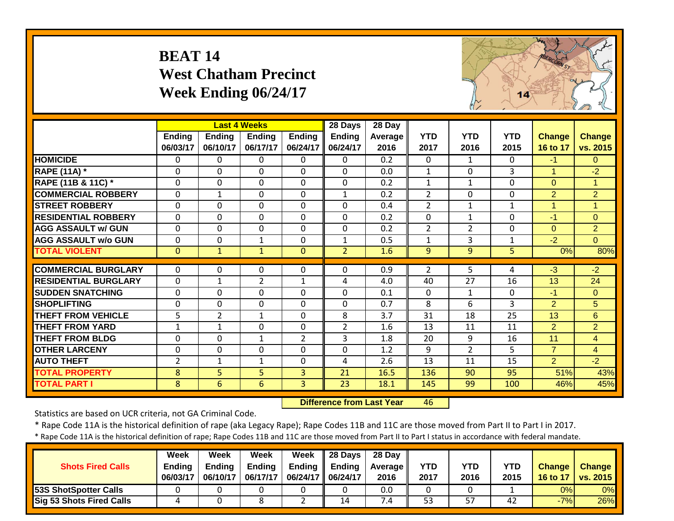#### **BEAT 14 West Chatham Precinct Week Ending 06/24/17**



|                             |                |                | <b>Last 4 Weeks</b> |                | 28 Days        | 28 Day  |                |                |              |                |                |
|-----------------------------|----------------|----------------|---------------------|----------------|----------------|---------|----------------|----------------|--------------|----------------|----------------|
|                             | <b>Ending</b>  | <b>Ending</b>  | <b>Ending</b>       | <b>Ending</b>  | <b>Ending</b>  | Average | <b>YTD</b>     | <b>YTD</b>     | <b>YTD</b>   | <b>Change</b>  | <b>Change</b>  |
|                             | 06/03/17       | 06/10/17       | 06/17/17            | 06/24/17       | 06/24/17       | 2016    | 2017           | 2016           | 2015         | 16 to 17       | vs. 2015       |
| <b>HOMICIDE</b>             | $\Omega$       | 0              | $\Omega$            | $\mathbf{0}$   | 0              | 0.2     | $\mathbf{0}$   | $\mathbf{1}$   | 0            | $-1$           | $\Omega$       |
| <b>RAPE (11A) *</b>         | $\Omega$       | $\Omega$       | $\Omega$            | $\Omega$       | $\Omega$       | 0.0     | $\mathbf{1}$   | $\Omega$       | 3            | $\mathbf{1}$   | $-2$           |
| RAPE (11B & 11C) *          | 0              | $\mathbf 0$    | $\mathbf 0$         | 0              | $\Omega$       | 0.2     | $\mathbf{1}$   | $\mathbf{1}$   | 0            | $\mathbf{0}$   | $\mathbf{1}$   |
| <b>COMMERCIAL ROBBERY</b>   | $\Omega$       | $\mathbf 1$    | $\Omega$            | $\mathbf{0}$   | $\mathbf{1}$   | 0.2     | $\overline{2}$ | $\Omega$       | 0            | $\overline{2}$ | $\overline{2}$ |
| <b>STREET ROBBERY</b>       | $\Omega$       | $\mathbf 0$    | $\Omega$            | 0              | $\Omega$       | 0.4     | $\overline{2}$ | $\mathbf{1}$   | $\mathbf{1}$ | $\mathbf{1}$   | 1              |
| <b>RESIDENTIAL ROBBERY</b>  | $\mathbf{0}$   | $\mathbf 0$    | $\mathbf 0$         | $\mathbf 0$    | $\Omega$       | 0.2     | $\mathbf 0$    | $\mathbf{1}$   | 0            | $-1$           | $\overline{0}$ |
| <b>AGG ASSAULT w/ GUN</b>   | $\mathbf 0$    | $\mathbf 0$    | $\mathbf 0$         | $\mathbf 0$    | $\mathbf 0$    | 0.2     | $\overline{2}$ | $\overline{2}$ | 0            | $\overline{0}$ | $\overline{2}$ |
| <b>AGG ASSAULT w/o GUN</b>  | $\mathbf 0$    | 0              | $\mathbf{1}$        | 0              | $\mathbf{1}$   | 0.5     | $\mathbf{1}$   | 3              | $\mathbf{1}$ | $-2$           | $\overline{0}$ |
| <b>TOTAL VIOLENT</b>        | $\mathbf{0}$   | $\mathbf{1}$   | $\mathbf{1}$        | $\mathbf{0}$   | $\overline{2}$ | 1.6     | 9              | 9              | 5            | 0%             | 80%            |
|                             |                |                |                     |                |                |         |                |                |              |                |                |
| <b>COMMERCIAL BURGLARY</b>  | $\Omega$       | $\Omega$       | $\Omega$            | $\mathbf{0}$   | $\Omega$       | 0.9     | $\overline{2}$ | 5.             | 4            | $-3$           | $-2$           |
| <b>RESIDENTIAL BURGLARY</b> | $\mathbf{0}$   | $\mathbf 1$    | $\overline{2}$      | $\mathbf{1}$   | 4              | 4.0     | 40             | 27             | 16           | 13             | 24             |
| <b>ISUDDEN SNATCHING</b>    | $\mathbf{0}$   | $\mathbf 0$    | $\mathbf 0$         | $\mathbf 0$    | $\Omega$       | 0.1     | $\mathbf{0}$   | $\mathbf{1}$   | $\Omega$     | $-1$           | $\Omega$       |
| <b>SHOPLIFTING</b>          | $\mathbf{0}$   | $\Omega$       | $\mathbf 0$         | $\mathbf 0$    | $\Omega$       | 0.7     | 8              | 6              | 3            | $\overline{2}$ | 5              |
| <b>THEFT FROM VEHICLE</b>   | 5              | $\overline{2}$ | $\mathbf{1}$        | $\Omega$       | 8              | 3.7     | 31             | 18             | 25           | 13             | 6              |
| <b>THEFT FROM YARD</b>      | $\mathbf{1}$   | 1              | $\Omega$            | $\Omega$       | 2              | 1.6     | 13             | 11             | 11           | $\overline{2}$ | $\overline{2}$ |
| <b>THEFT FROM BLDG</b>      | $\mathbf 0$    | $\mathbf 0$    | $\mathbf{1}$        | 2              | 3              | 1.8     | 20             | 9              | 16           | 11             | $\overline{4}$ |
| <b>OTHER LARCENY</b>        | 0              | $\mathbf 0$    | $\mathbf 0$         | 0              | $\mathbf 0$    | 1.2     | 9              | $\overline{2}$ | 5            | $\overline{7}$ | $\overline{4}$ |
| <b>AUTO THEFT</b>           | $\overline{2}$ | $\mathbf 1$    | $\mathbf{1}$        | 0              | 4              | 2.6     | 13             | 11             | 15           | $\overline{2}$ | $-2$           |
| <b>TOTAL PROPERTY</b>       | 8              | 5 <sup>1</sup> | $\overline{5}$      | 3              | 21             | 16.5    | 136            | 90             | 95           | 51%            | 43%            |
| <b>TOTAL PART I</b>         | 8              | 6              | 6                   | $\overline{3}$ | 23             | 18.1    | 145            | 99             | 100          | 46%            | 45%            |

 **Difference from Last Year**46

Statistics are based on UCR criteria, not GA Criminal Code.

\* Rape Code 11A is the historical definition of rape (aka Legacy Rape); Rape Codes 11B and 11C are those moved from Part II to Part I in 2017.

|                              | Week          | Week          | Week          | <b>Week</b>          | $\parallel$ 28 Days       | 28 Day            |      |      |      |               |               |
|------------------------------|---------------|---------------|---------------|----------------------|---------------------------|-------------------|------|------|------|---------------|---------------|
| <b>Shots Fired Calls</b>     | <b>Endina</b> | <b>Ending</b> | <b>Ending</b> |                      | Ending $\parallel$ Ending | <b>Average II</b> | YTD  | YTD  | YTD  | <b>Change</b> | <b>Change</b> |
|                              | 06/03/17      | 06/10/17      | 06/17/17      | 06/24/17    06/24/17 |                           | 2016              | 2017 | 2016 | 2015 | 16 to 17      | vs. 2015      |
| <b>53S ShotSpotter Calls</b> |               |               |               |                      |                           | 0.0               |      |      |      | 0%            | 0%            |
| Sig 53 Shots Fired Calls     |               |               |               |                      | 14                        | $\angle 4$        | 53   | 57   | 42   | $-7%$         | 26%           |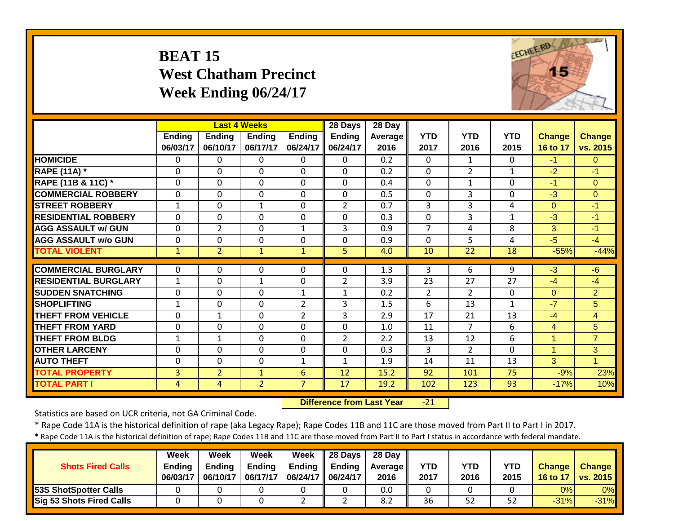#### **BEAT 15 West Chatham Precinct Week Ending 06/24/17**



|                             |                |                | <b>Last 4 Weeks</b> |                | 28 Days        | 28 Day         |                |                |              |                |                |
|-----------------------------|----------------|----------------|---------------------|----------------|----------------|----------------|----------------|----------------|--------------|----------------|----------------|
|                             | Ending         | <b>Ending</b>  | <b>Ending</b>       | <b>Ending</b>  | <b>Ending</b>  | <b>Average</b> | <b>YTD</b>     | <b>YTD</b>     | <b>YTD</b>   | Change         | <b>Change</b>  |
|                             | 06/03/17       | 06/10/17       | 06/17/17            | 06/24/17       | 06/24/17       | 2016           | 2017           | 2016           | 2015         | 16 to 17       | vs. 2015       |
| <b>HOMICIDE</b>             | $\Omega$       | 0              | $\Omega$            | $\Omega$       | $\Omega$       | 0.2            | $\mathbf{0}$   | $\mathbf{1}$   | 0            | $-1$           | $\Omega$       |
| <b>RAPE (11A) *</b>         | $\Omega$       | $\Omega$       | $\Omega$            | $\Omega$       | $\Omega$       | 0.2            | $\Omega$       | $\overline{2}$ | $\mathbf{1}$ | $-2$           | $-1$           |
| RAPE (11B & 11C) *          | 0              | $\Omega$       | $\Omega$            | 0              | $\Omega$       | 0.4            | 0              | $\mathbf{1}$   | 0            | $-1$           | $\Omega$       |
| <b>COMMERCIAL ROBBERY</b>   | $\Omega$       | $\Omega$       | $\Omega$            | $\Omega$       | $\Omega$       | 0.5            | 0              | 3              | 0            | $-3$           | $\Omega$       |
| <b>STREET ROBBERY</b>       | $\mathbf{1}$   | 0              | $\mathbf{1}$        | $\Omega$       | $\overline{2}$ | 0.7            | 3              | 3              | 4            | $\Omega$       | $-1$           |
| <b>RESIDENTIAL ROBBERY</b>  | $\Omega$       | $\mathbf 0$    | $\Omega$            | $\mathbf 0$    | $\mathbf 0$    | 0.3            | $\mathbf 0$    | 3              | $\mathbf{1}$ | $-3$           | $-1$           |
| <b>AGG ASSAULT w/ GUN</b>   | $\mathbf 0$    | $\overline{2}$ | $\Omega$            | $\mathbf{1}$   | 3              | 0.9            | $\overline{7}$ | 4              | 8            | 3              | $-1$           |
| <b>AGG ASSAULT w/o GUN</b>  | $\mathbf 0$    | 0              | $\mathbf 0$         | $\mathbf 0$    | $\mathbf 0$    | 0.9            | 0              | 5              | 4            | $-5$           | $-4$           |
| <b>TOTAL VIOLENT</b>        | $\mathbf{1}$   | $\overline{2}$ | $\mathbf{1}$        | $\mathbf{1}$   | 5              | 4.0            | 10             | 22             | 18           | $-55%$         | $-44%$         |
|                             |                |                |                     |                |                |                |                |                |              |                |                |
| <b>COMMERCIAL BURGLARY</b>  | $\Omega$       | $\Omega$       | 0                   | $\Omega$       | $\mathbf{0}$   | 1.3            | 3              | 6              | 9            | $-3$           | $-6$           |
| <b>RESIDENTIAL BURGLARY</b> | $\mathbf{1}$   | 0              | $\mathbf{1}$        | $\mathbf 0$    | $\overline{2}$ | 3.9            | 23             | 27             | 27           | $-4$           | $-4$           |
| <b>ISUDDEN SNATCHING</b>    | $\mathbf 0$    | 0              | $\Omega$            | $\mathbf{1}$   | $\mathbf{1}$   | 0.2            | $\overline{2}$ | $\overline{2}$ | $\mathbf{0}$ | $\overline{0}$ | $\overline{2}$ |
| <b>SHOPLIFTING</b>          | $\mathbf{1}$   | $\mathbf 0$    | $\Omega$            | $\overline{2}$ | $\overline{3}$ | 1.5            | 6              | 13             | 1            | $-7$           | 5              |
| <b>THEFT FROM VEHICLE</b>   | $\Omega$       | $\mathbf{1}$   | $\Omega$            | $\overline{2}$ | 3              | 2.9            | 17             | 21             | 13           | $-4$           | $\overline{4}$ |
| <b>THEFT FROM YARD</b>      | $\Omega$       | $\Omega$       | $\Omega$            | $\Omega$       | $\Omega$       | 1.0            | 11             | $\overline{7}$ | 6            | 4              | 5              |
| <b>THEFT FROM BLDG</b>      | 1              | $\mathbf{1}$   | $\Omega$            | $\mathbf 0$    | $\overline{2}$ | 2.2            | 13             | 12             | 6            | $\mathbf{1}$   | $\overline{7}$ |
| <b>OTHER LARCENY</b>        | $\mathbf 0$    | $\mathbf{0}$   | $\mathbf{0}$        | $\mathbf 0$    | $\mathbf 0$    | 0.3            | 3              | $\overline{2}$ | 0            | $\mathbf{1}$   | 3 <sup>1</sup> |
| <b>AUTO THEFT</b>           | 0              | 0              | $\mathbf 0$         | $\mathbf{1}$   | 1              | 1.9            | 14             | 11             | 13           | 3              | 1              |
| <b>TOTAL PROPERTY</b>       | 3              | $\overline{2}$ | $\mathbf{1}$        | 6              | 12             | 15.2           | 92             | 101            | 75           | $-9%$          | 23%            |
| <b>TOTAL PART I</b>         | $\overline{4}$ | 4              | $\overline{2}$      | $\overline{7}$ | 17             | 19.2           | 102            | 123            | 93           | $-17%$         | 10%            |

 **Difference from Last Year** $-21$ 

Statistics are based on UCR criteria, not GA Criminal Code.

\* Rape Code 11A is the historical definition of rape (aka Legacy Rape); Rape Codes 11B and 11C are those moved from Part II to Part I in 2017.

| <b>Shots Fired Calls</b>        | Week<br><b>Ending</b><br>06/03/17 | Week<br>Endina<br>06/10/17 | Week<br><b>Ending</b><br>06/17/17 | Week<br>Ending<br>06/24/17 | 28 Days<br><b>Ending</b><br>06/24/17 | 28 Day<br><b>Average II</b><br>2016 | YTD<br>2017 | YTD<br>2016 | YTD<br>2015 | <b>Change</b><br>16 to 17 | <b>Change</b><br>$\sqrt{vs. 2015}$ |
|---------------------------------|-----------------------------------|----------------------------|-----------------------------------|----------------------------|--------------------------------------|-------------------------------------|-------------|-------------|-------------|---------------------------|------------------------------------|
| <b>53S ShotSpotter Calls</b>    |                                   |                            |                                   |                            |                                      | 0.0                                 |             |             |             | 0%                        | $0\%$                              |
| <b>Sig 53 Shots Fired Calls</b> |                                   |                            |                                   |                            |                                      | 8.2                                 | 36          | 52          | 52          | $-31%$                    | $-31%$                             |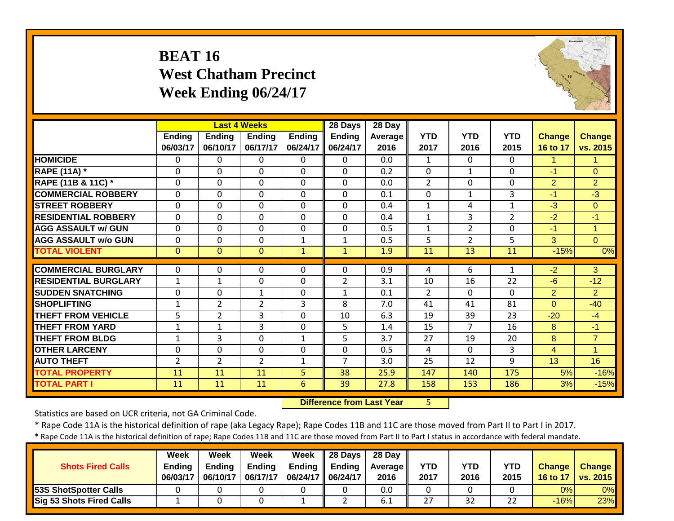#### **BEAT 16 West Chatham Precinct Week Ending 06/24/17**



|                             |                |                | <b>Last 4 Weeks</b> |                | 28 Days        | $\overline{28}$ Day |                |                |                |                |                      |
|-----------------------------|----------------|----------------|---------------------|----------------|----------------|---------------------|----------------|----------------|----------------|----------------|----------------------|
|                             | <b>Ending</b>  | <b>Ending</b>  | <b>Ending</b>       | <b>Ending</b>  | Ending         | <b>Average</b>      | <b>YTD</b>     | <b>YTD</b>     | <b>YTD</b>     | <b>Change</b>  | <b>Change</b>        |
|                             | 06/03/17       | 06/10/17       | 06/17/17            | 06/24/17       | 06/24/17       | 2016                | 2017           | 2016           | 2015           | 16 to 17       | vs. 2015             |
| <b>HOMICIDE</b>             | $\mathbf{0}$   | $\Omega$       | 0                   | $\mathbf 0$    | $\Omega$       | 0.0                 | $\mathbf{1}$   | $\Omega$       | $\Omega$       | 1              | 1.                   |
| <b>RAPE (11A) *</b>         | $\Omega$       | $\Omega$       | 0                   | $\Omega$       | $\Omega$       | 0.2                 | $\Omega$       | $\mathbf{1}$   | $\Omega$       | $-1$           | $\Omega$             |
| RAPE (11B & 11C) *          | $\mathbf 0$    | $\Omega$       | $\Omega$            | $\mathbf 0$    | $\Omega$       | 0.0                 | $\overline{2}$ | $\Omega$       | $\Omega$       | $\overline{2}$ | $\overline{2}$       |
| <b>COMMERCIAL ROBBERY</b>   | $\mathbf 0$    | $\Omega$       | 0                   | $\mathbf 0$    | $\Omega$       | 0.1                 | $\mathbf{0}$   | $\mathbf{1}$   | 3              | $-1$           | $-3$                 |
| <b>STREET ROBBERY</b>       | $\Omega$       | $\Omega$       | 0                   | $\Omega$       | $\Omega$       | 0.4                 | $\mathbf{1}$   | 4              | $\mathbf{1}$   | $-3$           | $\Omega$             |
| <b>RESIDENTIAL ROBBERY</b>  | $\Omega$       | $\Omega$       | 0                   | $\Omega$       | $\Omega$       | 0.4                 | $\mathbf{1}$   | 3              | $\overline{2}$ | $-2$           | $-1$                 |
| <b>AGG ASSAULT w/ GUN</b>   | $\mathbf 0$    | $\Omega$       | 0                   | 0              | $\mathbf 0$    | 0.5                 | $\mathbf{1}$   | $\overline{2}$ | $\mathbf{0}$   | -1             | $\blacktriangleleft$ |
| <b>AGG ASSAULT w/o GUN</b>  | $\mathbf 0$    | $\Omega$       | 0                   | $\mathbf{1}$   | $\mathbf{1}$   | 0.5                 | 5              | $\overline{2}$ | 5              | 3              | $\Omega$             |
| <b>TOTAL VIOLENT</b>        | $\mathbf{0}$   | $\Omega$       | $\Omega$            | $\mathbf{1}$   | $\mathbf{1}$   | 1.9                 | 11             | 13             | 11             | $-15%$         | 0%                   |
|                             |                |                |                     |                |                |                     |                |                |                |                |                      |
| <b>COMMERCIAL BURGLARY</b>  | $\Omega$       | 0              | 0                   | 0              | $\Omega$       | 0.9                 | 4              | 6              | $\mathbf{1}$   | $-2$           | 3                    |
| <b>RESIDENTIAL BURGLARY</b> | $\mathbf{1}$   | 1              | 0                   | 0              | $\overline{2}$ | 3.1                 | 10             | 16             | 22             | $-6$           | $-12$                |
| <b>SUDDEN SNATCHING</b>     | $\mathbf 0$    | $\Omega$       | $\mathbf{1}$        | 0              | $\mathbf{1}$   | 0.1                 | $\overline{2}$ | $\Omega$       | $\Omega$       | $\overline{2}$ | $\overline{2}$       |
| <b>SHOPLIFTING</b>          | $\mathbf{1}$   | $\overline{2}$ | $\overline{2}$      | 3              | 8              | 7.0                 | 41             | 41             | 81             | $\Omega$       | $-40$                |
| <b>THEFT FROM VEHICLE</b>   | 5              | $\overline{2}$ | 3                   | 0              | 10             | 6.3                 | 19             | 39             | 23             | $-20$          | $-4$                 |
| <b>THEFT FROM YARD</b>      | $\mathbf{1}$   | 1              | 3                   | 0              | 5              | 1.4                 | 15             | $\overline{7}$ | 16             | 8              | $-1$                 |
| <b>THEFT FROM BLDG</b>      | 1              | 3              | 0                   | 1              | 5              | 3.7                 | 27             | 19             | 20             | 8              | $\overline{7}$       |
| <b>OTHER LARCENY</b>        | $\mathbf 0$    | $\mathbf 0$    | 0                   | 0              | $\mathbf 0$    | 0.5                 | 4              | $\Omega$       | $\overline{3}$ | 4              | 1                    |
| <b>AUTO THEFT</b>           | $\overline{2}$ | $\overline{2}$ | $\overline{2}$      | $\mathbf{1}$   | $\overline{7}$ | 3.0                 | 25             | 12             | 9              | 13             | 16                   |
| <b>TOTAL PROPERTY</b>       | 11             | 11             | 11                  | 5 <sup>1</sup> | 38             | 25.9                | 147            | 140            | 175            | 5%             | $-16%$               |
| <b>TOTAL PART I</b>         | 11             | 11             | 11                  | $6\phantom{1}$ | 39             | 27.8                | 158            | 153            | 186            | 3%             | $-15%$               |

 **Difference from Last Year**5

Statistics are based on UCR criteria, not GA Criminal Code.

\* Rape Code 11A is the historical definition of rape (aka Legacy Rape); Rape Codes 11B and 11C are those moved from Part II to Part I in 2017.

| <b>Shots Fired Calls</b>        | <b>Week</b><br><b>Ending</b><br>06/03/17 | Week<br>Endina<br>06/10/17 | Week<br><b>Ending</b><br>06/17/17 | Week<br><b>Ending</b><br>06/24/17 | <b>28 Davs</b><br><b>Ending</b><br>06/24/17 | 28 Day<br><b>Average II</b><br>2016 | <b>YTD</b><br>2017 | YTD<br>2016 | YTD<br>2015 | <b>Change</b><br>16 to 17 | <b>Change</b><br><b>vs. 2015</b> |
|---------------------------------|------------------------------------------|----------------------------|-----------------------------------|-----------------------------------|---------------------------------------------|-------------------------------------|--------------------|-------------|-------------|---------------------------|----------------------------------|
| 53S ShotSpotter Calls           |                                          |                            |                                   |                                   |                                             | 0.0                                 |                    |             |             | 0%                        | 0%                               |
| <b>Sig 53 Shots Fired Calls</b> |                                          |                            |                                   |                                   |                                             | b.1                                 | 27                 | 32          | 22          | $-16%$                    | 23%                              |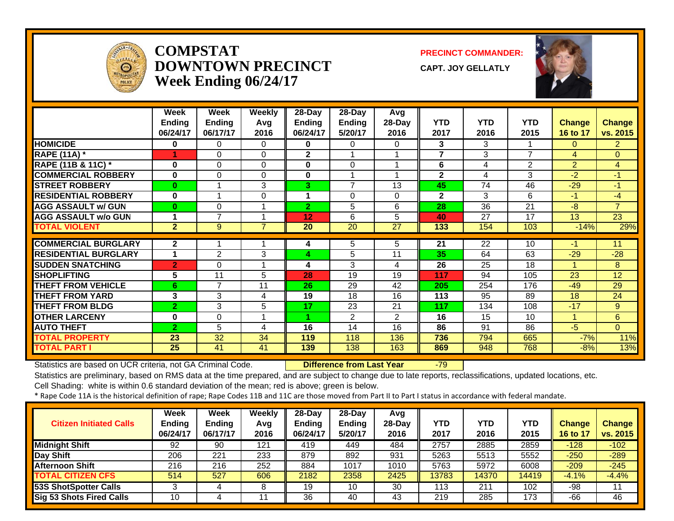

#### **COMPSTATDOWNTOWN PRECINCTWeek Ending 06/24/17**

**PRECINCT COMMANDER:**

**CAPT. JOY GELLATLY**



|                             | Week           | Week           | Weekly   | 28-Day         | 28-Day         | Avg            |                |                 |                 |                |                |
|-----------------------------|----------------|----------------|----------|----------------|----------------|----------------|----------------|-----------------|-----------------|----------------|----------------|
|                             | <b>Ending</b>  | <b>Ending</b>  | Avg      | <b>Ending</b>  | <b>Ending</b>  | 28-Day         | <b>YTD</b>     | <b>YTD</b>      | <b>YTD</b>      | <b>Change</b>  | <b>Change</b>  |
|                             | 06/24/17       | 06/17/17       | 2016     | 06/24/17       | 5/20/17        | 2016           | 2017           | 2016            | 2015            | 16 to 17       | vs. 2015       |
| <b>HOMICIDE</b>             | 0              | 0              | 0        | 0              | 0              | 0              | 3              | 3               |                 | $\Omega$       | $\overline{2}$ |
| <b>RAPE (11A) *</b>         | 1              | 0              | $\Omega$ | $\mathbf{2}$   | 1              |                | $\overline{7}$ | 3               | $\overline{7}$  | 4              | $\overline{0}$ |
| RAPE (11B & 11C) *          | 0              | 0              | 0        | 0              | 0              |                | 6              | 4               | $\overline{2}$  | $\overline{2}$ | $\overline{4}$ |
| <b>COMMERCIAL ROBBERY</b>   | $\bf{0}$       | 0              | $\Omega$ | 0              | 1              |                | $\mathbf{2}$   | 4               | 3               | $-2$           | $-1$           |
| <b>STREET ROBBERY</b>       | $\bf{0}$       |                | 3        | 3              | $\overline{7}$ | 13             | 45             | 74              | $\overline{46}$ | $-29$          | $-1$           |
| <b>RESIDENTIAL ROBBERY</b>  | $\bf{0}$       |                | 0        |                | $\Omega$       | 0              | $\mathbf{2}$   | 3               | 6               | $-1$           | $-4$           |
| <b>AGG ASSAULT w/ GUN</b>   | $\bf{0}$       | 0              | 1        | $\overline{2}$ | 5              | 6              | 28             | 36              | 21              | $-8$           | $\overline{7}$ |
| <b>AGG ASSAULT w/o GUN</b>  |                | $\overline{ }$ |          | 12             | 6              | 5              | 40             | 27              | 17              | 13             | 23             |
| <b>TOTAL VIOLENT</b>        | $\mathbf{2}$   | 9              | 7        | 20             | 20             | 27             | 133            | 154             | 103             | $-14%$         | 29%            |
|                             |                |                |          |                |                |                |                |                 |                 |                |                |
| <b>COMMERCIAL BURGLARY</b>  | $\overline{2}$ |                |          | 4              | 5              | 5              | 21             | $\overline{22}$ | 10              | -1             | 11             |
| <b>RESIDENTIAL BURGLARY</b> |                | 2              | 3        | 4              | 5              | 11             | 35             | 64              | 63              | $-29$          | $-28$          |
| <b>SUDDEN SNATCHING</b>     | $\overline{2}$ | $\Omega$       |          | 4              | 3              | 4              | 26             | 25              | 18              |                | 8              |
| <b>SHOPLIFTING</b>          | 5              | 11             | 5        | 28             | 19             | 19             | 117            | 94              | 105             | 23             | 12             |
| <b>THEFT FROM VEHICLE</b>   | 6              | $\overline{7}$ | 11       | 26             | 29             | 42             | 205            | 254             | 176             | $-49$          | 29             |
| <b>THEFT FROM YARD</b>      | 3              | 3              | 4        | 19             | 18             | 16             | 113            | 95              | 89              | 18             | 24             |
| <b>THEFT FROM BLDG</b>      | $\overline{2}$ | 3              | 5        | 17             | 23             | 21             | 117            | 134             | 108             | $-17$          | 9              |
| <b>OTHER LARCENY</b>        | 0              | 0              | 1        |                | 2              | $\overline{2}$ | 16             | 15              | 10              |                | 6              |
| <b>AUTO THEFT</b>           | $\overline{2}$ | 5              | 4        | 16             | 14             | 16             | 86             | 91              | 86              | $-5$           | $\Omega$       |
| <b>TOTAL PROPERTY</b>       | 23             | 32             | 34       | 119            | 118            | 136            | 736            | 794             | 665             | $-7%$          | 11%            |
| <b>TOTAL PART I</b>         | 25             | 41             | 41       | 139            | 138            | 163            | 869            | 948             | 768             | $-8%$          | 13%            |

Statistics are based on UCR criteria, not GA Criminal Code. **Difference from Last Year** -79

Statistics are preliminary, based on RMS data at the time prepared, and are subject to change due to late reports, reclassifications, updated locations, etc.

Cell Shading: white is within 0.6 standard deviation of the mean; red is above; green is below.

| <b>Citizen Initiated Calls</b>  | Week<br><b>Ending</b><br>06/24/17 | Week<br><b>Ending</b><br>06/17/17 | Weekly<br>Avg<br>2016 | 28-Dav<br>Ending<br>06/24/17 | $28-Dav$<br><b>Ending</b><br>5/20/17 | Avg<br>28-Dav<br>2016 | <b>YTD</b><br>2017 | YTD<br>2016 | <b>YTD</b><br>2015 | <b>Change</b><br>16 to 17 | <b>Change</b><br>vs. 2015 |
|---------------------------------|-----------------------------------|-----------------------------------|-----------------------|------------------------------|--------------------------------------|-----------------------|--------------------|-------------|--------------------|---------------------------|---------------------------|
| <b>Midnight Shift</b>           | 92                                | 90                                | 121                   | 419                          | 449                                  | 484                   | 2757               | 2885        | 2859               | $-128$                    | $-102$                    |
| Day Shift                       | 206                               | 221                               | 233                   | 879                          | 892                                  | 931                   | 5263               | 5513        | 5552               | $-250$                    | $-289$                    |
| Afternoon Shift                 | 216                               | 216                               | 252                   | 884                          | 1017                                 | 1010                  | 5763               | 5972        | 6008               | $-209$                    | $-245$                    |
| <b>TOTAL CITIZEN CFS</b>        | 514                               | 527                               | 606                   | 2182                         | 2358                                 | 2425                  | 13783              | 14370       | 14419              | $-4.1%$                   | $-4.4%$                   |
| <b>53S ShotSpotter Calls</b>    |                                   |                                   | 8                     | 19                           | 10                                   | 30                    | 113                | 211         | 102                | -98                       |                           |
| <b>Sig 53 Shots Fired Calls</b> | 10                                |                                   |                       | 36                           | 40                                   | 43                    | 219                | 285         | 173                | $-66$                     | 46                        |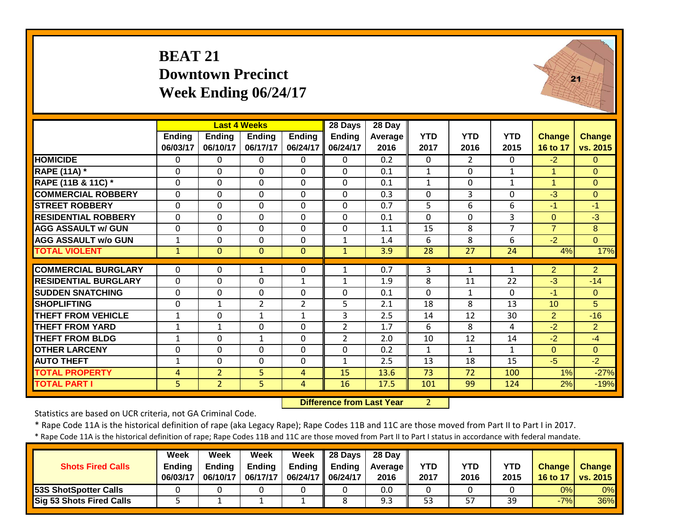#### **BEAT 21 Downtown Precinct Week Ending 06/24/17**



|                             |               |                | <b>Last 4 Weeks</b> |                | 28 Days        | $\overline{28}$ Day |              |                |                |                |                |
|-----------------------------|---------------|----------------|---------------------|----------------|----------------|---------------------|--------------|----------------|----------------|----------------|----------------|
|                             | <b>Ending</b> | <b>Ending</b>  | <b>Ending</b>       | <b>Ending</b>  | <b>Ending</b>  | <b>Average</b>      | <b>YTD</b>   | <b>YTD</b>     | <b>YTD</b>     | <b>Change</b>  | <b>Change</b>  |
|                             | 06/03/17      | 06/10/17       | 06/17/17            | 06/24/17       | 06/24/17       | 2016                | 2017         | 2016           | 2015           | 16 to 17       | vs. 2015       |
| <b>HOMICIDE</b>             | $\mathbf{0}$  | $\Omega$       | 0                   | $\mathbf{0}$   | $\Omega$       | 0.2                 | 0            | $\overline{2}$ | $\Omega$       | $-2$           | $\Omega$       |
| <b>RAPE (11A)</b> *         | 0             | $\Omega$       | 0                   | 0              | $\Omega$       | 0.1                 | $\mathbf{1}$ | $\Omega$       | 1              | $\mathbf{1}$   | $\Omega$       |
| RAPE (11B & 11C) *          | 0             | $\Omega$       | 0                   | $\Omega$       | $\Omega$       | 0.1                 | $\mathbf{1}$ | $\Omega$       | $\mathbf{1}$   | $\mathbf{1}$   | $\Omega$       |
| <b>COMMERCIAL ROBBERY</b>   | $\mathbf 0$   | $\mathbf 0$    | 0                   | $\mathbf 0$    | $\mathbf 0$    | 0.3                 | $\Omega$     | 3              | $\mathbf 0$    | $-3$           | $\overline{0}$ |
| <b>STREET ROBBERY</b>       | 0             | $\Omega$       | 0                   | 0              | $\Omega$       | 0.7                 | 5            | 6              | 6              | $-1$           | $-1$           |
| <b>RESIDENTIAL ROBBERY</b>  | $\mathbf 0$   | $\Omega$       | 0                   | $\mathbf 0$    | $\Omega$       | 0.1                 | $\Omega$     | $\Omega$       | 3              | $\Omega$       | $-3$           |
| <b>AGG ASSAULT w/ GUN</b>   | $\mathbf 0$   | $\mathbf 0$    | 0                   | 0              | $\mathbf 0$    | 1.1                 | 15           | 8              | $\overline{7}$ | $\overline{7}$ | 8              |
| <b>AGG ASSAULT w/o GUN</b>  | $\mathbf{1}$  | $\Omega$       | 0                   | 0              | $\mathbf{1}$   | 1.4                 | 6            | 8              | 6              | $-2$           | $\overline{0}$ |
| <b>TOTAL VIOLENT</b>        | $\mathbf{1}$  | $\mathbf{0}$   | $\overline{0}$      | $\mathbf{0}$   | $\mathbf{1}$   | 3.9                 | 28           | 27             | 24             | 4%             | 17%            |
|                             |               |                |                     |                |                |                     |              |                |                |                |                |
| <b>COMMERCIAL BURGLARY</b>  | $\mathbf{0}$  | $\Omega$       | 1                   | 0              | 1              | 0.7                 | 3            | $\mathbf{1}$   | $\mathbf{1}$   | $\overline{2}$ | $\overline{2}$ |
| <b>RESIDENTIAL BURGLARY</b> | $\mathbf 0$   | $\mathbf 0$    | 0                   | $\mathbf{1}$   | $\mathbf{1}$   | 1.9                 | 8            | 11             | 22             | $-3$           | $-14$          |
| <b>SUDDEN SNATCHING</b>     | $\Omega$      | $\Omega$       | 0                   | $\mathbf 0$    | $\Omega$       | 0.1                 | $\Omega$     | $\mathbf{1}$   | $\Omega$       | $-1$           | $\Omega$       |
| <b>SHOPLIFTING</b>          | 0             | $\mathbf{1}$   | $\overline{2}$      | $\overline{2}$ | 5              | 2.1                 | 18           | 8              | 13             | 10             | 5              |
| <b>THEFT FROM VEHICLE</b>   | $1\,$         | $\mathbf{0}$   | $\mathbf{1}$        | $\mathbf{1}$   | 3              | 2.5                 | 14           | 12             | 30             | $\overline{2}$ | $-16$          |
| <b>THEFT FROM YARD</b>      | $\mathbf{1}$  | $\mathbf{1}$   | 0                   | 0              | $\overline{2}$ | 1.7                 | 6            | 8              | 4              | $-2$           | $\overline{2}$ |
| <b>THEFT FROM BLDG</b>      | $\mathbf{1}$  | $\Omega$       | $\mathbf{1}$        | 0              | $\overline{2}$ | 2.0                 | 10           | 12             | 14             | $-2$           | $-4$           |
| <b>OTHER LARCENY</b>        | $\mathbf 0$   | $\mathbf 0$    | 0                   | 0              | $\mathbf 0$    | 0.2                 | $\mathbf{1}$ | $\mathbf{1}$   | $\mathbf{1}$   | $\overline{0}$ | $\overline{0}$ |
| <b>AUTO THEFT</b>           | $\mathbf{1}$  | $\Omega$       | 0                   | 0              | $\mathbf{1}$   | 2.5                 | 13           | 18             | 15             | $-5$           | $-2$           |
| <b>TOTAL PROPERTY</b>       | 4             | $\overline{2}$ | 5                   | 4              | 15             | 13.6                | 73           | 72             | 100            | 1%             | $-27%$         |
| <b>TOTAL PART I</b>         | 5             | $\overline{2}$ | 5                   | 4              | 16             | 17.5                | 101          | 99             | 124            | 2%             | $-19%$         |

 **Difference from Last Year**r 2

Statistics are based on UCR criteria, not GA Criminal Code.

\* Rape Code 11A is the historical definition of rape (aka Legacy Rape); Rape Codes 11B and 11C are those moved from Part II to Part I in 2017.

| <b>Shots Fired Calls</b>        | <b>Week</b><br><b>Ending</b><br>06/03/17 | Week<br><b>Ending</b><br>06/10/17 | Week<br><b>Ending</b><br>06/17/17 | Week<br><b>Ending</b><br>06/24/17   06/24/17 | $\parallel$ 28 Days<br><b>Ending</b> | 28 Dav<br><b>Average</b> I<br>2016 | <b>YTD</b><br>2017 | YTD<br>2016 | YTD<br>2015 | <b>Change</b><br>16 to 17 | <b>Change</b><br>vs. 2015 |
|---------------------------------|------------------------------------------|-----------------------------------|-----------------------------------|----------------------------------------------|--------------------------------------|------------------------------------|--------------------|-------------|-------------|---------------------------|---------------------------|
| 53S ShotSpotter Calls           |                                          |                                   |                                   |                                              |                                      | 0.0                                |                    |             |             | 0%                        | 0%                        |
| <b>Sig 53 Shots Fired Calls</b> |                                          |                                   |                                   |                                              |                                      | 9.3                                | 53                 | 57          | 39          | $-7%$                     | $36\%$                    |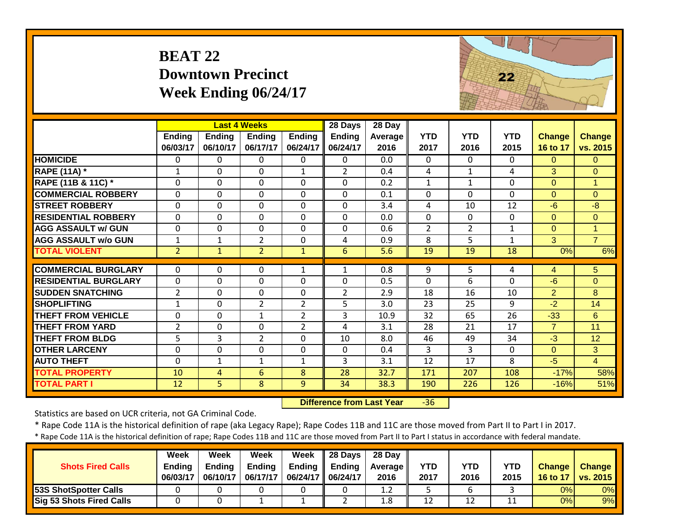#### **BEAT 22 Downtown Precinct Week Ending 06/24/17**



|                                                 |                             |                  | <b>Last 4 Weeks</b>            |                                  | 28 Days        | 28 Day      |                |                |            |                |                     |
|-------------------------------------------------|-----------------------------|------------------|--------------------------------|----------------------------------|----------------|-------------|----------------|----------------|------------|----------------|---------------------|
|                                                 | <b>Ending</b>               | <b>Ending</b>    | <b>Ending</b>                  | <b>Ending</b>                    | <b>Ending</b>  | Average     | <b>YTD</b>     | <b>YTD</b>     | <b>YTD</b> | <b>Change</b>  | <b>Change</b>       |
|                                                 | 06/03/17                    | 06/10/17         | 06/17/17                       | 06/24/17                         | 06/24/17       | 2016        | 2017           | 2016           | 2015       | 16 to 17       | vs. 2015            |
| <b>HOMICIDE</b>                                 | $\Omega$                    | $\Omega$         | $\Omega$                       | $\Omega$                         | $\Omega$       | 0.0         | $\mathbf{0}$   | $\mathbf{0}$   | 0          | $\Omega$       | $\Omega$            |
| <b>RAPE (11A) *</b>                             | $\mathbf{1}$                | $\mathbf 0$      | $\mathbf 0$                    | 1                                | $\overline{2}$ | 0.4         | 4              | $1\,$          | 4          | 3              | $\overline{0}$      |
| RAPE (11B & 11C) *                              | $\Omega$                    | $\mathbf 0$      | $\mathbf 0$                    | $\Omega$                         | 0              | 0.2         | 1              | $\mathbf{1}$   | 0          | $\overline{0}$ | 1                   |
| <b>COMMERCIAL ROBBERY</b>                       | $\mathbf 0$                 | $\mathbf 0$      | $\mathbf 0$                    | $\mathbf 0$                      | 0              | 0.1         | $\mathbf{0}$   | $\Omega$       | 0          | $\Omega$       | $\overline{0}$      |
| <b>STREET ROBBERY</b>                           | $\Omega$                    | $\mathbf 0$      | $\mathbf 0$                    | $\Omega$                         | $\Omega$       | 3.4         | 4              | 10             | 12         | $-6$           | $-8$                |
| <b>RESIDENTIAL ROBBERY</b>                      | $\mathbf{0}$                | 0                | $\mathbf 0$                    | $\Omega$                         | 0              | 0.0         | $\Omega$       | $\Omega$       | 0          | $\overline{0}$ | $\overline{0}$      |
| <b>AGG ASSAULT w/ GUN</b>                       | $\Omega$                    | 0                | $\Omega$                       | $\Omega$                         | 0              | 0.6         | 2              | $\overline{2}$ | 1          | $\Omega$       | 1                   |
| <b>AGG ASSAULT w/o GUN</b>                      | $\mathbf{1}$                | 1                | $\overline{2}$                 | 0                                | 4              | 0.9         | 8              | 5              | 1          | 3              | $\overline{7}$      |
| <b>TOTAL VIOLENT</b>                            | $\overline{2}$              | $\mathbf{1}$     | $\overline{2}$                 | $\mathbf{1}$                     | 6              | 5.6         | 19             | 19             | 18         | 0%             | 6%                  |
| <b>COMMERCIAL BURGLARY</b>                      | $\mathbf{0}$                | $\Omega$         | $\Omega$                       | $\mathbf{1}$                     | $\mathbf{1}$   | 0.8         | 9              | 5              | 4          | $\overline{4}$ | 5                   |
| <b>RESIDENTIAL BURGLARY</b>                     | $\mathbf 0$                 | $\mathbf 0$      | $\mathbf 0$                    | $\Omega$                         | 0              | 0.5         | $\mathbf 0$    | 6              | 0          | $-6$           |                     |
| <b>SUDDEN SNATCHING</b>                         |                             |                  |                                |                                  |                |             | 18             |                |            |                | $\overline{0}$<br>8 |
|                                                 | $\overline{2}$              | $\mathbf 0$      | $\mathbf 0$                    | $\Omega$                         | $\overline{2}$ | 2.9         |                | 16<br>25       | 10         | $\overline{2}$ |                     |
| <b>SHOPLIFTING</b><br><b>THEFT FROM VEHICLE</b> | $\mathbf{1}$<br>$\mathbf 0$ | 0<br>$\mathbf 0$ | $\overline{2}$<br>$\mathbf{1}$ | $\overline{2}$<br>$\overline{2}$ | 5<br>3         | 3.0<br>10.9 | 23<br>32       | 65             | 9<br>26    | $-2$<br>$-33$  | 14<br>6             |
|                                                 |                             |                  |                                |                                  |                |             | 28             | 21             | 17         | $\overline{7}$ | 11                  |
| <b>THEFT FROM YARD</b>                          | $\overline{2}$              | $\mathbf 0$      | $\mathbf 0$                    | $\overline{2}$                   | 4              | 3.1         |                |                |            |                |                     |
| <b>THEFT FROM BLDG</b>                          | 5                           | $\overline{3}$   | $\overline{2}$                 | $\mathbf 0$                      | 10             | 8.0         | 46             | 49             | 34         | $-3$           | 12                  |
| <b>OTHER LARCENY</b>                            | $\mathbf 0$                 | $\mathbf 0$      | $\mathbf 0$                    | $\mathbf 0$                      | $\Omega$       | 0.4         | $\overline{3}$ | 3              | 0          | $\Omega$       | 3                   |
| <b>AUTO THEFT</b>                               | $\mathbf 0$                 | $\mathbf{1}$     | $\mathbf{1}$                   | 1                                | 3              | 3.1         | 12             | 17             | 8          | $-5$           | $\overline{4}$      |
| <b>TOTAL PROPERTY</b>                           | 10                          | 4                | 6                              | 8                                | 28             | 32.7        | 171            | 207            | 108        | $-17%$         | 58%                 |
| <b>TOTAL PART I</b>                             | 12                          | 5                | 8                              | 9                                | 34             | 38.3        | 190            | 226            | 126        | $-16%$         | 51%                 |

 **Difference from Last Year**r -36

Statistics are based on UCR criteria, not GA Criminal Code.

\* Rape Code 11A is the historical definition of rape (aka Legacy Rape); Rape Codes 11B and 11C are those moved from Part II to Part I in 2017.

| <b>Shots Fired Calls</b>        | Week<br><b>Endina</b><br>06/03/17 | Week<br><b>Ending</b><br>06/10/17 | Week<br><b>Ending</b><br>06/17/17 | Week<br><b>Ending</b><br>06/24/17   06/24/17 | $\parallel$ 28 Davs<br><b>Ending</b> | 28 Dav<br><b>Average II</b><br>2016 | <b>YTD</b><br>2017 | YTD<br>2016 | <b>YTD</b><br>2015 | <b>Change</b><br>16 to 17 | <b>Change</b><br>vs. 2015 |
|---------------------------------|-----------------------------------|-----------------------------------|-----------------------------------|----------------------------------------------|--------------------------------------|-------------------------------------|--------------------|-------------|--------------------|---------------------------|---------------------------|
| 53S ShotSpotter Calls           |                                   |                                   |                                   |                                              |                                      | 1.2                                 |                    |             |                    | 0%                        | 0%                        |
| <b>Sig 53 Shots Fired Calls</b> |                                   |                                   |                                   |                                              |                                      | 1.8                                 | 12                 | 12          |                    | 0%                        | 9%                        |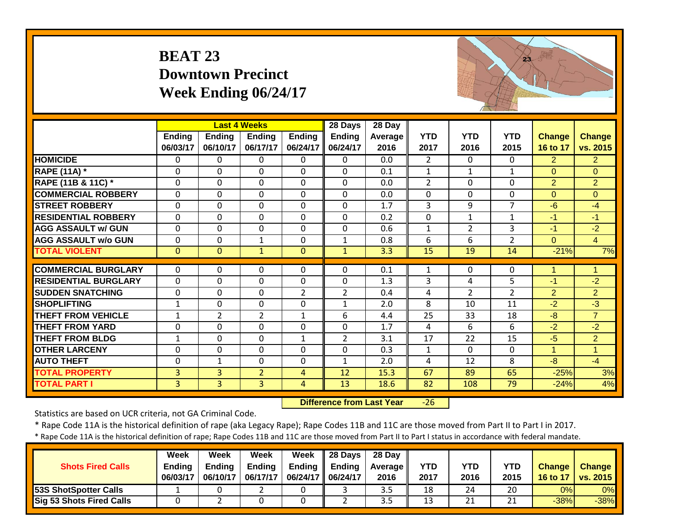## **BEAT 23 Downtown Precinct Week Ending 06/24/17**



|                             |                |                | <b>Last 4 Weeks</b> |                | 28 Days        | 28 Day  |              |                |                |                      |                |
|-----------------------------|----------------|----------------|---------------------|----------------|----------------|---------|--------------|----------------|----------------|----------------------|----------------|
|                             | <b>Ending</b>  | <b>Ending</b>  | <b>Ending</b>       | <b>Ending</b>  | <b>Ending</b>  | Average | <b>YTD</b>   | <b>YTD</b>     | <b>YTD</b>     | <b>Change</b>        | <b>Change</b>  |
|                             | 06/03/17       | 06/10/17       | 06/17/17            | 06/24/17       | 06/24/17       | 2016    | 2017         | 2016           | 2015           | 16 to 17             | vs. 2015       |
| <b>HOMICIDE</b>             | 0              | 0              | $\Omega$            | $\Omega$       | 0              | 0.0     | 2            | $\Omega$       | $\Omega$       | $\overline{2}$       | 2 <sup>1</sup> |
| <b>RAPE (11A) *</b>         | $\Omega$       | $\Omega$       | $\Omega$            | $\Omega$       | $\Omega$       | 0.1     | $\mathbf{1}$ | $\mathbf{1}$   | 1              | $\Omega$             | $\Omega$       |
| RAPE (11B & 11C) *          | $\Omega$       | $\Omega$       | $\Omega$            | $\Omega$       | $\Omega$       | 0.0     | 2            | $\Omega$       | 0              | $\overline{2}$       | $\overline{2}$ |
| <b>COMMERCIAL ROBBERY</b>   | $\Omega$       | $\mathbf 0$    | $\mathbf 0$         | $\Omega$       | $\Omega$       | 0.0     | $\Omega$     | $\Omega$       | 0              | $\Omega$             | $\Omega$       |
| <b>STREET ROBBERY</b>       | $\Omega$       | $\mathbf 0$    | $\mathbf 0$         | $\Omega$       | $\Omega$       | 1.7     | 3            | 9              | $\overline{7}$ | $-6$                 | $-4$           |
| <b>RESIDENTIAL ROBBERY</b>  | $\Omega$       | $\mathbf 0$    | $\mathbf 0$         | $\Omega$       | $\Omega$       | 0.2     | $\mathbf 0$  | $\mathbf{1}$   | $\mathbf{1}$   | $-1$                 | $-1$           |
| <b>AGG ASSAULT w/ GUN</b>   | $\mathbf{0}$   | $\mathbf 0$    | $\mathbf 0$         | $\mathbf 0$    | $\Omega$       | 0.6     | $\mathbf{1}$ | $\overline{2}$ | 3              | $-1$                 | $-2$           |
| <b>AGG ASSAULT w/o GUN</b>  | 0              | 0              | $\mathbf{1}$        | $\mathbf 0$    | $\mathbf{1}$   | 0.8     | 6            | 6              | $\overline{2}$ | $\Omega$             | $\overline{4}$ |
| <b>TOTAL VIOLENT</b>        | $\overline{0}$ | $\overline{0}$ | $\mathbf{1}$        | $\mathbf{0}$   | $\mathbf{1}$   | 3.3     | 15           | 19             | 14             | $-21%$               | 7%             |
|                             |                |                |                     |                |                |         |              |                |                |                      |                |
| <b>COMMERCIAL BURGLARY</b>  | $\Omega$       | 0              | 0                   | 0              | $\Omega$       | 0.1     | 1            | $\mathbf{0}$   | 0              |                      | 1              |
| <b>RESIDENTIAL BURGLARY</b> | $\mathbf{0}$   | $\mathbf 0$    | $\mathbf 0$         | $\mathbf 0$    | $\mathbf 0$    | 1.3     | 3            | 4              | 5              | $-1$                 | $-2$           |
| <b>ISUDDEN SNATCHING</b>    | $\mathbf{0}$   | $\mathbf 0$    | $\Omega$            | $\overline{2}$ | $\overline{2}$ | 0.4     | 4            | $\overline{2}$ | $\overline{2}$ | 2                    | $\overline{2}$ |
| <b>SHOPLIFTING</b>          | $\mathbf{1}$   | 0              | $\mathbf 0$         | $\mathbf 0$    | 1              | 2.0     | 8            | 10             | 11             | $-2$                 | $-3$           |
| <b>THEFT FROM VEHICLE</b>   | $\mathbf{1}$   | $\overline{2}$ | $\overline{2}$      | $\mathbf{1}$   | 6              | 4.4     | 25           | 33             | 18             | $-8$                 | $\overline{7}$ |
| <b>THEFT FROM YARD</b>      | 0              | $\mathbf 0$    | $\mathbf 0$         | $\mathbf 0$    | $\Omega$       | 1.7     | 4            | 6              | 6              | $-2$                 | $-2$           |
| <b>THEFT FROM BLDG</b>      | 1              | $\mathbf 0$    | $\mathbf 0$         | $\mathbf{1}$   | $\overline{2}$ | 3.1     | 17           | 22             | 15             | $-5$                 | $\overline{2}$ |
| <b>OTHER LARCENY</b>        | $\Omega$       | $\mathbf 0$    | $\mathbf 0$         | $\mathbf 0$    | $\Omega$       | 0.3     | $\mathbf{1}$ | $\Omega$       | 0              | $\blacktriangleleft$ | $\mathbf{1}$   |
| <b>AUTO THEFT</b>           | 0              | 1              | $\Omega$            | $\Omega$       | $\mathbf{1}$   | 2.0     | 4            | 12             | 8              | $-8$                 | $-4$           |
| <b>TOTAL PROPERTY</b>       | 3              | 3              | $\overline{2}$      | 4              | 12             | 15.3    | 67           | 89             | 65             | $-25%$               | 3%             |
| <b>TOTAL PART I</b>         | 3              | $\overline{3}$ | $\overline{3}$      | 4              | 13             | 18.6    | 82           | 108            | 79             | $-24%$               | 4%             |

 **Difference from Last Year** $-26$ 

Statistics are based on UCR criteria, not GA Criminal Code.

\* Rape Code 11A is the historical definition of rape (aka Legacy Rape); Rape Codes 11B and 11C are those moved from Part II to Part I in 2017.

| <b>Shots Fired Calls</b>     | Week<br><b>Ending</b><br>06/03/17 | Week<br><b>Ending</b><br>06/10/17 | Week<br><b>Ending</b><br>06/17/17 | Week<br>06/24/17   06/24/17 | $\parallel$ 28 Days<br>Ending $\parallel$ Ending | 28 Day<br><b>Average</b> II<br>2016 | YTD<br>2017 | YTD<br>2016 | YTD<br>2015    | <b>Change</b><br>16 to 17 | <b>Change</b><br><b>vs. 2015</b> |
|------------------------------|-----------------------------------|-----------------------------------|-----------------------------------|-----------------------------|--------------------------------------------------|-------------------------------------|-------------|-------------|----------------|---------------------------|----------------------------------|
| <b>53S ShotSpotter Calls</b> |                                   |                                   |                                   |                             |                                                  | 3.5                                 | 18          | 24          | 20             | 0%                        | $0\%$                            |
| Sig 53 Shots Fired Calls     |                                   |                                   |                                   |                             |                                                  | 3.5                                 | 13          | 21          | 21<br><u>_</u> | $-38%$                    | $-38%$                           |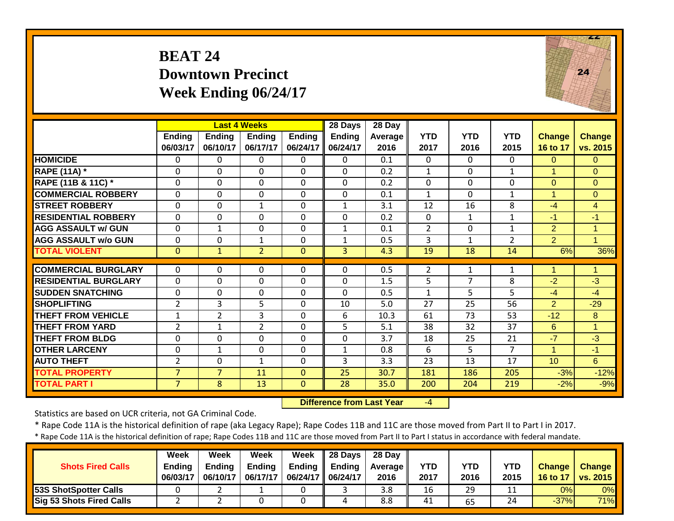#### **BEAT 24 Downtown Precinct Week Ending 06/24/17**



|                             |                |                | <b>Last 4 Weeks</b> |                | 28 Days       | 28 Day  |                |              |                |                      |                |
|-----------------------------|----------------|----------------|---------------------|----------------|---------------|---------|----------------|--------------|----------------|----------------------|----------------|
|                             | <b>Ending</b>  | <b>Ending</b>  | <b>Ending</b>       | <b>Ending</b>  | <b>Ending</b> | Average | <b>YTD</b>     | <b>YTD</b>   | <b>YTD</b>     | <b>Change</b>        | Change         |
|                             | 06/03/17       | 06/10/17       | 06/17/17            | 06/24/17       | 06/24/17      | 2016    | 2017           | 2016         | 2015           | 16 to 17             | vs. 2015       |
| <b>HOMICIDE</b>             | $\mathbf{0}$   | $\Omega$       | 0                   | $\mathbf{0}$   | $\Omega$      | 0.1     | $\Omega$       | $\Omega$     | $\Omega$       | $\Omega$             | $\Omega$       |
| <b>RAPE (11A)</b> *         | $\Omega$       | $\Omega$       | 0                   | $\Omega$       | $\Omega$      | 0.2     | $\mathbf{1}$   | $\Omega$     | $\mathbf{1}$   | $\blacktriangleleft$ | $\Omega$       |
| RAPE (11B & 11C) *          | 0              | $\mathbf 0$    | 0                   | 0              | $\Omega$      | 0.2     | 0              | $\mathbf 0$  | $\mathbf 0$    | $\overline{0}$       | $\mathbf{0}$   |
| <b>COMMERCIAL ROBBERY</b>   | $\Omega$       | $\Omega$       | 0                   | 0              | $\Omega$      | 0.1     | $\mathbf{1}$   | $\Omega$     | 1              | $\blacktriangleleft$ | $\Omega$       |
| <b>STREET ROBBERY</b>       | $\mathbf 0$    | $\Omega$       | $\mathbf{1}$        | 0              | $\mathbf{1}$  | 3.1     | 12             | 16           | 8              | $-4$                 | $\overline{4}$ |
| <b>RESIDENTIAL ROBBERY</b>  | $\mathbf 0$    | 0              | 0                   | 0              | $\mathbf 0$   | 0.2     | $\mathbf 0$    | $\mathbf{1}$ | 1              | -1                   | $-1$           |
| <b>AGG ASSAULT w/ GUN</b>   | $\Omega$       | $\mathbf{1}$   | 0                   | 0              | $\mathbf{1}$  | 0.1     | $\overline{2}$ | $\Omega$     | 1              | 2                    | $\mathbf{1}$   |
| <b>AGG ASSAULT w/o GUN</b>  | 0              | $\Omega$       | $\mathbf 1$         | 0              | $\mathbf{1}$  | 0.5     | 3              | $\mathbf{1}$ | $\overline{2}$ | 2 <sup>1</sup>       | $\overline{1}$ |
| <b>TOTAL VIOLENT</b>        | $\mathbf{0}$   | $\mathbf{1}$   | $\overline{2}$      | $\overline{0}$ | 3             | 4.3     | 19             | 18           | 14             | 6%                   | 36%            |
|                             |                |                |                     |                |               |         |                |              |                |                      |                |
| <b>COMMERCIAL BURGLARY</b>  | $\Omega$       | 0              | 0                   | $\Omega$       | $\Omega$      | 0.5     | 2              | 1            | $\mathbf{1}$   | 4                    | 1              |
| <b>RESIDENTIAL BURGLARY</b> | $\Omega$       | $\Omega$       | 0                   | 0              | $\mathbf 0$   | 1.5     | 5              | 7            | 8              | $-2$                 | $-3$           |
| <b>ISUDDEN SNATCHING</b>    | 0              | $\Omega$       | 0                   | 0              | $\Omega$      | 0.5     | 1              | 5            | 5              | $-4$                 | $-4$           |
| <b>ISHOPLIFTING</b>         | $\overline{2}$ | 3              | 5                   | 0              | 10            | 5.0     | 27             | 25           | 56             | $\overline{2}$       | $-29$          |
| <b>THEFT FROM VEHICLE</b>   | $\mathbf{1}$   | $\overline{2}$ | 3                   | 0              | 6             | 10.3    | 61             | 73           | 53             | $-12$                | 8              |
| <b>THEFT FROM YARD</b>      | $\overline{2}$ | 1              | $\overline{2}$      | 0              | 5             | 5.1     | 38             | 32           | 37             | 6                    | $\overline{1}$ |
| <b>THEFT FROM BLDG</b>      | $\Omega$       | $\Omega$       | 0                   | 0              | $\Omega$      | 3.7     | 18             | 25           | 21             | $-7$                 | $-3$           |
| <b>OTHER LARCENY</b>        | 0              | $\mathbf{1}$   | 0                   | 0              | $\mathbf{1}$  | 0.8     | 6              | 5            | 7              | 1                    | $-1$           |
| <b>AUTO THEFT</b>           | $\overline{2}$ | 0              | $\mathbf{1}$        | 0              | 3             | 3.3     | 23             | 13           | 17             | 10                   | 6              |
| <b>TOTAL PROPERTY</b>       | $\overline{7}$ | $\overline{7}$ | 11                  | $\Omega$       | 25            | 30.7    | 181            | 186          | 205            | $-3%$                | $-12%$         |
| <b>TOTAL PART I</b>         | $\overline{7}$ | 8              | 13                  | $\mathbf{0}$   | 28            | 35.0    | 200            | 204          | 219            | $-2%$                | $-9%$          |

 **Difference from Last Year**‐4

Statistics are based on UCR criteria, not GA Criminal Code.

\* Rape Code 11A is the historical definition of rape (aka Legacy Rape); Rape Codes 11B and 11C are those moved from Part II to Part I in 2017.

| <b>Shots Fired Calls</b>        | Week<br><b>Ending</b><br>06/03/17 | Week<br><b>Ending</b><br>06/10/17 | Week<br><b>Ending</b><br>06/17/17 | Week<br>06/24/17   06/24/17 | $\parallel$ 28 Days<br>Ending $\parallel$ Ending | 28 Day<br><b>Average</b> II<br>2016 | <b>YTD</b><br>2017 | <b>YTD</b><br>2016 | <b>YTD</b><br>2015 | <b>Change</b><br>16 to 17 | <b>Change</b><br>vs. 2015 |
|---------------------------------|-----------------------------------|-----------------------------------|-----------------------------------|-----------------------------|--------------------------------------------------|-------------------------------------|--------------------|--------------------|--------------------|---------------------------|---------------------------|
| <b>53S ShotSpotter Calls</b>    |                                   |                                   |                                   |                             |                                                  | 3.8                                 | 16                 | 29                 |                    | 0%                        | 0%                        |
| <b>Sig 53 Shots Fired Calls</b> |                                   |                                   |                                   |                             |                                                  | 8.8                                 | 41                 | 65                 | 24                 | $-37%$                    | 71%                       |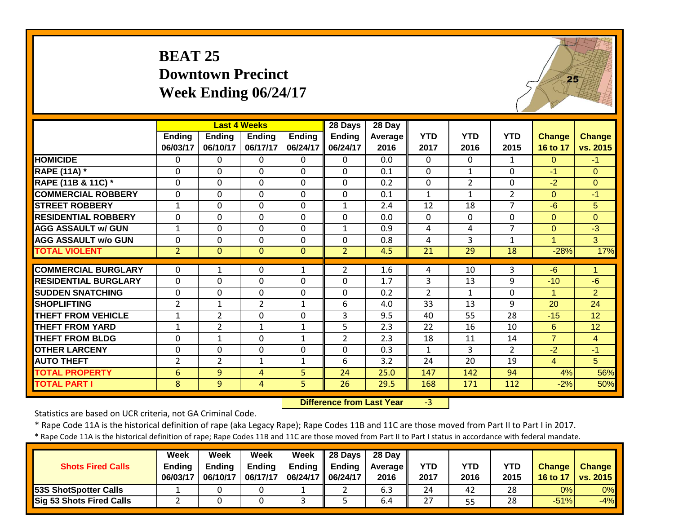#### **BEAT 25 Downtown Precinct Week Ending 06/24/17**

 $25$ 

|                             |                           |                           | <b>Last 4 Weeks</b>       |                           | 28 Days            | 28 Day                 |                    |                    |                    |                           |                           |
|-----------------------------|---------------------------|---------------------------|---------------------------|---------------------------|--------------------|------------------------|--------------------|--------------------|--------------------|---------------------------|---------------------------|
|                             | <b>Ending</b><br>06/03/17 | <b>Ending</b><br>06/10/17 | <b>Ending</b><br>06/17/17 | <b>Ending</b><br>06/24/17 | Ending<br>06/24/17 | <b>Average</b><br>2016 | <b>YTD</b><br>2017 | <b>YTD</b><br>2016 | <b>YTD</b><br>2015 | <b>Change</b><br>16 to 17 | <b>Change</b><br>vs. 2015 |
| <b>HOMICIDE</b>             | 0                         | 0                         | 0                         | $\Omega$                  | $\Omega$           | 0.0                    | $\Omega$           | 0                  | $\mathbf{1}$       | $\Omega$                  | $-1$                      |
| <b>RAPE (11A)</b> *         | 0                         | $\Omega$                  | $\mathbf 0$               | $\mathbf{0}$              | $\Omega$           | 0.1                    | $\Omega$           | $\mathbf{1}$       | 0                  | $-1$                      | $\Omega$                  |
| RAPE (11B & 11C) *          | $\mathbf{0}$              | 0                         | $\mathbf 0$               | $\mathbf 0$               | $\mathbf 0$        | 0.2                    | $\mathbf 0$        | $\overline{2}$     | 0                  | $-2$                      | $\overline{0}$            |
| <b>COMMERCIAL ROBBERY</b>   | $\mathbf{0}$              | 0                         | $\mathbf 0$               | $\mathbf 0$               | $\mathbf 0$        | 0.1                    | $\mathbf{1}$       | $\mathbf{1}$       | $\overline{2}$     | $\Omega$                  | $-1$                      |
| <b>STREET ROBBERY</b>       | $\mathbf{1}$              | 0                         | $\mathbf 0$               | $\mathbf{0}$              | $\mathbf{1}$       | 2.4                    | 12                 | 18                 | $\overline{7}$     | $-6$                      | 5                         |
| <b>RESIDENTIAL ROBBERY</b>  | $\mathbf{0}$              | 0                         | $\Omega$                  | $\mathbf{0}$              | $\Omega$           | 0.0                    | 0                  | $\Omega$           | 0                  | $\Omega$                  | $\Omega$                  |
| <b>AGG ASSAULT w/ GUN</b>   | $\mathbf{1}$              | 0                         | $\mathbf 0$               | $\mathbf 0$               | $\mathbf{1}$       | 0.9                    | 4                  | 4                  | $\overline{7}$     | $\overline{0}$            | $-3$                      |
| <b>AGG ASSAULT w/o GUN</b>  | $\Omega$                  | $\Omega$                  | 0                         | $\mathbf 0$               | $\Omega$           | 0.8                    | 4                  | 3                  | 1                  | $\mathbf{1}$              | 3                         |
| <b>TOTAL VIOLENT</b>        | $\overline{2}$            | $\mathbf{0}$              | $\overline{0}$            | $\mathbf{0}$              | $\overline{2}$     | 4.5                    | 21                 | 29                 | 18                 | $-28%$                    | 17%                       |
| <b>COMMERCIAL BURGLARY</b>  | $\Omega$                  |                           |                           |                           |                    |                        |                    |                    |                    | $-6$                      | 1                         |
|                             |                           | 1                         | 0                         | $\mathbf{1}$              | $\overline{2}$     | 1.6                    | 4                  | 10                 | 3                  |                           |                           |
| <b>RESIDENTIAL BURGLARY</b> | $\mathbf 0$               | $\Omega$                  | 0                         | $\mathbf 0$               | $\Omega$           | 1.7                    | 3                  | 13                 | 9                  | $-10$                     | $-6$                      |
| <b>ISUDDEN SNATCHING</b>    | $\mathbf{0}$              | 0                         | 0                         | $\mathbf 0$               | $\Omega$           | 0.2                    | $\overline{2}$     | $\mathbf{1}$       | 0                  | 1                         | $\overline{2}$            |
| <b>SHOPLIFTING</b>          | $\overline{2}$            | $\mathbf 1$               | $\overline{2}$            | $\mathbf{1}$              | 6                  | 4.0                    | 33                 | 13                 | 9                  | 20                        | 24                        |
| <b>THEFT FROM VEHICLE</b>   | $\mathbf{1}$              | $\overline{2}$            | 0                         | $\mathbf 0$               | $\overline{3}$     | 9.5                    | 40                 | 55                 | 28                 | $-15$                     | 12                        |
| <b>THEFT FROM YARD</b>      | $\mathbf{1}$              | $\overline{2}$            | $\mathbf{1}$              | $\mathbf{1}$              | 5                  | 2.3                    | 22                 | 16                 | 10                 | 6                         | 12                        |
| <b>THEFT FROM BLDG</b>      | 0                         | $\mathbf{1}$              | 0                         | $\mathbf{1}$              | $\overline{2}$     | 2.3                    | 18                 | 11                 | 14                 | $\overline{7}$            | $\overline{4}$            |
| <b>OTHER LARCENY</b>        | 0                         | 0                         | 0                         | $\mathbf 0$               | 0                  | 0.3                    | $\mathbf{1}$       | 3                  | $\overline{2}$     | $-2$                      | $-1$                      |
| <b>AUTO THEFT</b>           | 2                         | $\overline{2}$            | $\mathbf 1$               | $\mathbf{1}$              | 6                  | 3.2                    | 24                 | 20                 | 19                 | $\overline{4}$            | 5                         |
| <b>TOTAL PROPERTY</b>       | 6                         | 9                         | 4                         | 5                         | 24                 | 25.0                   | 147                | 142                | 94                 | 4%                        | 56%                       |
| <b>TOTAL PART I</b>         | 8                         | 9                         | $\overline{4}$            | 5                         | 26                 | 29.5                   | 168                | 171                | 112                | $-2%$                     | 50%                       |

 **Difference from Last Year**r -3

Statistics are based on UCR criteria, not GA Criminal Code.

\* Rape Code 11A is the historical definition of rape (aka Legacy Rape); Rape Codes 11B and 11C are those moved from Part II to Part I in 2017.

| <b>Shots Fired Calls</b>        | <b>Week</b><br><b>Ending</b><br>06/03/17 | Week<br><b>Ending</b><br>06/10/17 | Week<br><b>Ending</b><br>06/17/17 | Week<br>06/24/17   06/24/17 | $\parallel$ 28 Days<br>Ending $\parallel$ Ending | 28 Day<br><b>Average II</b><br>2016 | <b>YTD</b><br>2017 | YTD<br>2016 | <b>YTD</b><br>2015 | <b>Change</b><br>16 to 17 | <b>Change</b><br><b>vs. 2015</b> |
|---------------------------------|------------------------------------------|-----------------------------------|-----------------------------------|-----------------------------|--------------------------------------------------|-------------------------------------|--------------------|-------------|--------------------|---------------------------|----------------------------------|
| 53S ShotSpotter Calls           |                                          |                                   |                                   |                             |                                                  | 6.3                                 | 24                 | 42          | 28                 | 0%                        | 0%                               |
| <b>Sig 53 Shots Fired Calls</b> |                                          |                                   |                                   |                             |                                                  | 6.4                                 | 27                 | 55          | 28                 | $-51%$                    | $-4%$                            |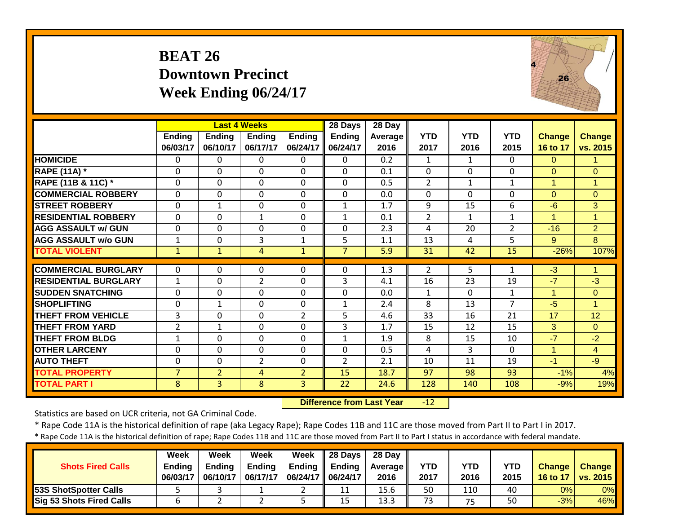#### **BEAT 26 Downtown Precinct Week Ending 06/24/17**



|                             |                |                | <b>Last 4 Weeks</b> |                | 28 Days        | 28 Day  |                |              |                |                |                |
|-----------------------------|----------------|----------------|---------------------|----------------|----------------|---------|----------------|--------------|----------------|----------------|----------------|
|                             | <b>Ending</b>  | <b>Ending</b>  | <b>Ending</b>       | <b>Ending</b>  | <b>Ending</b>  | Average | <b>YTD</b>     | <b>YTD</b>   | <b>YTD</b>     | <b>Change</b>  | <b>Change</b>  |
|                             | 06/03/17       | 06/10/17       | 06/17/17            | 06/24/17       | 06/24/17       | 2016    | 2017           | 2016         | 2015           | 16 to 17       | vs. 2015       |
| <b>HOMICIDE</b>             | $\mathbf{0}$   | $\Omega$       | 0                   | $\Omega$       | $\Omega$       | 0.2     | $\mathbf{1}$   | $\mathbf{1}$ | $\Omega$       | $\Omega$       | 1              |
| <b>RAPE (11A)</b> *         | $\Omega$       | $\Omega$       | 0                   | $\Omega$       | $\Omega$       | 0.1     | $\Omega$       | $\mathbf 0$  | $\Omega$       | $\overline{0}$ | $\Omega$       |
| RAPE (11B & 11C) *          | $\mathbf 0$    | $\Omega$       | $\Omega$            | $\mathbf 0$    | $\Omega$       | 0.5     | $\overline{2}$ | $\mathbf{1}$ | 1              | $\mathbf{1}$   | $\mathbf{1}$   |
| <b>COMMERCIAL ROBBERY</b>   | $\Omega$       | $\Omega$       | 0                   | $\Omega$       | $\Omega$       | 0.0     | $\Omega$       | $\Omega$     | $\Omega$       | $\Omega$       | $\Omega$       |
| <b>STREET ROBBERY</b>       | $\mathbf 0$    | 1              | 0                   | $\mathbf 0$    | $\mathbf{1}$   | 1.7     | 9              | 15           | 6              | $-6$           | 3              |
| <b>RESIDENTIAL ROBBERY</b>  | $\mathbf 0$    | $\Omega$       | $\mathbf{1}$        | $\Omega$       | $\mathbf{1}$   | 0.1     | $\overline{2}$ | $\mathbf{1}$ | $\mathbf{1}$   | $\mathbf{1}$   | $\mathbf{1}$   |
| <b>AGG ASSAULT w/ GUN</b>   | $\mathbf 0$    | $\Omega$       | 0                   | $\mathbf 0$    | $\Omega$       | 2.3     | 4              | 20           | $\overline{2}$ | $-16$          | $\overline{2}$ |
| <b>AGG ASSAULT w/o GUN</b>  | 1              | $\Omega$       | 3                   | $\mathbf{1}$   | 5              | 1.1     | 13             | 4            | 5              | 9 <sup>°</sup> | 8              |
| <b>TOTAL VIOLENT</b>        | $\mathbf{1}$   | $\mathbf{1}$   | 4                   | $\mathbf{1}$   | $\overline{7}$ | 5.9     | 31             | 42           | 15             | $-26%$         | 107%           |
|                             |                |                |                     |                |                |         |                |              |                |                |                |
| <b>COMMERCIAL BURGLARY</b>  | $\Omega$       | $\Omega$       | 0                   | $\Omega$       | $\Omega$       | 1.3     | $\overline{2}$ | 5            | $\mathbf{1}$   | $-3$           | $\mathbf{1}$   |
| <b>RESIDENTIAL BURGLARY</b> | $\mathbf{1}$   | $\Omega$       | $\overline{2}$      | $\Omega$       | 3              | 4.1     | 16             | 23           | 19             | $-7$           | $-3$           |
| <b>ISUDDEN SNATCHING</b>    | 0              | $\Omega$       | 0                   | $\Omega$       | $\mathbf{0}$   | 0.0     | $\mathbf{1}$   | $\Omega$     | 1              | 1              | $\Omega$       |
| <b>SHOPLIFTING</b>          | $\mathbf 0$    | $\mathbf{1}$   | 0                   | $\mathbf 0$    | $\mathbf{1}$   | 2.4     | 8              | 13           | $\overline{7}$ | $-5$           | 1              |
| <b>THEFT FROM VEHICLE</b>   | 3              | $\Omega$       | 0                   | $\overline{2}$ | 5              | 4.6     | 33             | 16           | 21             | 17             | 12             |
| <b>THEFT FROM YARD</b>      | $\overline{2}$ | $\mathbf{1}$   | 0                   | $\Omega$       | 3              | 1.7     | 15             | 12           | 15             | 3              | $\Omega$       |
| <b>THEFT FROM BLDG</b>      | 1              | 0              | 0                   | 0              | $\mathbf{1}$   | 1.9     | 8              | 15           | 10             | $-7$           | $-2$           |
| <b>OTHER LARCENY</b>        | $\Omega$       | 0              | 0                   | $\Omega$       | $\Omega$       | 0.5     | 4              | 3            | $\Omega$       | 1              | 4              |
| <b>AUTO THEFT</b>           | $\mathbf{0}$   | 0              | $\overline{2}$      | $\Omega$       | $\overline{2}$ | 2.1     | 10             | 11           | 19             | $-1$           | $-9$           |
| <b>TOTAL PROPERTY</b>       | $\overline{7}$ | $\overline{2}$ | 4                   | $\overline{2}$ | 15             | 18.7    | 97             | 98           | 93             | $-1%$          | 4%             |
| <b>TOTAL PART I</b>         | 8              | 3              | 8                   | 3              | 22             | 24.6    | 128            | 140          | 108            | $-9%$          | 19%            |

 **Difference from Last Year** $-12$ 

Statistics are based on UCR criteria, not GA Criminal Code.

\* Rape Code 11A is the historical definition of rape (aka Legacy Rape); Rape Codes 11B and 11C are those moved from Part II to Part I in 2017.

| <b>Shots Fired Calls</b>        | <b>Week</b><br><b>Ending</b><br>06/03/17 | Week<br><b>Ending</b><br>06/10/17 | Week<br><b>Ending</b><br>06/17/17 | Week<br>Ending<br>06/24/17   06/24/17 | $\parallel$ 28 Days<br><b>Ending</b> | 28 Day<br><b>Average</b> I<br>2016 | <b>YTD</b><br>2017 | YTD<br>2016 | <b>YTD</b><br>2015 | <b>Change</b><br>16 to 17 | <b>Change</b><br>vs. 2015 |
|---------------------------------|------------------------------------------|-----------------------------------|-----------------------------------|---------------------------------------|--------------------------------------|------------------------------------|--------------------|-------------|--------------------|---------------------------|---------------------------|
| 53S ShotSpotter Calls           |                                          |                                   |                                   |                                       | 11                                   | 15.6                               | 50                 | 110         | 40                 | 0%                        | 0%                        |
| <b>Sig 53 Shots Fired Calls</b> |                                          |                                   |                                   |                                       | 15                                   | 13.3                               | 73                 | 75          | 50                 | $-3%$                     | 46%                       |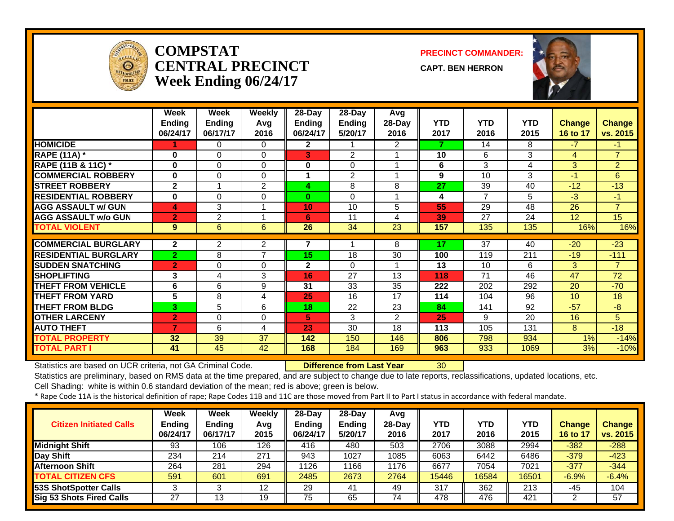

#### **COMPSTATCENTRAL PRECINCTWeek Ending 06/24/17**

**PRECINCT COMMANDER:**

**CAPT. BEN HERRON**



|                             | Week<br><b>Ending</b><br>06/24/17 | Week<br><b>Ending</b><br>06/17/17 | Weekly<br>Avg<br>2016 | 28-Day<br><b>Ending</b><br>06/24/17 | 28-Day<br><b>Ending</b><br>5/20/17 | Avg<br>28-Day<br>2016 | <b>YTD</b><br>2017 | <b>YTD</b><br>2016 | <b>YTD</b><br>2015 | <b>Change</b><br>16 to 17 | <b>Change</b><br>vs. 2015 |
|-----------------------------|-----------------------------------|-----------------------------------|-----------------------|-------------------------------------|------------------------------------|-----------------------|--------------------|--------------------|--------------------|---------------------------|---------------------------|
| <b>HOMICIDE</b>             |                                   | 0                                 | $\Omega$              | $\mathbf{2}$                        |                                    | $\overline{2}$        |                    | 14                 | 8                  | $-7$                      | $-1$                      |
| <b>RAPE (11A) *</b>         | $\bf{0}$                          | $\Omega$                          | $\Omega$              | 3                                   | $\overline{2}$                     |                       | 10                 | 6                  | 3                  | 4                         | $\overline{7}$            |
| RAPE (11B & 11C) *          | $\bf{0}$                          | $\Omega$                          | $\Omega$              | 0                                   | $\Omega$                           |                       | 6                  | 3                  | 4                  | 3                         | $\overline{2}$            |
| <b>COMMERCIAL ROBBERY</b>   | $\bf{0}$                          | $\Omega$                          | $\Omega$              |                                     | $\overline{2}$                     |                       | 9                  | 10                 | 3                  | $-1$                      | 6                         |
| <b>STREET ROBBERY</b>       | $\overline{2}$                    |                                   | 2                     | 4                                   | 8                                  | 8                     | 27                 | 39                 | 40                 | $-12$                     | $-13$                     |
| <b>RESIDENTIAL ROBBERY</b>  | $\bf{0}$                          | $\Omega$                          | 0                     | $\bf{0}$                            | $\Omega$                           |                       | 4                  | 7                  | 5                  | $-3$                      | $-1$                      |
| <b>AGG ASSAULT w/ GUN</b>   | 4                                 | 3                                 | 1                     | 10                                  | 10                                 | 5                     | 55                 | 29                 | 48                 | 26                        | $\overline{7}$            |
| <b>AGG ASSAULT w/o GUN</b>  | $\overline{2}$                    | 2                                 |                       | 6                                   | 11                                 | 4                     | 39                 | 27                 | 24                 | 12 <sup>2</sup>           | 15                        |
| <b>TOTAL VIOLENT</b>        | 9                                 | 6                                 | 6                     | 26                                  | 34                                 | 23                    | 157                | 135                | 135                | 16%                       | 16%                       |
| <b>COMMERCIAL BURGLARY</b>  | $\overline{2}$                    |                                   |                       | 7                                   |                                    | 8                     | 17                 | 37                 | 40                 | $-20$                     | $-23$                     |
| <b>RESIDENTIAL BURGLARY</b> | $\overline{2}$                    | $\mathbf{2}^{\prime}$<br>8        | 2<br>7                | 15                                  | 18                                 | 30                    | 100                | 119                | 211                | $-19$                     | $-111$                    |
| <b>SUDDEN SNATCHING</b>     |                                   |                                   | $\Omega$              | $\mathbf{2}$                        | $\Omega$                           |                       | 13                 |                    | 6                  | 3.                        | $\overline{7}$            |
|                             | $\overline{2}$                    | $\Omega$                          |                       |                                     |                                    |                       |                    | 10                 |                    |                           |                           |
| <b>ISHOPLIFTING</b>         | 3                                 | 4                                 | 3                     | 16                                  | 27                                 | 13                    | 118                | 71                 | 46                 | 47                        | 72                        |
| <b>THEFT FROM VEHICLE</b>   | 6                                 | 6                                 | 9                     | 31                                  | 33                                 | 35                    | 222                | 202                | 292                | 20                        | $-70$                     |
| <b>THEFT FROM YARD</b>      | 5                                 | 8                                 | 4                     | 25                                  | 16                                 | 17                    | 114                | 104                | 96                 | 10 <sup>°</sup>           | 18                        |
| <b>THEFT FROM BLDG</b>      | 3 <sup>1</sup>                    | 5                                 | 6                     | 18                                  | 22                                 | 23                    | 84                 | 141                | 92                 | $-57$                     | $-8$                      |
| <b>OTHER LARCENY</b>        | $\overline{2}$                    | $\Omega$                          | $\Omega$              | 5                                   | 3                                  | $\overline{2}$        | 25                 | 9                  | 20                 | 16                        | 5                         |
| <b>AUTO THEFT</b>           | $\overline{7}$                    | 6                                 | 4                     | 23                                  | 30                                 | 18                    | 113                | 105                | 131                | 8                         | $-18$                     |
| <b>TOTAL PROPERTY</b>       | 32                                | 39                                | 37                    | 142                                 | 150                                | 146                   | 806                | 798                | 934                | 1%                        | $-14%$                    |
| <b>TOTAL PART I</b>         | 41                                | 45                                | 42                    | 168                                 | 184                                | 169                   | 963                | 933                | 1069               | 3%                        | $-10%$                    |

Statistics are based on UCR criteria, not GA Criminal Code. **Difference from Last Year** 30

Statistics are preliminary, based on RMS data at the time prepared, and are subject to change due to late reports, reclassifications, updated locations, etc. Cell Shading: white is within 0.6 standard deviation of the mean; red is above; green is below.

| <b>Citizen Initiated Calls</b> | Week<br><b>Ending</b><br>06/24/17 | <b>Week</b><br><b>Ending</b><br>06/17/17 | <b>Weekly</b><br>Avg<br>2015 | $28$ -Day<br><b>Ending</b><br>06/24/17 | 28-Day<br><b>Ending</b><br>5/20/17 | Avg<br>28-Dav<br>2016 | <b>YTD</b><br>2017 | YTD<br>2016 | <b>YTD</b><br>2015 | <b>Change</b><br>16 to 17 | <b>Change</b><br>vs. 2015 |
|--------------------------------|-----------------------------------|------------------------------------------|------------------------------|----------------------------------------|------------------------------------|-----------------------|--------------------|-------------|--------------------|---------------------------|---------------------------|
| Midnight Shift                 | 93                                | 106                                      | 126                          | 416                                    | 480                                | 503                   | 2706               | 3088        | 2994               | $-382$                    | $-288$                    |
| Day Shift                      | 234                               | 214                                      | 271                          | 943                                    | 1027                               | 1085                  | 6063               | 6442        | 6486               | $-379$                    | $-423$                    |
| <b>Afternoon Shift</b>         | 264                               | 281                                      | 294                          | 1126                                   | 1166                               | 1176                  | 6677               | 7054        | 7021               | $-377$                    | $-344$                    |
| <b>TOTAL CITIZEN CFS</b>       | 591                               | 601                                      | 691                          | 2485                                   | 2673                               | 2764                  | 15446              | 16584       | 16501              | $-6.9%$                   | $-6.4%$                   |
| <b>53S ShotSpotter Calls</b>   |                                   |                                          | 12                           | 29                                     | 41                                 | 49                    | 317                | 362         | 213                | -45                       | 104                       |
| Sig 53 Shots Fired Calls       | 27                                | 13                                       | 19                           | 75                                     | 65                                 | 74                    | 478                | 476         | 421                |                           | 57                        |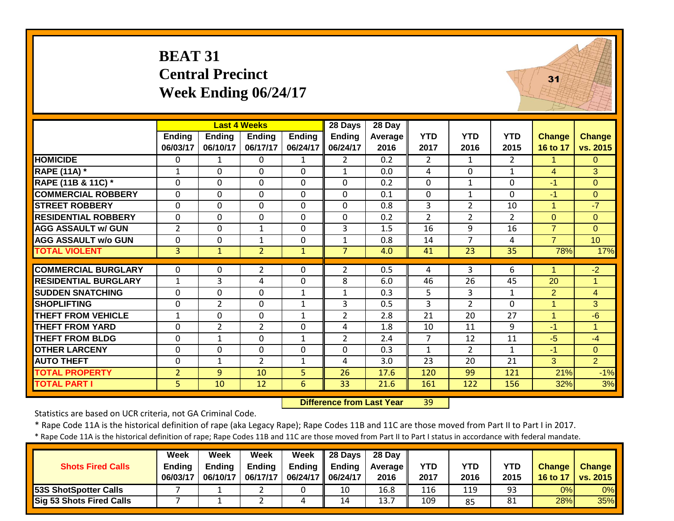| <b>BEAT 31</b>              |
|-----------------------------|
| <b>Central Precinct</b>     |
| <b>Week Ending 06/24/17</b> |



|                             |                |                | <b>Last 4 Weeks</b> |               | 28 Days        | 28 Day  |                |                 |                |                |                |
|-----------------------------|----------------|----------------|---------------------|---------------|----------------|---------|----------------|-----------------|----------------|----------------|----------------|
|                             | <b>Ending</b>  | <b>Ending</b>  | <b>Ending</b>       | <b>Ending</b> | <b>Ending</b>  | Average | <b>YTD</b>     | <b>YTD</b>      | <b>YTD</b>     | Change         | Change         |
|                             | 06/03/17       | 06/10/17       | 06/17/17            | 06/24/17      | 06/24/17       | 2016    | 2017           | 2016            | 2015           | 16 to 17       | vs. 2015       |
| <b>HOMICIDE</b>             | 0              | 1              | $\Omega$            | 1             | $\mathbf{2}$   | 0.2     | 2              | 1               | $\overline{2}$ | 1.             | 0              |
| <b>RAPE (11A) *</b>         | 1              | $\Omega$       | $\Omega$            | $\Omega$      | $\mathbf{1}$   | 0.0     | 4              | $\Omega$        | 1              | 4              | 3              |
| RAPE (11B & 11C) *          | $\Omega$       | $\Omega$       | $\Omega$            | $\Omega$      | $\mathbf{0}$   | 0.2     | $\Omega$       | $\mathbf{1}$    | $\Omega$       | $-1$           | $\Omega$       |
| <b>COMMERCIAL ROBBERY</b>   | $\Omega$       | $\Omega$       | $\Omega$            | $\Omega$      | $\Omega$       | 0.1     | $\mathbf 0$    | $\mathbf{1}$    | $\Omega$       | $-1$           | $\overline{0}$ |
| <b>STREET ROBBERY</b>       | $\Omega$       | $\Omega$       | $\Omega$            | $\Omega$      | $\mathbf{0}$   | 0.8     | 3              | $\overline{2}$  | 10             | $\mathbf{1}$   | $-7$           |
| <b>RESIDENTIAL ROBBERY</b>  | $\Omega$       | $\Omega$       | $\mathbf 0$         | $\Omega$      | $\mathbf{0}$   | 0.2     | $\overline{2}$ | $\overline{2}$  | $\overline{2}$ | $\Omega$       | $\Omega$       |
| <b>AGG ASSAULT w/ GUN</b>   | $\overline{2}$ | $\mathbf 0$    | $\mathbf{1}$        | $\Omega$      | 3              | 1.5     | 16             | 9               | 16             | $\overline{7}$ | $\Omega$       |
| <b>AGG ASSAULT w/o GUN</b>  | $\mathbf 0$    | $\mathbf 0$    | $\mathbf{1}$        | $\mathbf 0$   | $\mathbf{1}$   | 0.8     | 14             | $\overline{7}$  | 4              | $\overline{7}$ | 10             |
| <b>TOTAL VIOLENT</b>        | 3              | $\mathbf{1}$   | $\overline{2}$      | $\mathbf{1}$  | $\overline{7}$ | 4.0     | 41             | $\overline{23}$ | 35             | 78%            | 17%            |
|                             |                |                |                     |               |                |         |                |                 |                |                |                |
| <b>COMMERCIAL BURGLARY</b>  | $\Omega$       | $\Omega$       | $\overline{2}$      | $\Omega$      | $\overline{2}$ | 0.5     | 4              | 3               | 6              | 1              | $-2$           |
| <b>RESIDENTIAL BURGLARY</b> | $\mathbf{1}$   | 3              | 4                   | $\mathbf 0$   | 8              | 6.0     | 46             | 26              | 45             | 20             | 1              |
| <b>SUDDEN SNATCHING</b>     | $\mathbf 0$    | 0              | $\mathbf 0$         | $\mathbf{1}$  | $\mathbf{1}$   | 0.3     | 5              | 3               | $\mathbf{1}$   | $\overline{2}$ | $\overline{4}$ |
| <b>SHOPLIFTING</b>          | $\mathbf 0$    | $\overline{2}$ | $\Omega$            | 1             | 3              | 0.5     | 3              | $\overline{2}$  | $\Omega$       | $\mathbf{1}$   | 3              |
| <b>THEFT FROM VEHICLE</b>   | $\mathbf{1}$   | $\Omega$       | $\Omega$            | $\mathbf{1}$  | $\overline{2}$ | 2.8     | 21             | 20              | 27             | $\mathbf{1}$   | $-6$           |
| <b>THEFT FROM YARD</b>      | $\Omega$       | $\overline{2}$ | $\overline{2}$      | $\Omega$      | 4              | 1.8     | 10             | 11              | 9              | $-1$           | $\mathbf{1}$   |
| <b>THEFT FROM BLDG</b>      | 0              | $\mathbf{1}$   | $\mathbf 0$         | $\mathbf{1}$  | $\overline{2}$ | 2.4     | $\overline{7}$ | 12              | 11             | $-5$           | $-4$           |
| <b>OTHER LARCENY</b>        | $\mathbf 0$    | $\mathbf 0$    | $\mathbf 0$         | $\mathbf 0$   | $\mathbf{0}$   | 0.3     | $\mathbf{1}$   | $\overline{2}$  | $\mathbf{1}$   | $-1$           | $\overline{O}$ |
| <b>AUTO THEFT</b>           | 0              | 1              | $\overline{2}$      | 1             | 4              | 3.0     | 23             | 20              | 21             | 3              | $\overline{2}$ |
| <b>TOTAL PROPERTY</b>       | $\overline{2}$ | 9              | 10                  | 5             | 26             | 17.6    | 120            | 99              | 121            | 21%            | $-1%$          |
| <b>TOTAL PART I</b>         | 5              | 10             | 12                  | 6             | 33             | 21.6    | 161            | 122             | 156            | 32%            | 3%             |

 **Difference from Last Year**r 39

Statistics are based on UCR criteria, not GA Criminal Code.

\* Rape Code 11A is the historical definition of rape (aka Legacy Rape); Rape Codes 11B and 11C are those moved from Part II to Part I in 2017.

| <b>Shots Fired Calls</b>      | Week<br><b>Endina</b><br>06/03/17 | Week<br><b>Ending</b><br>06/10/17 | Week<br>Ending<br>06/17/17 | Week<br>Ending<br>06/24/17   06/24/17 | $\parallel$ 28 Days<br><b>Ending</b> | 28 Day<br>Average I<br>2016 | <b>YTD</b><br>2017 | YTD<br>2016 | <b>YTD</b><br>2015 | <b>Change</b><br>16 to 17 | <b>Change</b><br><b>vs. 2015</b> |
|-------------------------------|-----------------------------------|-----------------------------------|----------------------------|---------------------------------------|--------------------------------------|-----------------------------|--------------------|-------------|--------------------|---------------------------|----------------------------------|
| <b>153S ShotSpotter Calls</b> |                                   |                                   |                            |                                       | 10                                   | 16.8                        | 116                | 119         | 93                 | 0%                        | $0\%$                            |
| Sig 53 Shots Fired Calls      |                                   |                                   |                            | 4                                     | 14                                   | 13.                         | 109                | 85          | 81                 | 28%                       | 35%                              |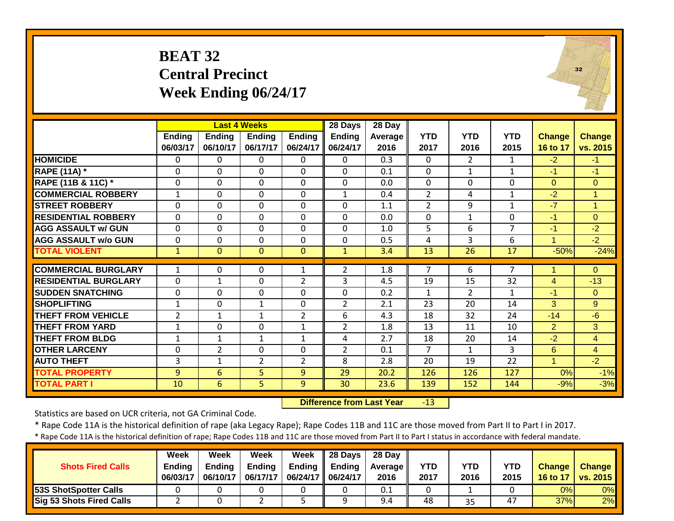#### **BEAT 32 Central Precinct Week Ending 06/24/17**



|                             |                |                | <b>Last 4 Weeks</b> |                | 28 Days        | 28 Day  |                |                |                |                |                |
|-----------------------------|----------------|----------------|---------------------|----------------|----------------|---------|----------------|----------------|----------------|----------------|----------------|
|                             | <b>Ending</b>  | <b>Ending</b>  | <b>Ending</b>       | <b>Ending</b>  | <b>Ending</b>  | Average | <b>YTD</b>     | <b>YTD</b>     | <b>YTD</b>     | <b>Change</b>  | <b>Change</b>  |
|                             | 06/03/17       | 06/10/17       | 06/17/17            | 06/24/17       | 06/24/17       | 2016    | 2017           | 2016           | 2015           | 16 to 17       | vs. 2015       |
| <b>HOMICIDE</b>             | $\mathbf{0}$   | 0              | 0                   | $\Omega$       | $\Omega$       | 0.3     | 0              | $\overline{2}$ | $\mathbf{1}$   | $-2$           | $-1$           |
| <b>RAPE (11A)</b> *         | $\mathbf{0}$   | $\Omega$       | $\Omega$            | $\Omega$       | $\Omega$       | 0.1     | $\Omega$       | $\mathbf{1}$   | $\mathbf{1}$   | $-1$           | $-1$           |
| RAPE (11B & 11C) *          | 0              | $\Omega$       | $\mathbf 0$         | $\Omega$       | $\Omega$       | 0.0     | 0              | $\mathbf 0$    | $\mathbf 0$    | $\overline{0}$ | $\overline{0}$ |
| <b>COMMERCIAL ROBBERY</b>   | $\mathbf{1}$   | $\Omega$       | $\mathbf 0$         | $\Omega$       | $\mathbf{1}$   | 0.4     | $\overline{2}$ | 4              | $\mathbf{1}$   | $-2$           | $\overline{1}$ |
| <b>STREET ROBBERY</b>       | $\mathbf 0$    | $\Omega$       | $\Omega$            | $\mathbf 0$    | $\Omega$       | 1.1     | $\overline{2}$ | 9              | $\mathbf{1}$   | $-7$           | $\mathbf{1}$   |
| <b>RESIDENTIAL ROBBERY</b>  | $\Omega$       | $\Omega$       | $\mathbf 0$         | $\mathbf 0$    | $\Omega$       | 0.0     | $\mathbf 0$    | $\mathbf{1}$   | $\Omega$       | $-1$           | $\mathbf{0}$   |
| <b>AGG ASSAULT w/ GUN</b>   | $\mathbf 0$    | 0              | $\mathbf 0$         | $\mathbf 0$    | $\mathbf 0$    | 1.0     | 5              | 6              | $\overline{7}$ | $-1$           | $-2$           |
| <b>AGG ASSAULT w/o GUN</b>  | $\mathbf 0$    | 0              | $\mathbf 0$         | $\mathbf 0$    | $\mathbf 0$    | 0.5     | 4              | 3              | 6              | $\mathbf{1}$   | $-2$           |
| <b>TOTAL VIOLENT</b>        | $\mathbf{1}$   | $\Omega$       | $\mathbf{0}$        | $\mathbf 0$    | $\mathbf{1}$   | 3.4     | 13             | 26             | 17             | $-50%$         | $-24%$         |
|                             |                |                |                     |                |                |         |                |                |                |                |                |
| <b>COMMERCIAL BURGLARY</b>  | $\mathbf{1}$   | 0              | 0                   | 1              | 2              | 1.8     | 7              | 6              | 7              | 4              | $\Omega$       |
| <b>RESIDENTIAL BURGLARY</b> | $\mathbf 0$    | $\mathbf 1$    | $\mathbf 0$         | $\overline{2}$ | 3              | 4.5     | 19             | 15             | 32             | $\overline{4}$ | $-13$          |
| <b>ISUDDEN SNATCHING</b>    | $\mathbf 0$    | $\Omega$       | 0                   | $\mathbf 0$    | $\Omega$       | 0.2     | $\mathbf{1}$   | $\overline{2}$ | 1              | $-1$           | $\Omega$       |
| <b>SHOPLIFTING</b>          | 1              | $\Omega$       | 1                   | $\Omega$       | $\overline{2}$ | 2.1     | 23             | 20             | 14             | 3              | 9              |
| <b>THEFT FROM VEHICLE</b>   | $\overline{2}$ | $\mathbf 1$    | $\mathbf 1$         | $\overline{2}$ | 6              | 4.3     | 18             | 32             | 24             | $-14$          | $-6$           |
| <b>THEFT FROM YARD</b>      | $\mathbf{1}$   | $\Omega$       | 0                   | $\mathbf 1$    | $\overline{2}$ | 1.8     | 13             | 11             | 10             | $\overline{2}$ | 3              |
| <b>THEFT FROM BLDG</b>      | $\mathbf{1}$   | $\mathbf{1}$   | $\mathbf 1$         | $\mathbf{1}$   | 4              | 2.7     | 18             | 20             | 14             | $-2$           | 4              |
| <b>OTHER LARCENY</b>        | 0              | $\overline{2}$ | 0                   | $\mathbf 0$    | $\overline{2}$ | 0.1     | $\overline{7}$ | $\mathbf{1}$   | 3              | 6              | 4              |
| <b>AUTO THEFT</b>           | 3              | $\mathbf{1}$   | $\overline{2}$      | $\overline{2}$ | 8              | 2.8     | 20             | 19             | 22             | 4              | $-2$           |
| <b>TOTAL PROPERTY</b>       | 9              | 6              | 5                   | 9              | 29             | 20.2    | 126            | 126            | 127            | 0%             | $-1%$          |
| <b>TOTAL PART I</b>         | 10             | 6              | 5                   | 9              | 30             | 23.6    | 139            | 152            | 144            | $-9%$          | $-3%$          |

 **Difference from Last Year**r -13

Statistics are based on UCR criteria, not GA Criminal Code.

\* Rape Code 11A is the historical definition of rape (aka Legacy Rape); Rape Codes 11B and 11C are those moved from Part II to Part I in 2017.

| <b>Shots Fired Calls</b>        | Week<br><b>Ending</b><br>06/03/17 | Week<br><b>Ending</b><br>06/10/17 | Week<br><b>Ending</b><br>06/17/17 | Week<br>06/24/17   06/24/17 | $\parallel$ 28 Days<br>Ending $\parallel$ Ending | 28 Day<br><b>Average</b> II<br>2016 | <b>YTD</b><br>2017 | YTD<br>2016 | <b>YTD</b><br>2015 | <b>Change</b><br>16 to 17 | <b>Change</b><br><b>vs. 2015</b> |
|---------------------------------|-----------------------------------|-----------------------------------|-----------------------------------|-----------------------------|--------------------------------------------------|-------------------------------------|--------------------|-------------|--------------------|---------------------------|----------------------------------|
| 53S ShotSpotter Calls           |                                   |                                   |                                   |                             |                                                  | 0.1                                 |                    |             |                    | 0%                        | 0%                               |
| <b>Sig 53 Shots Fired Calls</b> |                                   |                                   |                                   |                             |                                                  | 9.4                                 | 48                 | 35          | 47                 | 37%                       | 2%                               |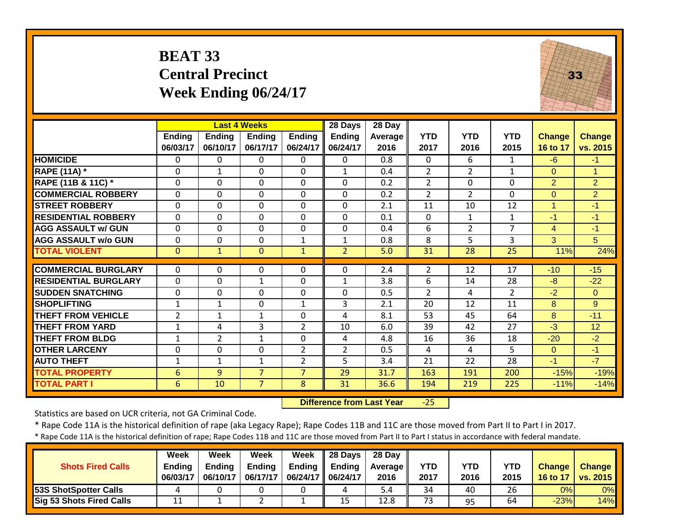#### **BEAT 33 Central Precinct Week Ending 06/24/17**



|                             |                           |                           | <b>Last 4 Weeks</b>       |                           | 28 Days                   | 28 Day          |                    |                    |                    |                           |                           |
|-----------------------------|---------------------------|---------------------------|---------------------------|---------------------------|---------------------------|-----------------|--------------------|--------------------|--------------------|---------------------------|---------------------------|
|                             | <b>Ending</b><br>06/03/17 | <b>Ending</b><br>06/10/17 | <b>Ending</b><br>06/17/17 | <b>Ending</b><br>06/24/17 | <b>Ending</b><br>06/24/17 | Average<br>2016 | <b>YTD</b><br>2017 | <b>YTD</b><br>2016 | <b>YTD</b><br>2015 | <b>Change</b><br>16 to 17 | <b>Change</b><br>vs. 2015 |
| <b>HOMICIDE</b>             | $\mathbf{0}$              | $\Omega$                  | $\Omega$                  | $\Omega$                  | $\Omega$                  | 0.8             | $\mathbf{0}$       | 6                  | $\mathbf{1}$       | $-6$                      | $-1$                      |
| <b>RAPE (11A)</b> *         | 0                         | $\mathbf{1}$              | $\Omega$                  | $\Omega$                  | $\mathbf{1}$              | 0.4             | $\overline{2}$     | $\overline{2}$     | $\mathbf{1}$       | $\mathbf{0}$              | 1                         |
| RAPE (11B & 11C) *          | 0                         | 0                         | $\Omega$                  | $\mathbf 0$               | $\mathbf 0$               | 0.2             | $\overline{2}$     | $\Omega$           | 0                  | $\overline{2}$            | $\overline{2}$            |
| <b>COMMERCIAL ROBBERY</b>   | $\mathbf{0}$              | 0                         | $\mathbf 0$               | $\Omega$                  | $\mathbf 0$               | 0.2             | $\overline{2}$     | $\overline{2}$     | 0                  | $\Omega$                  | $\overline{2}$            |
| <b>STREET ROBBERY</b>       | 0                         | 0                         | $\Omega$                  | $\Omega$                  | $\mathbf 0$               | 2.1             | 11                 | 10                 | 12                 | 1                         | $-1$                      |
| <b>RESIDENTIAL ROBBERY</b>  | $\mathbf{0}$              | 0                         | $\Omega$                  | $\Omega$                  | $\Omega$                  | 0.1             | $\Omega$           | $\mathbf{1}$       | $\mathbf{1}$       | $-1$                      | $-1$                      |
| <b>AGG ASSAULT w/ GUN</b>   | $\mathbf 0$               | 0                         | $\mathbf 0$               | $\Omega$                  | $\overline{0}$            | 0.4             | 6                  | $\overline{2}$     | $\overline{7}$     | 4                         | $-1$                      |
| <b>AGG ASSAULT w/o GUN</b>  | $\mathbf 0$               | 0                         | $\mathbf 0$               | $\mathbf{1}$              | $\mathbf{1}$              | 0.8             | 8                  | 5                  | 3                  | 3                         | 5                         |
| <b>TOTAL VIOLENT</b>        | $\mathbf{0}$              | $\mathbf{1}$              | $\mathbf{0}$              | $\mathbf{1}$              | $\overline{2}$            | 5.0             | 31                 | 28                 | 25                 | 11%                       | 24%                       |
| <b>COMMERCIAL BURGLARY</b>  | $\mathbf{0}$              | 0                         | $\Omega$                  | $\Omega$                  | $\Omega$                  | 2.4             | $\overline{2}$     | 12                 | 17                 | $-10$                     | $-15$                     |
| <b>RESIDENTIAL BURGLARY</b> | $\Omega$                  | $\Omega$                  | $\mathbf{1}$              | $\Omega$                  | $\mathbf{1}$              | 3.8             | 6                  | 14                 | 28                 | $-8$                      | $-22$                     |
| <b>SUDDEN SNATCHING</b>     | 0                         | 0                         | $\Omega$                  | $\mathbf 0$               | $\Omega$                  | 0.5             | $\overline{2}$     | 4                  | $\overline{2}$     | $-2$                      | $\Omega$                  |
| <b>SHOPLIFTING</b>          | $\mathbf{1}$              | $\mathbf 1$               | 0                         | $\mathbf{1}$              | 3                         | 2.1             | 20                 | 12                 | 11                 | 8                         | 9                         |
| <b>THEFT FROM VEHICLE</b>   | $\overline{2}$            | $\mathbf{1}$              | $\mathbf{1}$              | $\mathbf 0$               | 4                         | 8.1             | 53                 | 45                 | 64                 | 8                         | $-11$                     |
| <b>THEFT FROM YARD</b>      | $\mathbf{1}$              | 4                         | $\overline{3}$            | $\overline{2}$            | 10                        | 6.0             | 39                 | 42                 | 27                 | $-3$                      | 12                        |
| <b>THEFT FROM BLDG</b>      | 1                         | $\overline{2}$            | 1                         | $\Omega$                  | 4                         | 4.8             | 16                 | 36                 | 18                 | $-20$                     | $-2$                      |
| <b>OTHER LARCENY</b>        | $\Omega$                  | 0                         | $\Omega$                  | $\overline{2}$            | $\overline{2}$            | 0.5             | 4                  | 4                  | 5                  | $\Omega$                  | $-1$                      |
| <b>AUTO THEFT</b>           | 1                         | $\mathbf{1}$              | $\mathbf{1}$              | 2                         | 5                         | 3.4             | 21                 | 22                 | 28                 | $-1$                      | $-7$                      |
| <b>TOTAL PROPERTY</b>       | 6                         | 9                         | $\overline{7}$            | $\overline{7}$            | 29                        | 31.7            | 163                | 191                | 200                | $-15%$                    | $-19%$                    |
| <b>TOTAL PART I</b>         | 6                         | 10                        | $\overline{7}$            | 8                         | 31                        | 36.6            | 194                | 219                | 225                | $-11%$                    | $-14%$                    |

 **Difference from Last Year**‐25

Statistics are based on UCR criteria, not GA Criminal Code.

\* Rape Code 11A is the historical definition of rape (aka Legacy Rape); Rape Codes 11B and 11C are those moved from Part II to Part I in 2017.

| <b>Shots Fired Calls</b>        | Week<br><b>Ending</b><br>06/03/17 | Week<br>Endina<br>06/10/17 | Week<br><b>Endina</b><br>06/17/17 | Week<br><b>Ending</b><br>06/24/17 | 28 Days<br><b>Ending</b><br>06/24/17 | 28 Day<br><b>Average</b> II<br>2016 | YTD<br>2017 | YTD<br>2016 | YTD<br>2015 | <b>Change</b><br>16 to 17 | <b>Change</b><br><b>vs. 2015</b> |
|---------------------------------|-----------------------------------|----------------------------|-----------------------------------|-----------------------------------|--------------------------------------|-------------------------------------|-------------|-------------|-------------|---------------------------|----------------------------------|
| <b>53S ShotSpotter Calls</b>    |                                   |                            |                                   |                                   | 4                                    | 5.4                                 | 34          | 40          | 26          | 0%                        | $0\%$                            |
| <b>Sig 53 Shots Fired Calls</b> | ᆠᆂ                                |                            |                                   | -                                 | 15                                   | 12.8                                | 73          | 95          | 64          | $-23%$                    | 14%                              |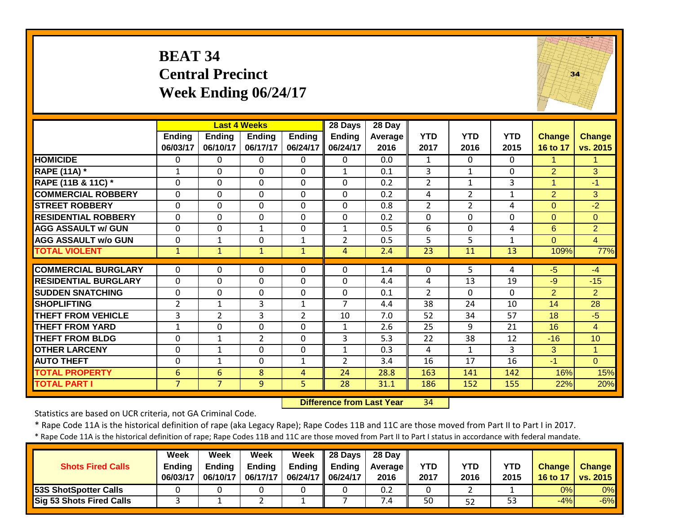|                             | <b>BEAT 34</b>            | <b>Central Precinct</b>   | Week Ending 06/24/17                             |                           |                               |                           |                    |                    |                    | 34                        |                           |
|-----------------------------|---------------------------|---------------------------|--------------------------------------------------|---------------------------|-------------------------------|---------------------------|--------------------|--------------------|--------------------|---------------------------|---------------------------|
|                             | <b>Ending</b><br>06/03/17 | <b>Ending</b><br>06/10/17 | <b>Last 4 Weeks</b><br><b>Ending</b><br>06/17/17 | <b>Ending</b><br>06/24/17 | 28 Days<br>Ending<br>06/24/17 | 28 Day<br>Average<br>2016 | <b>YTD</b><br>2017 | <b>YTD</b><br>2016 | <b>YTD</b><br>2015 | <b>Change</b><br>16 to 17 | <b>Change</b><br>vs. 2015 |
| <b>HOMICIDE</b>             | $\mathbf{0}$              | $\Omega$                  | 0                                                | $\Omega$                  | $\Omega$                      | 0.0                       | $\mathbf{1}$       | $\Omega$           | $\Omega$           | 1                         | 1                         |
| <b>RAPE (11A) *</b>         | $\mathbf{1}$              | 0                         | 0                                                | $\mathbf 0$               | $\mathbf{1}$                  | 0.1                       | 3                  | $\mathbf{1}$       | $\mathbf{0}$       | $\overline{2}$            | 3                         |
| RAPE (11B & 11C) *          | $\mathbf 0$               | 0                         | $\mathbf 0$                                      | $\Omega$                  | $\mathbf 0$                   | 0.2                       | $\overline{2}$     | $\mathbf{1}$       | 3                  | $\mathbf{1}$              | $-1$                      |
| <b>COMMERCIAL ROBBERY</b>   | $\mathbf 0$               | $\Omega$                  | 0                                                | $\mathbf 0$               | $\Omega$                      | 0.2                       | 4                  | $\overline{2}$     | $\mathbf{1}$       | $\overline{2}$            | 3                         |
| <b>STREET ROBBERY</b>       | $\Omega$                  | 0                         | 0                                                | $\Omega$                  | $\Omega$                      | 0.8                       | $\overline{2}$     | 2                  | 4                  | $\overline{0}$            | $-2$                      |
| <b>RESIDENTIAL ROBBERY</b>  | $\mathbf 0$               | $\Omega$                  | 0                                                | $\mathbf 0$               | $\Omega$                      | 0.2                       | $\mathbf 0$        | 0                  | $\Omega$           | $\overline{0}$            | $\overline{0}$            |
| <b>AGG ASSAULT w/ GUN</b>   | 0                         | $\Omega$                  | $\mathbf{1}$                                     | 0                         | 1                             | 0.5                       | 6                  | $\Omega$           | 4                  | 6                         | $\overline{2}$            |
| <b>AGG ASSAULT w/o GUN</b>  | $\mathbf 0$               | $\mathbf{1}$              | $\Omega$                                         | $\mathbf{1}$              | $\overline{2}$                | 0.5                       | 5                  | 5                  | $\mathbf{1}$       | $\Omega$                  | $\overline{4}$            |
| <b>TOTAL VIOLENT</b>        | $\mathbf{1}$              | $\mathbf{1}$              | $\mathbf{1}$                                     | $\mathbf{1}$              | $\overline{4}$                | 2.4                       | 23                 | 11                 | 13                 | 109%                      | 77%                       |
| <b>COMMERCIAL BURGLARY</b>  | $\mathbf{0}$              | 0                         | 0                                                | $\Omega$                  | $\Omega$                      | 1.4                       | 0                  | 5                  | 4                  | $-5$                      | $-4$                      |
| <b>RESIDENTIAL BURGLARY</b> | $\mathbf{0}$              | $\Omega$                  | 0                                                | $\Omega$                  | $\Omega$                      | 4.4                       | 4                  | 13                 | 19                 | $-9$                      | $-15$                     |
| <b>SUDDEN SNATCHING</b>     | 0                         | 0                         | 0                                                | 0                         | $\mathbf 0$                   | 0.1                       | $\overline{2}$     | $\Omega$           | $\mathbf{0}$       | $\overline{2}$            | $\overline{2}$            |
| <b>SHOPLIFTING</b>          | $\overline{2}$            | $\mathbf{1}$              | 3                                                | $\mathbf{1}$              | $\overline{7}$                | 4.4                       | 38                 | 24                 | 10                 | 14                        | 28                        |
| <b>THEFT FROM VEHICLE</b>   | 3                         | $\overline{2}$            | 3                                                | $\overline{2}$            | 10                            | 7.0                       | 52                 | 34                 | 57                 | 18                        | $-5$                      |
| <b>THEFT FROM YARD</b>      | 1                         | $\Omega$                  | 0                                                | $\Omega$                  | $\mathbf{1}$                  | 2.6                       | 25                 | 9                  | 21                 | 16                        | 4                         |
| <b>THEFT FROM BLDG</b>      | $\mathbf 0$               | $\mathbf{1}$              | $\overline{2}$                                   | $\mathbf 0$               | 3                             | 5.3                       | 22                 | 38                 | 12                 | $-16$                     | 10                        |
| <b>OTHER LARCENY</b>        | 0                         | $\mathbf{1}$              | 0                                                | 0                         | $\mathbf{1}$                  | 0.3                       | 4                  | 1                  | 3                  | 3                         | $\mathbf{1}$              |
| <b>AUTO THEFT</b>           | $\mathbf 0$               | $\mathbf{1}$              | 0                                                | $\mathbf{1}$              | $\overline{2}$                | 3.4                       | 16                 | 17                 | 16                 | $-1$                      | $\Omega$                  |
| <b>TOTAL PROPERTY</b>       | 6                         | 6                         | 8                                                | $\overline{4}$            | 24                            | 28.8                      | 163                | 141                | 142                | 16%                       | 15%                       |
| <b>TOTAL PART I</b>         | $\overline{7}$            | $\overline{7}$            | $\overline{9}$                                   | $\overline{5}$            | $\overline{28}$               | 31.1                      | 186                | 152                | 155                | 22%                       | 20%                       |

 **Difference from Last Year**r 34

Statistics are based on UCR criteria, not GA Criminal Code.

\* Rape Code 11A is the historical definition of rape (aka Legacy Rape); Rape Codes 11B and 11C are those moved from Part II to Part I in 2017.

| <b>Shots Fired Calls</b>        | Week<br><b>Ending</b><br>06/03/17 | Week<br><b>Ending</b><br>06/10/17 | Week<br><b>Ending</b><br>06/17/17 | Week<br><b>Ending</b><br>06/24/17   06/24/17 | $\parallel$ 28 Days<br><b>Ending</b> | 28 Day<br><b>Average</b> II<br>2016 | <b>YTD</b><br>2017 | YTD<br>2016 | YTD<br>2015 | <b>Change</b><br>16 to 17 | <b>Change</b><br><b>vs. 2015</b> |
|---------------------------------|-----------------------------------|-----------------------------------|-----------------------------------|----------------------------------------------|--------------------------------------|-------------------------------------|--------------------|-------------|-------------|---------------------------|----------------------------------|
| <b>53S ShotSpotter Calls</b>    |                                   |                                   |                                   |                                              |                                      | 0.2                                 |                    |             |             | 0%                        | 0%                               |
| <b>Sig 53 Shots Fired Calls</b> |                                   |                                   |                                   |                                              |                                      | $\sqrt{.4}$                         | 50                 | 52          | 53          | $-4%$                     | $-6%$                            |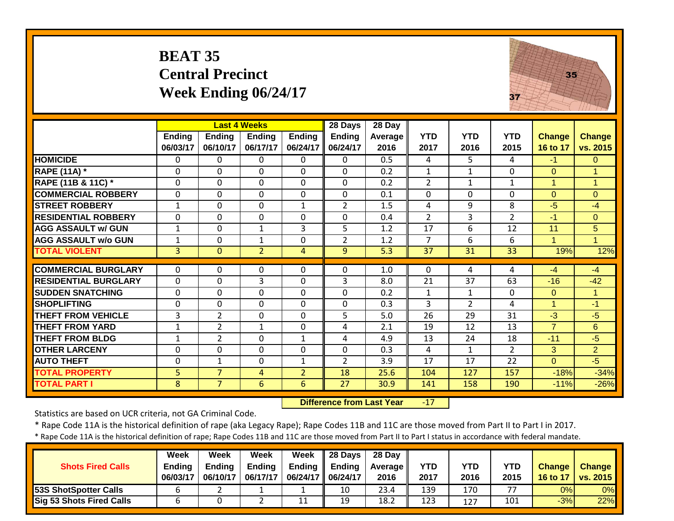|                             | <b>BEAT 35</b>            | <b>Central Precinct</b><br>Week Ending 06/24/17  |                           |                           |                               |                           |                    |                    | 37                 | 35                        |                           |
|-----------------------------|---------------------------|--------------------------------------------------|---------------------------|---------------------------|-------------------------------|---------------------------|--------------------|--------------------|--------------------|---------------------------|---------------------------|
|                             | <b>Ending</b><br>06/03/17 | <b>Last 4 Weeks</b><br><b>Ending</b><br>06/10/17 | <b>Ending</b><br>06/17/17 | <b>Ending</b><br>06/24/17 | 28 Days<br>Ending<br>06/24/17 | 28 Day<br>Average<br>2016 | <b>YTD</b><br>2017 | <b>YTD</b><br>2016 | <b>YTD</b><br>2015 | <b>Change</b><br>16 to 17 | <b>Change</b><br>vs. 2015 |
| <b>HOMICIDE</b>             | $\Omega$                  | $\Omega$                                         | $\mathbf 0$               | $\Omega$                  | $\Omega$                      | 0.5                       | 4                  | $5^{\circ}$        | 4                  | $-1$                      | $\overline{0}$            |
| <b>RAPE (11A) *</b>         | $\mathbf 0$               | 0                                                | $\mathbf 0$               | $\mathbf 0$               | $\mathbf{0}$                  | 0.2                       | $\mathbf{1}$       | $\mathbf{1}$       | 0                  | $\Omega$                  | $\mathbf{1}$              |
| RAPE (11B & 11C) *          | 0                         | 0                                                | $\mathbf 0$               | $\mathbf{0}$              | $\mathbf 0$                   | 0.2                       | $\overline{2}$     | $\mathbf{1}$       | $\mathbf{1}$       | 1                         | $\overline{1}$            |
| <b>COMMERCIAL ROBBERY</b>   | $\mathbf{0}$              | $\Omega$                                         | $\Omega$                  | $\Omega$                  | $\mathbf{0}$                  | 0.1                       | $\mathbf{0}$       | $\Omega$           | $\Omega$           | $\Omega$                  | $\mathbf{0}$              |
| <b>STREET ROBBERY</b>       | 1                         | $\Omega$                                         | $\Omega$                  | 1                         | $\overline{2}$                | 1.5                       | 4                  | 9                  | 8                  | $-5$                      | $-4$                      |
| <b>RESIDENTIAL ROBBERY</b>  | $\Omega$                  | $\Omega$                                         | $\Omega$                  | $\Omega$                  | $\Omega$                      | 0.4                       | $\overline{2}$     | 3                  | $\overline{2}$     | $-1$                      | $\mathbf{0}$              |
| <b>AGG ASSAULT w/ GUN</b>   | $\mathbf{1}$              | $\mathbf 0$                                      | $1\,$                     | 3                         | 5                             | 1.2                       | 17                 | 6                  | 12                 | 11                        | 5                         |
| <b>AGG ASSAULT w/o GUN</b>  | $\mathbf{1}$              | 0                                                | $\mathbf{1}$              | 0                         | $\overline{2}$                | 1.2                       | $\overline{7}$     | 6                  | 6                  | $\blacktriangleleft$      | $\overline{1}$            |
| <b>TOTAL VIOLENT</b>        | 3                         | $\Omega$                                         | $\overline{2}$            | $\overline{A}$            | 9 <sup>°</sup>                | 5.3                       | 37                 | 31                 | 33                 | 19%                       | 12%                       |
| <b>COMMERCIAL BURGLARY</b>  | $\mathbf{0}$              | $\Omega$                                         | $\Omega$                  | $\mathbf{0}$              | $\Omega$                      | 1.0                       | $\mathbf{0}$       | 4                  | 4                  | $-4$                      | $-4$                      |
| <b>RESIDENTIAL BURGLARY</b> | $\mathbf{0}$              | 0                                                | 3                         | $\Omega$                  | 3                             | 8.0                       | 21                 | 37                 | 63                 | $-16$                     | $-42$                     |
| <b>SUDDEN SNATCHING</b>     | $\mathbf 0$               | 0                                                | $\mathbf{0}$              | $\mathbf 0$               | $\mathbf{0}$                  | 0.2                       | $\mathbf{1}$       | $1\,$              | 0                  | $\Omega$                  | $\mathbf{1}$              |
| <b>SHOPLIFTING</b>          | 0                         | $\mathbf 0$                                      | $\Omega$                  | $\mathbf{0}$              | $\Omega$                      | 0.3                       | 3                  | $\overline{2}$     | 4                  | 1                         | $-1$                      |
| <b>THEFT FROM VEHICLE</b>   | 3                         | $\overline{2}$                                   | $\Omega$                  | $\Omega$                  | 5                             | 5.0                       | 26                 | $\overline{29}$    | 31                 | $-3$                      | $-5$                      |
| <b>THEFT FROM YARD</b>      | $\mathbf{1}$              | $\overline{2}$                                   | $\mathbf{1}$              | $\Omega$                  | 4                             | 2.1                       | 19                 | 12                 | 13                 | $\overline{7}$            | 6                         |
| <b>THEFT FROM BLDG</b>      | $\mathbf{1}$              | $\overline{2}$                                   | $\Omega$                  | $\mathbf{1}$              | 4                             | 4.9                       | 13                 | 24                 | 18                 | $-11$                     | $-5$                      |
| <b>OTHER LARCENY</b>        | $\mathbf{0}$              | $\mathbf 0$                                      | $\mathbf 0$               | $\mathbf 0$               | $\mathbf 0$                   | 0.3                       | 4                  | $\mathbf{1}$       | $\overline{2}$     | 3                         | $\overline{2}$            |
| <b>AUTO THEFT</b>           | 0                         | $\mathbf{1}$                                     | $\mathbf 0$               | $\mathbf{1}$              | $\overline{2}$                | 3.9                       | 17                 | 17                 | 22                 | $\Omega$                  | $-5$                      |
| <b>TOTAL PROPERTY</b>       | 5                         | $\overline{7}$                                   | 4                         | $\overline{2}$            | 18                            | 25.6                      | 104                | 127                | 157                | $-18%$                    | $-34%$                    |
| <b>TOTAL PART I</b>         | 8                         | $\overline{7}$                                   | 6                         | 6                         | $\overline{27}$               | 30.9                      | 141                | 158                | 190                | $-11%$                    | $-26%$                    |

 **Difference from Last Year**r -17

Statistics are based on UCR criteria, not GA Criminal Code.

\* Rape Code 11A is the historical definition of rape (aka Legacy Rape); Rape Codes 11B and 11C are those moved from Part II to Part I in 2017.

| <b>Shots Fired Calls</b>        | Week<br><b>Ending</b><br>06/03/17 | Week<br><b>Ending</b><br>06/10/17 | Week<br><b>Ending</b><br>06/17/17 | Week<br><b>Endina</b><br>06/24/17   06/24/17 | $\parallel$ 28 Days<br>Endina | 28 Day<br><b>Average</b> I<br>2016 | <b>YTD</b><br>2017 | YTD<br>2016 | YTD<br>2015 | <b>Change</b><br>16 to 17 | <b>Change</b><br><b>vs. 2015</b> |
|---------------------------------|-----------------------------------|-----------------------------------|-----------------------------------|----------------------------------------------|-------------------------------|------------------------------------|--------------------|-------------|-------------|---------------------------|----------------------------------|
| <b>53S ShotSpotter Calls</b>    |                                   |                                   |                                   |                                              | 10                            | 23.4                               | 139                | 170         |             | 0%                        | 0%                               |
| <b>Sig 53 Shots Fired Calls</b> |                                   |                                   |                                   | 11                                           | 19                            | 18.2                               | 123                | 127         | 101         | $-3%$                     | 22%                              |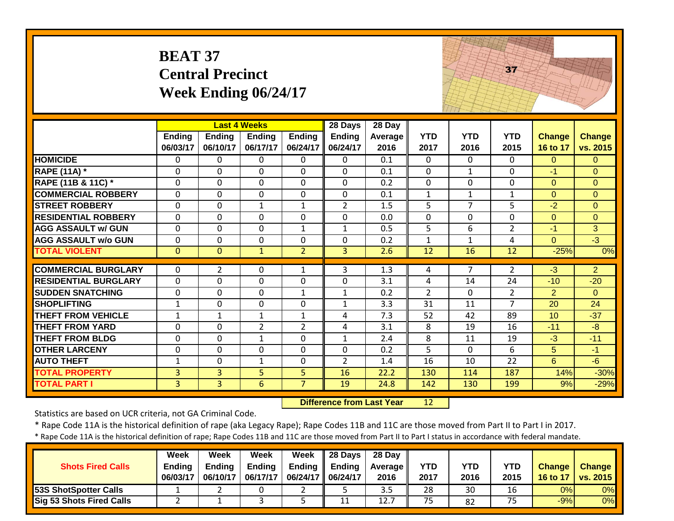|                             | <b>BEAT 37</b> | <b>Central Precinct</b><br>Week Ending 06/24/17 |                     |                |                |                  |                 |                 | 37              |                |                |
|-----------------------------|----------------|-------------------------------------------------|---------------------|----------------|----------------|------------------|-----------------|-----------------|-----------------|----------------|----------------|
|                             |                |                                                 | <b>Last 4 Weeks</b> |                | 28 Days        | 28 Day           |                 |                 |                 |                |                |
|                             | Ending         | <b>Ending</b>                                   | <b>Ending</b>       | <b>Ending</b>  | <b>Ending</b>  | Average          | <b>YTD</b>      | <b>YTD</b>      | <b>YTD</b>      | <b>Change</b>  | <b>Change</b>  |
|                             | 06/03/17       | 06/10/17                                        | 06/17/17            | 06/24/17       | 06/24/17       | 2016             | 2017            | 2016            | 2015            | 16 to 17       | vs. 2015       |
| <b>HOMICIDE</b>             | $\Omega$       | $\Omega$                                        | $\Omega$            | $\mathbf{0}$   | $\Omega$       | 0.1              | $\Omega$        | $\Omega$        | $\Omega$        | $\Omega$       | $\Omega$       |
| <b>RAPE (11A) *</b>         | $\mathbf{0}$   | $\Omega$                                        | $\Omega$            | $\mathbf{0}$   | $\Omega$       | 0.1              | 0               | $\mathbf{1}$    | $\mathbf 0$     | $-1$           | $\Omega$       |
| RAPE (11B & 11C) *          | $\mathbf{0}$   | $\mathbf 0$                                     | $\Omega$            | $\mathbf 0$    | $\Omega$       | 0.2              | $\mathbf 0$     | $\Omega$        | $\Omega$        | $\Omega$       | $\Omega$       |
| <b>COMMERCIAL ROBBERY</b>   | $\Omega$       | $\Omega$                                        | $\Omega$            | $\Omega$       | $\Omega$       | 0.1              | $\mathbf{1}$    | $\mathbf{1}$    | $\mathbf{1}$    | $\Omega$       | $\Omega$       |
| <b>STREET ROBBERY</b>       | $\Omega$       | $\Omega$                                        | $\mathbf{1}$        | $\mathbf{1}$   | $\overline{2}$ | 1.5              | $\overline{5}$  | $\overline{7}$  | $\overline{5}$  | $-2$           | $\Omega$       |
| <b>RESIDENTIAL ROBBERY</b>  | $\Omega$       | $\Omega$                                        | $\Omega$            | $\mathbf{0}$   | $\Omega$       | 0.0              | $\mathbf 0$     | $\Omega$        | $\Omega$        | $\Omega$       | $\Omega$       |
| <b>AGG ASSAULT w/ GUN</b>   | $\Omega$       | $\Omega$                                        | $\Omega$            | $\mathbf{1}$   | $\mathbf{1}$   | 0.5              | 5               | 6               | $\overline{2}$  | $-1$           | 3              |
| <b>AGG ASSAULT w/o GUN</b>  | $\mathbf{0}$   | 0                                               | $\mathbf{0}$        | $\mathbf 0$    | $\mathbf 0$    | 0.2              | $\mathbf{1}$    | $\mathbf{1}$    | 4               | $\overline{0}$ | $\overline{3}$ |
| <b>TOTAL VIOLENT</b>        | $\Omega$       | $\Omega$                                        | $\mathbf{1}$        | $\overline{2}$ | $\overline{3}$ | 2.6              | $\overline{12}$ | $\overline{16}$ | 12              | $-25%$         | 0%             |
| <b>COMMERCIAL BURGLARY</b>  | $\Omega$       | $\overline{2}$                                  | $\Omega$            | $\mathbf{1}$   | 3              | 1.3              | 4               | $\overline{7}$  | $\overline{2}$  | $-3$           | $\overline{2}$ |
| <b>RESIDENTIAL BURGLARY</b> | $\mathbf 0$    | $\overline{0}$                                  | $\mathbf{0}$        | $\mathbf 0$    | $\mathbf 0$    | 3.1              | 4               | 14              | 24              | $-10$          | $-20$          |
| <b>SUDDEN SNATCHING</b>     | $\Omega$       | $\Omega$                                        | $\mathbf{0}$        | $\mathbf{1}$   | $\mathbf{1}$   | 0.2              | $\overline{2}$  | $\Omega$        | $\overline{2}$  | $\overline{2}$ | $\Omega$       |
| <b>SHOPLIFTING</b>          | $\mathbf{1}$   | 0                                               | $\Omega$            | $\mathbf 0$    | $\mathbf{1}$   | 3.3              | 31              | 11              | $\overline{7}$  | 20             | 24             |
| <b>THEFT FROM VEHICLE</b>   | $\mathbf{1}$   | $\mathbf{1}$                                    | $\mathbf{1}$        | $\mathbf{1}$   | 4              | $\overline{7.3}$ | 52              | 42              | $\overline{89}$ | 10             | $-37$          |
| <b>THEFT FROM YARD</b>      | $\mathbf{0}$   | $\Omega$                                        | $\overline{2}$      | $\overline{2}$ | 4              | 3.1              | 8               | 19              | 16              | $-11$          | $-8$           |
| <b>THEFT FROM BLDG</b>      | $\mathbf{0}$   | 0                                               | $\mathbf{1}$        | $\mathbf 0$    | $\mathbf{1}$   | 2.4              | 8               | 11              | 19              | $-3$           | $-11$          |
| <b>OTHER LARCENY</b>        | $\mathbf{0}$   | $\Omega$                                        | $\Omega$            | $\Omega$       | $\Omega$       | 0.2              | 5               | $\Omega$        | 6               | 5              | $-1$           |
| <b>AUTO THEFT</b>           | $\mathbf{1}$   | 0                                               | $\mathbf{1}$        | $\mathbf 0$    | $\overline{2}$ | 1.4              | 16              | 10              | 22              | $6\phantom{1}$ | $-6$           |
| <b>TOTAL PROPERTY</b>       | $\overline{3}$ | 3                                               | 5                   | 5              | 16             | 22.2             | 130             | 114             | 187             | 14%            | $-30%$         |
| <b>TOTAL PART I</b>         | $\overline{3}$ | $\overline{3}$                                  | 6                   | $\overline{7}$ | 19             | 24.8             | 142             | 130             | 199             | 9%             | $-29%$         |

 **Difference from Last Year**r 12

Statistics are based on UCR criteria, not GA Criminal Code.

\* Rape Code 11A is the historical definition of rape (aka Legacy Rape); Rape Codes 11B and 11C are those moved from Part II to Part I in 2017.

| <b>Shots Fired Calls</b>        | Week<br><b>Ending</b><br>06/03/17 | Week<br><b>Ending</b><br>06/10/17 | Week<br><b>Ending</b><br>06/17/17 | Week<br>Ending<br>06/24/17   06/24/17 | $\parallel$ 28 Days<br><b>Ending</b> | 28 Dav<br><b>Average</b> I<br>2016 | <b>YTD</b><br>2017 | YTD<br>2016 | YTD<br>2015 | <b>Change</b><br>16 to 17 | <b>Change</b><br>vs. 2015 |
|---------------------------------|-----------------------------------|-----------------------------------|-----------------------------------|---------------------------------------|--------------------------------------|------------------------------------|--------------------|-------------|-------------|---------------------------|---------------------------|
| 53S ShotSpotter Calls           |                                   |                                   |                                   |                                       |                                      | 3.5                                | 28                 | 30          |             | 0%                        | 0%                        |
| <b>Sig 53 Shots Fired Calls</b> |                                   |                                   |                                   |                                       | 11                                   | 12.7                               | 75                 | 82          | ᆕ<br>כ ו    | $-9%$                     | 0%                        |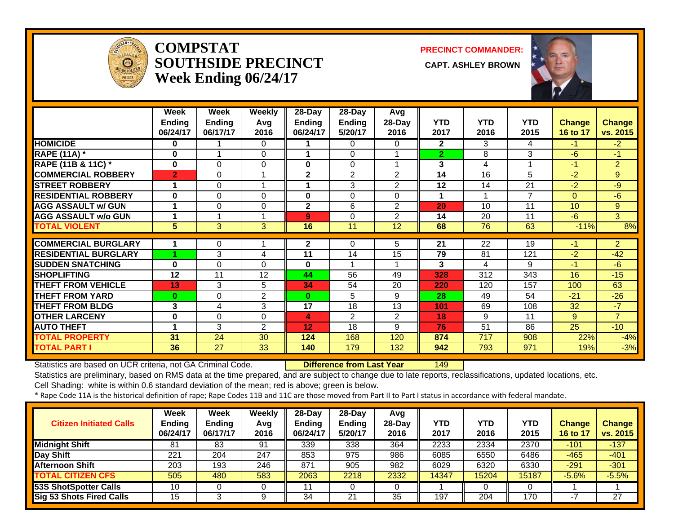

#### **COMPSTATSOUTHSIDE PRECINCT Week Ending 06/24/17**

**PRECINCT COMMANDER:**

**CAPT. ASHLEY BROWN** 



|                                                           | Week           | Week          | <b>Weekly</b>  | 28-Day        | 28-Day         | Avg             |                |            |                          |                 |                |
|-----------------------------------------------------------|----------------|---------------|----------------|---------------|----------------|-----------------|----------------|------------|--------------------------|-----------------|----------------|
|                                                           | <b>Ending</b>  | <b>Ending</b> | Avg            | <b>Ending</b> | <b>Ending</b>  | $28-Dav$        | <b>YTD</b>     | <b>YTD</b> | <b>YTD</b>               | <b>Change</b>   | <b>Change</b>  |
|                                                           | 06/24/17       | 06/17/17      | 2016           | 06/24/17      | 5/20/17        | 2016            | 2017           | 2016       | 2015                     | 16 to 17        | vs. 2015       |
| <b>HOMICIDE</b>                                           | 0              |               | 0              |               | 0              | 0               | $\overline{2}$ | 3          | 4                        | $-1$            | $-2$           |
| <b>RAPE (11A) *</b>                                       | 0              |               | $\Omega$       |               | $\Omega$       |                 | $\overline{2}$ | 8          | 3                        | $-6$            | $-1$           |
| RAPE (11B & 11C) *                                        | $\bf{0}$       | $\Omega$      | 0              | 0             | $\Omega$       |                 | 3              | 4          |                          | $-1$            | $\overline{2}$ |
| <b>COMMERCIAL ROBBERY</b>                                 | $\overline{2}$ | 0             | 1              | $\mathbf{2}$  | $\overline{2}$ | 2               | 14             | 16         | 5                        | $-2$            | 9              |
| <b>STREET ROBBERY</b>                                     | 1              | 0             | 1              |               | 3              | $\overline{2}$  | 12             | 14         | 21                       | $-2$            | $-9$           |
| <b>RESIDENTIAL ROBBERY</b>                                | $\bf{0}$       | 0             | $\Omega$       | 0             | $\Omega$       | $\Omega$        | 1              |            | $\overline{\phantom{a}}$ | $\Omega$        | $-6$           |
| <b>AGG ASSAULT w/ GUN</b>                                 |                | 0             | $\Omega$       | $\mathbf 2$   | 6              | 2               | 20             | 10         | 11                       | 10              | 9              |
| <b>AGG ASSAULT w/o GUN</b>                                |                |               |                | 9             | $\Omega$       | 2               | 14             | 20         | 11                       | $-6$            | 3              |
| <b>TOTAL VIOLENT</b>                                      | 5              | 3             | 3              | 16            | 11             | $\overline{12}$ | 68             | 76         | 63                       | $-11%$          | 8%             |
|                                                           |                |               |                |               |                |                 |                |            | 19                       |                 | $\overline{2}$ |
| <b>COMMERCIAL BURGLARY</b><br><b>RESIDENTIAL BURGLARY</b> |                | 0             |                | $\mathbf{2}$  | 0              | 5.              | 21             | 22         |                          | -1              |                |
|                                                           |                |               |                |               |                |                 |                |            |                          |                 |                |
|                                                           |                | 3             | 4              | 11            | 14             | 15              | 79             | 81         | 121                      | $-2$            | $-42$          |
| <b>SUDDEN SNATCHING</b>                                   | $\bf{0}$       | 0             | 0              | 0             |                |                 | 3              | 4          | 9                        | $-1$            | $-6$           |
| <b>SHOPLIFTING</b>                                        | 12             | 11            | 12             | 44            | 56             | 49              | 328            | 312        | 343                      | 16              | $-15$          |
| <b>THEFT FROM VEHICLE</b>                                 | 13             | 3             | 5              | 34            | 54             | 20              | 220            | 120        | 157                      | 100             | 63             |
| <b>THEFT FROM YARD</b>                                    | $\bf{0}$       | $\Omega$      | 2              | $\bf{0}$      | 5              | 9               | 28             | 49         | 54                       | $-21$           | $-26$          |
| <b>THEFT FROM BLDG</b>                                    | 3              | 4             | 3              | 17            | 18             | 13              | 101            | 69         | 108                      | 32              | $-7$           |
| <b>OTHER LARCENY</b>                                      | 0              | 0             | 0              | 4             | $\overline{2}$ | $\overline{2}$  | 18             | 9          | 11                       | 9               | $\overline{7}$ |
| <b>AUTO THEFT</b>                                         | 4              | 3             | $\overline{2}$ | 12            | 18             | 9               | 76             | 51         | 86                       | $\overline{25}$ | $-10$          |
| <b>TOTAL PROPERTY</b><br><b>TOTAL PART I</b>              | 31<br>36       | 24<br>27      | 30             | 124           | 168<br>179     | 120             | 874            | 717        | 908<br>971               | 22%<br>19%      | $-4%$<br>$-3%$ |

Statistics are based on UCR criteria, not GA Criminal Code. **Difference from Last Year** 149

Statistics are preliminary, based on RMS data at the time prepared, and are subject to change due to late reports, reclassifications, updated locations, etc.

Cell Shading: white is within 0.6 standard deviation of the mean; red is above; green is below.

| <b>Citizen Initiated Calls</b>  | <b>Week</b><br>Ending<br>06/24/17 | <b>Week</b><br><b>Ending</b><br>06/17/17 | Weekly<br>Avg<br>2016 | $28-Dav$<br><b>Ending</b><br>06/24/17 | $28$ -Dav<br><b>Ending</b><br>5/20/17 | Avg<br>28-Day<br>2016 | <b>YTD</b><br>2017 | YTD<br>2016 | YTD<br>2015 | Change<br>16 to 17 | <b>Change</b><br>vs. 2015 |
|---------------------------------|-----------------------------------|------------------------------------------|-----------------------|---------------------------------------|---------------------------------------|-----------------------|--------------------|-------------|-------------|--------------------|---------------------------|
| <b>Midnight Shift</b>           | 81                                | 83                                       | 91                    | 339                                   | 338                                   | 364                   | 2233               | 2334        | 2370        | $-101$             | $-137$                    |
| Day Shift                       | 221                               | 204                                      | 247                   | 853                                   | 975                                   | 986                   | 6085               | 6550        | 6486        | $-465$             | $-401$                    |
| <b>Afternoon Shift</b>          | 203                               | 193                                      | 246                   | 871                                   | 905                                   | 982                   | 6029               | 6320        | 6330        | $-291$             | $-301$                    |
| <b>TOTAL CITIZEN CFS</b>        | 505                               | 480                                      | 583                   | 2063                                  | 2218                                  | 2332                  | 14347              | 15204       | 15187       | $-5.6%$            | $-5.5%$                   |
| <b>53S ShotSpotter Calls</b>    | 10                                |                                          |                       |                                       |                                       |                       |                    |             |             |                    |                           |
| <b>Sig 53 Shots Fired Calls</b> | 15                                |                                          | Q                     | 34                                    | 21                                    | 35                    | 197                | 204         | 170         |                    | 27                        |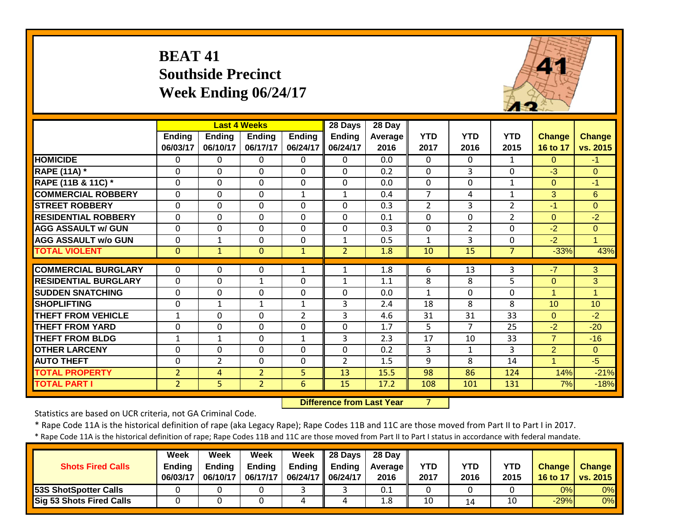## **BEAT 41 Southside Precinct Week Ending 06/24/17**



|                             |                           |                           | <b>Last 4 Weeks</b>       |                           | 28 Days                   | 28 Day          |                    |                    |                    |                           |                           |
|-----------------------------|---------------------------|---------------------------|---------------------------|---------------------------|---------------------------|-----------------|--------------------|--------------------|--------------------|---------------------------|---------------------------|
|                             | <b>Ending</b><br>06/03/17 | <b>Ending</b><br>06/10/17 | <b>Ending</b><br>06/17/17 | <b>Ending</b><br>06/24/17 | <b>Ending</b><br>06/24/17 | Average<br>2016 | <b>YTD</b><br>2017 | <b>YTD</b><br>2016 | <b>YTD</b><br>2015 | <b>Change</b><br>16 to 17 | <b>Change</b><br>vs. 2015 |
| <b>HOMICIDE</b>             | 0                         | $\Omega$                  | $\Omega$                  | $\Omega$                  | 0                         | 0.0             | $\Omega$           | $\Omega$           | 1                  | $\Omega$                  | $-1$                      |
| <b>RAPE (11A)</b> *         | 0                         | $\Omega$                  | $\Omega$                  | $\Omega$                  | $\Omega$                  | 0.2             | $\Omega$           | 3                  | 0                  | $-3$                      | $\Omega$                  |
| RAPE (11B & 11C) *          | 0                         | $\Omega$                  | $\Omega$                  | $\mathbf 0$               | $\Omega$                  | 0.0             | $\Omega$           | $\Omega$           | 1                  | $\Omega$                  | $-1$                      |
| <b>COMMERCIAL ROBBERY</b>   | $\mathbf{0}$              | 0                         | $\mathbf 0$               | $\mathbf{1}$              | 1                         | 0.4             | $\overline{7}$     | 4                  | 1                  | 3                         | 6                         |
| <b>STREET ROBBERY</b>       | $\mathbf{0}$              | $\Omega$                  | $\Omega$                  | $\mathbf 0$               | $\Omega$                  | 0.3             | $\overline{2}$     | $\overline{3}$     | $\overline{2}$     | $-1$                      | $\Omega$                  |
| <b>RESIDENTIAL ROBBERY</b>  | $\Omega$                  | $\mathbf 0$               | $\mathbf 0$               | $\mathbf 0$               | $\Omega$                  | 0.1             | $\Omega$           | $\Omega$           | $\overline{2}$     | $\Omega$                  | $-2$                      |
| <b>AGG ASSAULT w/ GUN</b>   | $\mathbf 0$               | $\mathbf 0$               | $\Omega$                  | $\overline{0}$            | $\Omega$                  | 0.3             | $\mathbf 0$        | $\overline{2}$     | 0                  | $-2$                      | $\overline{0}$            |
| <b>AGG ASSAULT w/o GUN</b>  | $\mathbf 0$               | 1                         | $\mathbf 0$               | $\overline{0}$            | 1                         | 0.5             | $\mathbf{1}$       | 3                  | 0                  | $-2$                      | $\overline{1}$            |
| <b>TOTAL VIOLENT</b>        | $\mathbf{0}$              | $\mathbf{1}$              | $\mathbf{0}$              | $\mathbf{1}$              | $\overline{2}$            | 1.8             | 10                 | 15                 | $\overline{7}$     | $-33%$                    | 43%                       |
|                             |                           |                           |                           |                           |                           |                 |                    |                    |                    |                           |                           |
| <b>COMMERCIAL BURGLARY</b>  | $\mathbf{0}$              | 0                         | $\Omega$                  | 1                         | $\mathbf{1}$              | 1.8             | 6                  | 13                 | 3                  | $-7$                      | 3                         |
| <b>RESIDENTIAL BURGLARY</b> | $\mathbf 0$               | $\Omega$                  | $\mathbf{1}$              | $\overline{0}$            | $\mathbf{1}$              | 1.1             | 8                  | 8                  | 5                  | $\Omega$                  | 3                         |
| <b>SUDDEN SNATCHING</b>     | 0                         | $\Omega$                  | $\Omega$                  | $\overline{0}$            | 0                         | 0.0             | $\mathbf{1}$       | $\Omega$           | 0                  | $\blacktriangleleft$      | 1                         |
| <b>SHOPLIFTING</b>          | 0                         | $\mathbf{1}$              | $\mathbf{1}$              | $\mathbf{1}$              | 3                         | 2.4             | 18                 | 8                  | 8                  | 10                        | 10                        |
| <b>THEFT FROM VEHICLE</b>   | $\mathbf{1}$              | 0                         | $\Omega$                  | $\overline{2}$            | 3                         | 4.6             | 31                 | 31                 | 33                 | $\Omega$                  | $-2$                      |
| <b>THEFT FROM YARD</b>      | 0                         | $\Omega$                  | $\mathbf 0$               | $\mathbf 0$               | $\Omega$                  | 1.7             | 5                  | 7                  | 25                 | $-2$                      | $-20$                     |
| <b>THEFT FROM BLDG</b>      | 1                         | 1                         | $\Omega$                  | $\mathbf{1}$              | 3                         | 2.3             | 17                 | 10                 | 33                 | $\overline{7}$            | $-16$                     |
| <b>OTHER LARCENY</b>        | 0                         | 0                         | $\Omega$                  | $\Omega$                  | $\Omega$                  | 0.2             | 3                  | 1                  | 3                  | $\overline{2}$            | $\Omega$                  |
| <b>AUTO THEFT</b>           | 0                         | 2                         | $\Omega$                  | $\Omega$                  | $\overline{2}$            | 1.5             | 9                  | 8                  | 14                 | 1                         | $-5$                      |
| <b>TOTAL PROPERTY</b>       | $\overline{2}$            | $\overline{4}$            | $\overline{2}$            | 5                         | 13                        | 15.5            | 98                 | 86                 | 124                | 14%                       | $-21%$                    |
| <b>TOTAL PART I</b>         | $\overline{2}$            | 5                         | $\overline{2}$            | 6                         | 15                        | 17.2            | 108                | 101                | 131                | 7%                        | $-18%$                    |

 **Difference from Last Year**

7

Statistics are based on UCR criteria, not GA Criminal Code.

\* Rape Code 11A is the historical definition of rape (aka Legacy Rape); Rape Codes 11B and 11C are those moved from Part II to Part I in 2017.

| <b>Shots Fired Calls</b>        | Week<br><b>Ending</b><br>06/03/17 | Week<br><b>Ending</b><br>06/10/17 | Week<br><b>Ending</b><br>06/17/17 | Week<br>Ending<br>06/24/17   06/24/17 | $\parallel$ 28 Days<br><b>Ending</b> | 28 Day<br><b>Average</b> I<br>2016 | <b>YTD</b><br>2017 | YTD<br>2016 | YTD<br>2015 | <b>Change</b><br>16 to 17 | <b>Change</b><br>vs. 2015 |
|---------------------------------|-----------------------------------|-----------------------------------|-----------------------------------|---------------------------------------|--------------------------------------|------------------------------------|--------------------|-------------|-------------|---------------------------|---------------------------|
| 53S ShotSpotter Calls           |                                   |                                   |                                   |                                       |                                      | 0.1                                |                    |             |             | 0%                        | 0%                        |
| <b>Sig 53 Shots Fired Calls</b> |                                   |                                   |                                   | 4                                     |                                      | 1.8 <sup>°</sup>                   | 10                 | 14          |             | $-29%$                    | 0%                        |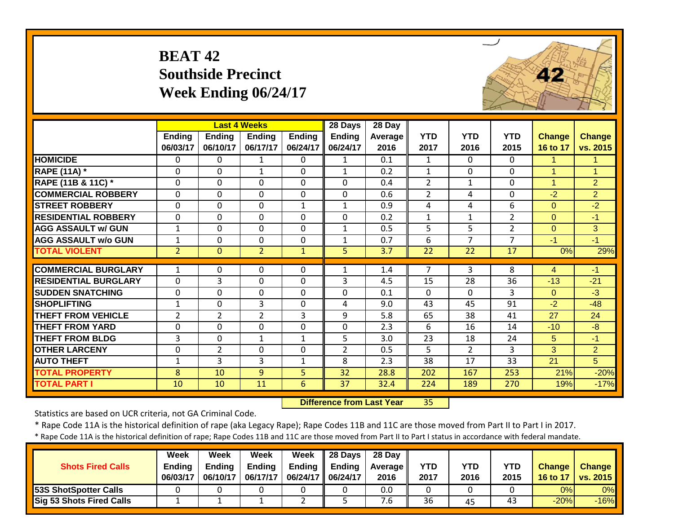# **BEAT 42 Southside Precinct Week Ending 06/24/17**



|                             |                |                | <b>Last 4 Weeks</b> |                | 28 Days        | 28 Day  |              |                |                |                |                |
|-----------------------------|----------------|----------------|---------------------|----------------|----------------|---------|--------------|----------------|----------------|----------------|----------------|
|                             | Ending         | <b>Ending</b>  | <b>Ending</b>       | <b>Ending</b>  | <b>Ending</b>  | Average | <b>YTD</b>   | <b>YTD</b>     | <b>YTD</b>     | <b>Change</b>  | <b>Change</b>  |
|                             | 06/03/17       | 06/10/17       | 06/17/17            | 06/24/17       | 06/24/17       | 2016    | 2017         | 2016           | 2015           | 16 to 17       | vs. 2015       |
| <b>HOMICIDE</b>             | 0              | 0              | 1                   | $\Omega$       | $\mathbf 1$    | 0.1     | 1            | $\Omega$       | 0              | 1.             | 1              |
| <b>RAPE (11A) *</b>         | $\Omega$       | $\Omega$       | $\mathbf{1}$        | $\Omega$       | $\mathbf{1}$   | 0.2     | 1            | $\Omega$       | 0              | $\mathbf{1}$   | 1              |
| RAPE (11B & 11C) *          | $\Omega$       | $\Omega$       | $\Omega$            | $\Omega$       | $\Omega$       | 0.4     | 2            | $\mathbf{1}$   | 0              | $\mathbf{1}$   | 2              |
| <b>COMMERCIAL ROBBERY</b>   | $\Omega$       | $\Omega$       | $\Omega$            | $\Omega$       | $\mathbf{0}$   | 0.6     | 2            | 4              | 0              | $-2$           | $\overline{2}$ |
| <b>STREET ROBBERY</b>       | $\Omega$       | $\mathbf 0$    | $\mathbf 0$         | $\mathbf{1}$   | $\mathbf{1}$   | 0.9     | 4            | 4              | 6              | $\mathbf{0}$   | $-2$           |
| <b>RESIDENTIAL ROBBERY</b>  | 0              | 0              | 0                   | 0              | 0              | 0.2     | $\mathbf{1}$ | $\mathbf{1}$   | $\overline{2}$ | $\mathbf{0}$   | $-1$           |
| <b>AGG ASSAULT w/ GUN</b>   | $\mathbf{1}$   | $\mathbf 0$    | $\Omega$            | $\Omega$       | $\mathbf{1}$   | 0.5     | 5            | 5 <sup>1</sup> | $\overline{2}$ | $\Omega$       | 3              |
| <b>AGG ASSAULT w/o GUN</b>  | $\mathbf{1}$   | $\mathbf 0$    | $\mathbf 0$         | $\Omega$       | $\mathbf{1}$   | 0.7     | 6            | $\overline{7}$ | $\overline{7}$ | $-1$           | $-1$           |
| <b>TOTAL VIOLENT</b>        | $\overline{2}$ | $\mathbf{0}$   | $\overline{2}$      | $\mathbf{1}$   | 5              | 3.7     | 22           | 22             | 17             | 0%             | 29%            |
| <b>COMMERCIAL BURGLARY</b>  | $\mathbf{1}$   | $\Omega$       | $\Omega$            | $\Omega$       |                |         | 7            | $\overline{3}$ | 8              |                | $-1$           |
|                             |                |                |                     |                | 1              | 1.4     |              |                |                | $\overline{4}$ |                |
| <b>RESIDENTIAL BURGLARY</b> | $\mathbf 0$    | 3              | $\mathbf 0$         | $\mathbf 0$    | 3              | 4.5     | 15           | 28             | 36             | $-13$          | $-21$          |
| <b>ISUDDEN SNATCHING</b>    | $\mathbf{0}$   | 0              | $\mathbf 0$         | $\mathbf 0$    | $\mathbf 0$    | 0.1     | $\mathbf{0}$ | $\Omega$       | 3              | $\Omega$       | $-3$           |
| <b>SHOPLIFTING</b>          | $\mathbf{1}$   | $\mathbf 0$    | 3                   | $\mathbf 0$    | 4              | 9.0     | 43           | 45             | 91             | $-2$           | $-48$          |
| <b>THEFT FROM VEHICLE</b>   | $\overline{2}$ | $\overline{2}$ | $\overline{2}$      | 3              | 9              | 5.8     | 65           | 38             | 41             | 27             | 24             |
| <b>THEFT FROM YARD</b>      | $\mathbf{0}$   | $\mathbf 0$    | $\mathbf 0$         | $\mathbf 0$    | $\overline{0}$ | 2.3     | 6            | 16             | 14             | $-10$          | $-8$           |
| <b>THEFT FROM BLDG</b>      | 3              | 0              | $\mathbf{1}$        | 1              | 5              | 3.0     | 23           | 18             | 24             | 5              | $-1$           |
| <b>OTHER LARCENY</b>        | 0              | $\overline{2}$ | 0                   | $\mathbf 0$    | $\overline{2}$ | 0.5     | 5            | $\overline{2}$ | 3              | 3              | $\overline{2}$ |
| <b>AUTO THEFT</b>           | $\mathbf 1$    | 3              | 3                   | 1              | 8              | 2.3     | 38           | 17             | 33             | 21             | 5              |
| <b>TOTAL PROPERTY</b>       | 8              | 10             | 9                   | 5 <sup>1</sup> | 32             | 28.8    | 202          | 167            | 253            | 21%            | $-20%$         |
| <b>TOTAL PART I</b>         | 10             | 10             | 11                  | 6              | 37             | 32.4    | 224          | 189            | 270            | 19%            | $-17%$         |

 **Difference from Last Year**r 35

Statistics are based on UCR criteria, not GA Criminal Code.

\* Rape Code 11A is the historical definition of rape (aka Legacy Rape); Rape Codes 11B and 11C are those moved from Part II to Part I in 2017.

| <b>Shots Fired Calls</b>     | Week<br><b>Ending</b><br>06/03/17 | Week<br><b>Ending</b><br>06/10/17 | Week<br><b>Ending</b><br>06/17/17 | Week<br>06/24/17   06/24/17 | $\parallel$ 28 Days<br>Ending $\parallel$ Ending | 28 Day<br><b>Average</b> II<br>2016 | YTD<br>2017 | YTD<br>2016 | YTD<br>2015 | <b>Change</b><br>16 to 17 | <b>Change</b><br><b>vs. 2015</b> |
|------------------------------|-----------------------------------|-----------------------------------|-----------------------------------|-----------------------------|--------------------------------------------------|-------------------------------------|-------------|-------------|-------------|---------------------------|----------------------------------|
| <b>53S ShotSpotter Calls</b> |                                   |                                   |                                   |                             |                                                  | 0.0                                 |             |             |             | 0%                        | $0\%$                            |
| Sig 53 Shots Fired Calls     |                                   |                                   |                                   | <u>.</u>                    |                                                  | '.ხ                                 | 36          | 45          | 43          | $-20%$                    | $-16%$                           |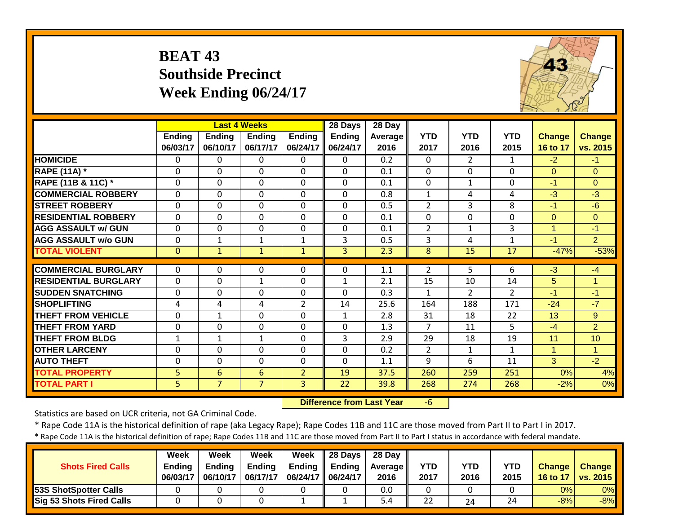#### **BEAT 43 Southside Precinct Week Ending 06/24/17**



|                             |              |                | <b>Last 4 Weeks</b> |                | 28 Days        | 28 Day         |                |                |                |              |                |
|-----------------------------|--------------|----------------|---------------------|----------------|----------------|----------------|----------------|----------------|----------------|--------------|----------------|
|                             | Ending       | <b>Ending</b>  | Ending              | <b>Ending</b>  | <b>Ending</b>  | <b>Average</b> | <b>YTD</b>     | <b>YTD</b>     | <b>YTD</b>     | Change       | <b>Change</b>  |
|                             | 06/03/17     | 06/10/17       | 06/17/17            | 06/24/17       | 06/24/17       | 2016           | 2017           | 2016           | 2015           | 16 to 17     | vs. 2015       |
| <b>HOMICIDE</b>             | $\Omega$     | 0              | $\Omega$            | $\Omega$       | $\Omega$       | 0.2            | $\mathbf{0}$   | 2              | $\mathbf{1}$   | $-2$         | $-1$           |
| <b>RAPE (11A) *</b>         | $\Omega$     | $\Omega$       | $\Omega$            | $\Omega$       | $\Omega$       | 0.1            | $\Omega$       | $\Omega$       | $\Omega$       | $\Omega$     | $\Omega$       |
| RAPE (11B & 11C) *          | 0            | $\mathbf 0$    | $\Omega$            | $\Omega$       | $\mathbf{0}$   | 0.1            | 0              | $\mathbf{1}$   | 0              | $-1$         | $\Omega$       |
| <b>COMMERCIAL ROBBERY</b>   | $\Omega$     | $\Omega$       | $\Omega$            | $\Omega$       | $\mathbf{0}$   | 0.8            | $\mathbf{1}$   | 4              | 4              | $-3$         | $-3$           |
| <b>STREET ROBBERY</b>       | $\Omega$     | $\mathbf{0}$   | $\Omega$            | $\Omega$       | $\mathbf{0}$   | 0.5            | $\overline{2}$ | 3              | 8              | $-1$         | $-6$           |
| <b>RESIDENTIAL ROBBERY</b>  | $\mathbf{0}$ | $\Omega$       | $\Omega$            | $\mathbf 0$    | $\mathbf 0$    | 0.1            | $\mathbf 0$    | $\Omega$       | $\Omega$       | $\Omega$     | $\overline{0}$ |
| <b>AGG ASSAULT w/ GUN</b>   | $\mathbf{0}$ | $\mathbf{0}$   | $\mathbf{0}$        | $\mathbf 0$    | $\mathbf 0$    | 0.1            | $\overline{2}$ | $\mathbf{1}$   | 3              | $\mathbf{1}$ | $-1$           |
| <b>AGG ASSAULT w/o GUN</b>  | $\Omega$     | $\mathbf{1}$   | $\mathbf{1}$        | $\mathbf{1}$   | 3              | 0.5            | 3              | 4              | $\mathbf{1}$   | $-1$         | $\overline{2}$ |
| <b>TOTAL VIOLENT</b>        | $\mathbf{0}$ | $\mathbf{1}$   | $\mathbf{1}$        | $\mathbf{1}$   | $\overline{3}$ | 2.3            | 8              | 15             | 17             | $-47%$       | $-53%$         |
|                             |              |                |                     |                |                |                |                |                |                |              |                |
| <b>COMMERCIAL BURGLARY</b>  | $\Omega$     | $\Omega$       | 0                   | $\Omega$       | $\mathbf{0}$   | 1.1            | $\overline{2}$ | 5              | 6              | $-3$         | $-4$           |
| <b>RESIDENTIAL BURGLARY</b> | $\mathbf{0}$ | 0              | $\mathbf{1}$        | $\mathbf 0$    | $\mathbf{1}$   | 2.1            | 15             | 10             | 14             | 5            | $\overline{1}$ |
| <b>ISUDDEN SNATCHING</b>    | $\mathbf{0}$ | 0              | $\Omega$            | $\mathbf 0$    | $\Omega$       | 0.3            | $\mathbf{1}$   | $\overline{2}$ | $\overline{2}$ | $-1$         | $-1$           |
| <b>SHOPLIFTING</b>          | 4            | 4              | 4                   | $\overline{2}$ | 14             | 25.6           | 164            | 188            | 171            | $-24$        | $-7$           |
| <b>THEFT FROM VEHICLE</b>   | $\Omega$     | $\mathbf{1}$   | $\Omega$            | $\Omega$       | $\mathbf{1}$   | 2.8            | 31             | 18             | 22             | 13           | 9              |
| <b>THEFT FROM YARD</b>      | $\Omega$     | $\Omega$       | $\Omega$            | $\Omega$       | $\Omega$       | 1.3            | $\overline{7}$ | 11             | 5              | $-4$         | $\overline{2}$ |
| <b>THEFT FROM BLDG</b>      | 1            | $\mathbf{1}$   | $\mathbf{1}$        | $\mathbf 0$    | 3              | 2.9            | 29             | 18             | 19             | 11           | 10             |
| <b>OTHER LARCENY</b>        | $\mathbf{0}$ | $\mathbf 0$    | $\mathbf 0$         | $\mathbf 0$    | $\mathbf{0}$   | 0.2            | $\overline{2}$ | $\mathbf{1}$   | $\mathbf{1}$   | $\mathbf{1}$ | $\overline{1}$ |
| <b>AUTO THEFT</b>           | 0            | 0              | $\mathbf 0$         | $\mathbf 0$    | $\mathbf{0}$   | 1.1            | 9              | 6              | 11             | 3            | $-2$           |
| <b>TOTAL PROPERTY</b>       | 5            | 6              | 6                   | $\overline{2}$ | 19             | 37.5           | 260            | 259            | 251            | 0%           | 4%             |
| <b>TOTAL PART I</b>         | 5            | 7 <sup>1</sup> | $\overline{7}$      | $\overline{3}$ | 22             | 39.8           | 268            | 274            | 268            | $-2%$        | 0%             |

 **Difference from Last Year**‐6

Statistics are based on UCR criteria, not GA Criminal Code.

\* Rape Code 11A is the historical definition of rape (aka Legacy Rape); Rape Codes 11B and 11C are those moved from Part II to Part I in 2017.

| <b>Shots Fired Calls</b>        | Week<br><b>Endina</b><br>06/03/17 | Week<br><b>Ending</b><br>06/10/17 | Week<br><b>Ending</b><br>06/17/17 | Week<br>Ending<br>06/24/17   06/24/17 | $\parallel$ 28 Davs<br><b>Ending</b> | 28 Dav<br><b>Average II</b><br>2016 | <b>YTD</b><br>2017 | YTD<br>2016 | <b>YTD</b><br>2015 | <b>Change</b><br>16 to 17 | <b>Change</b><br>vs. 2015 |
|---------------------------------|-----------------------------------|-----------------------------------|-----------------------------------|---------------------------------------|--------------------------------------|-------------------------------------|--------------------|-------------|--------------------|---------------------------|---------------------------|
| 53S ShotSpotter Calls           |                                   |                                   |                                   |                                       |                                      | 0.0                                 |                    |             |                    | 0%                        | 0%                        |
| <b>Sig 53 Shots Fired Calls</b> |                                   |                                   |                                   |                                       |                                      | 5.4                                 | 22                 | 24          | 24                 | $-8%$                     | $-8%$                     |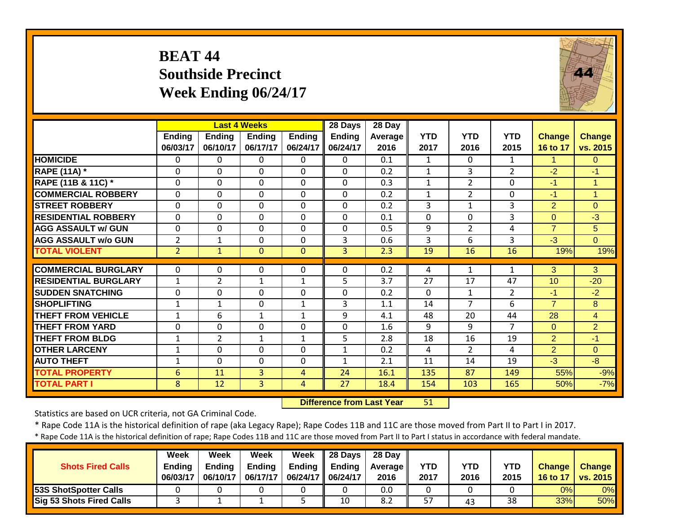#### **BEAT 44 Southside Precinct Week Ending 06/24/17**



|                             |                           |                           | <b>Last 4 Weeks</b>       |                           | 28 Days                   | 28 Day                 |                    |                    |                    |                           |                    |
|-----------------------------|---------------------------|---------------------------|---------------------------|---------------------------|---------------------------|------------------------|--------------------|--------------------|--------------------|---------------------------|--------------------|
|                             | <b>Ending</b><br>06/03/17 | <b>Ending</b><br>06/10/17 | <b>Ending</b><br>06/17/17 | <b>Ending</b><br>06/24/17 | <b>Ending</b><br>06/24/17 | <b>Average</b><br>2016 | <b>YTD</b><br>2017 | <b>YTD</b><br>2016 | <b>YTD</b><br>2015 | <b>Change</b><br>16 to 17 | Change<br>vs. 2015 |
| <b>HOMICIDE</b>             | $\mathbf{0}$              | $\Omega$                  | $\Omega$                  | $\Omega$                  | $\Omega$                  | 0.1                    | $\mathbf{1}$       | $\Omega$           | $\mathbf{1}$       | 1.                        | $\Omega$           |
| <b>RAPE (11A)</b> *         | $\Omega$                  | $\Omega$                  | $\mathbf 0$               | $\Omega$                  | $\Omega$                  | 0.2                    | $\mathbf{1}$       | 3                  | $\overline{2}$     | $-2$                      | $-1$               |
| RAPE (11B & 11C) *          | 0                         | $\mathbf 0$               | $\mathbf 0$               | $\mathbf 0$               | $\mathbf 0$               | 0.3                    | $\mathbf{1}$       | $\overline{2}$     | 0                  | $-1$                      | $\mathbf{1}$       |
| <b>COMMERCIAL ROBBERY</b>   | $\Omega$                  | $\Omega$                  | $\mathbf 0$               | $\Omega$                  | $\Omega$                  | 0.2                    | $\mathbf{1}$       | $\overline{2}$     | $\mathbf 0$        | $-1$                      | $\overline{1}$     |
| <b>STREET ROBBERY</b>       | $\mathbf 0$               | $\Omega$                  | $\Omega$                  | $\mathbf 0$               | $\Omega$                  | 0.2                    | 3                  | $\mathbf{1}$       | 3                  | $\overline{2}$            | $\mathbf{0}$       |
| <b>RESIDENTIAL ROBBERY</b>  | $\mathbf 0$               | $\Omega$                  | $\mathbf 0$               | $\mathbf 0$               | $\Omega$                  | 0.1                    | $\mathbf 0$        | $\mathbf 0$        | 3                  | $\overline{0}$            | $-3$               |
| <b>AGG ASSAULT w/ GUN</b>   | $\Omega$                  | $\Omega$                  | $\mathbf 0$               | $\Omega$                  | $\Omega$                  | 0.5                    | 9                  | $\overline{2}$     | 4                  | $\overline{7}$            | 5                  |
| <b>AGG ASSAULT w/o GUN</b>  | $\overline{2}$            | $\mathbf{1}$              | $\mathbf 0$               | $\Omega$                  | 3                         | 0.6                    | 3                  | 6                  | 3                  | $-3$                      | $\Omega$           |
| <b>TOTAL VIOLENT</b>        | $\overline{2}$            | $\mathbf{1}$              | $\mathbf{0}$              | $\mathbf{0}$              | $\overline{3}$            | 2.3                    | 19                 | 16                 | 16                 | 19%                       | 19%                |
|                             |                           |                           |                           |                           |                           |                        |                    |                    |                    |                           |                    |
| <b>COMMERCIAL BURGLARY</b>  | $\Omega$                  | $\Omega$                  | 0                         | 0                         | $\Omega$                  | 0.2                    | 4                  | 1                  | 1                  | 3                         | 3                  |
| <b>RESIDENTIAL BURGLARY</b> | $\mathbf{1}$              | $\overline{2}$            | $\mathbf{1}$              | $\mathbf{1}$              | 5                         | 3.7                    | 27                 | 17                 | 47                 | 10                        | $-20$              |
| <b>ISUDDEN SNATCHING</b>    | $\mathbf 0$               | $\Omega$                  | $\mathbf 0$               | $\mathbf 0$               | $\overline{0}$            | 0.2                    | $\mathbf 0$        | $\mathbf{1}$       | $\overline{2}$     | $-1$                      | $-2$               |
| <b>SHOPLIFTING</b>          | $\mathbf{1}$              | $\mathbf{1}$              | 0                         | $\mathbf{1}$              | 3                         | 1.1                    | 14                 | $\overline{7}$     | 6                  | $\overline{7}$            | 8                  |
| <b>THEFT FROM VEHICLE</b>   | $\mathbf{1}$              | 6                         | $\mathbf{1}$              | $\mathbf{1}$              | 9                         | 4.1                    | 48                 | 20                 | 44                 | 28                        | $\overline{4}$     |
| <b>THEFT FROM YARD</b>      | $\mathbf 0$               | $\mathbf 0$               | 0                         | $\mathbf 0$               | $\overline{0}$            | 1.6                    | 9                  | 9                  | $\overline{7}$     | $\Omega$                  | $\overline{2}$     |
| <b>THEFT FROM BLDG</b>      | 1                         | $\overline{2}$            | $\mathbf{1}$              | $\mathbf{1}$              | 5                         | 2.8                    | 18                 | 16                 | 19                 | $\overline{2}$            | $-1$               |
| <b>OTHER LARCENY</b>        | $\mathbf{1}$              | $\Omega$                  | 0                         | $\Omega$                  | 1                         | 0.2                    | 4                  | $\overline{2}$     | 4                  | $\overline{2}$            | $\Omega$           |
| <b>AUTO THEFT</b>           | 1                         | $\Omega$                  | 0                         | $\mathbf 0$               | $\mathbf{1}$              | 2.1                    | 11                 | 14                 | 19                 | $-3$                      | $-8$               |
| <b>TOTAL PROPERTY</b>       | 6                         | 11                        | $\overline{3}$            | $\overline{4}$            | 24                        | 16.1                   | 135                | 87                 | 149                | 55%                       | $-9%$              |
| <b>TOTAL PART I</b>         | 8                         | 12                        | 3                         | 4                         | $\overline{27}$           | 18.4                   | 154                | 103                | 165                | 50%                       | $-7%$              |

 **Difference from Last Year**51

Statistics are based on UCR criteria, not GA Criminal Code.

\* Rape Code 11A is the historical definition of rape (aka Legacy Rape); Rape Codes 11B and 11C are those moved from Part II to Part I in 2017.

| <b>Shots Fired Calls</b>        | Week<br><b>Ending</b><br>06/03/17 | Week<br><b>Ending</b><br>06/10/17 | Week<br><b>Ending</b><br>06/17/17 | Week<br>06/24/17   06/24/17 | $\parallel$ 28 Days<br>Ending $\parallel$ Ending | 28 Day<br><b>Average</b> II<br>2016 | <b>YTD</b><br>2017 | <b>YTD</b><br>2016 | <b>YTD</b><br>2015 | <b>Change</b><br>16 to 17 | <b>Change</b><br><b>vs. 2015</b> |
|---------------------------------|-----------------------------------|-----------------------------------|-----------------------------------|-----------------------------|--------------------------------------------------|-------------------------------------|--------------------|--------------------|--------------------|---------------------------|----------------------------------|
| <b>53S ShotSpotter Calls</b>    |                                   |                                   |                                   |                             |                                                  | 0.0                                 |                    |                    |                    | 0%                        | 0%                               |
| <b>Sig 53 Shots Fired Calls</b> |                                   |                                   |                                   |                             | 10                                               | 8.2                                 | 57                 | 43                 | 38                 | 33%                       | $50\%$                           |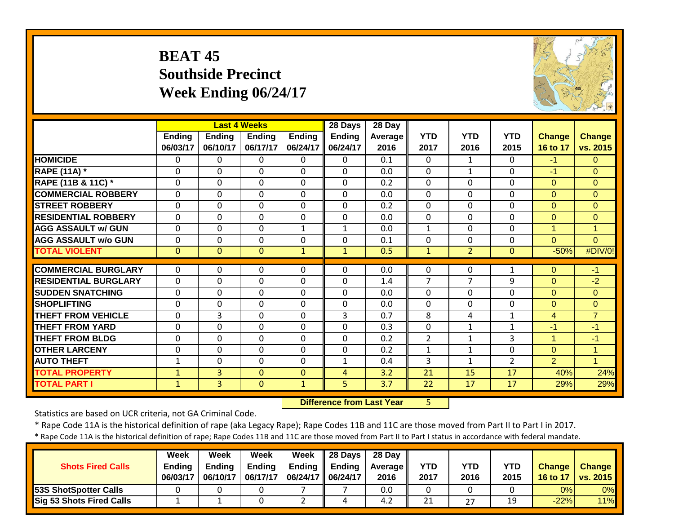#### **BEAT 45 Southside Precinct Week Ending 06/24/17**



|                             |               |               | <b>Last 4 Weeks</b> |               | 28 Days      | 28 Day  |                |                    |                    |                |                |
|-----------------------------|---------------|---------------|---------------------|---------------|--------------|---------|----------------|--------------------|--------------------|----------------|----------------|
|                             | <b>Ending</b> | <b>Ending</b> | <b>Ending</b>       | <b>Ending</b> | Ending       | Average | <b>YTD</b>     | <b>YTD</b><br>2016 | <b>YTD</b><br>2015 | <b>Change</b>  | <b>Change</b>  |
|                             | 06/03/17      | 06/10/17      | 06/17/17            | 06/24/17      | 06/24/17     | 2016    | 2017           |                    |                    | 16 to 17       | vs. 2015       |
| <b>HOMICIDE</b>             | $\mathbf{0}$  | 0             | 0                   | $\Omega$      | $\Omega$     | 0.1     | $\Omega$       | $\mathbf{1}$       | 0                  | $-1$           | $\Omega$       |
| <b>RAPE (11A)</b> *         | 0             | $\Omega$      | $\Omega$            | $\mathbf{0}$  | $\mathbf{0}$ | 0.0     | $\Omega$       | $\mathbf{1}$       | 0                  | $-1$           | $\Omega$       |
| RAPE (11B & 11C) *          | $\mathbf{0}$  | $\Omega$      | $\mathbf 0$         | $\mathbf 0$   | $\Omega$     | 0.2     | 0              | $\Omega$           | $\Omega$           | $\overline{0}$ | $\Omega$       |
| <b>COMMERCIAL ROBBERY</b>   | $\mathbf{0}$  | $\Omega$      | $\mathbf 0$         | $\mathbf{0}$  | $\Omega$     | 0.0     | $\Omega$       | $\Omega$           | $\Omega$           | $\Omega$       | $\Omega$       |
| <b>STREET ROBBERY</b>       | $\mathbf 0$   | $\Omega$      | $\Omega$            | $\mathbf 0$   | $\Omega$     | 0.2     | $\mathbf 0$    | $\Omega$           | $\Omega$           | $\overline{0}$ | $\overline{0}$ |
| <b>RESIDENTIAL ROBBERY</b>  | $\Omega$      | $\Omega$      | $\mathbf 0$         | $\mathbf 0$   | $\Omega$     | 0.0     | $\mathbf 0$    | $\Omega$           | $\Omega$           | $\Omega$       | $\overline{0}$ |
| <b>AGG ASSAULT w/ GUN</b>   | $\mathbf 0$   | 0             | $\mathbf 0$         | $\mathbf{1}$  | $\mathbf{1}$ | 0.0     | $\mathbf 1$    | $\mathbf 0$        | $\mathbf{0}$       | $\mathbf{1}$   | $\overline{1}$ |
| <b>AGG ASSAULT w/o GUN</b>  | $\mathbf 0$   | 0             | $\mathbf 0$         | $\mathbf 0$   | $\mathbf 0$  | 0.1     | $\mathbf 0$    | $\mathbf 0$        | 0                  | $\overline{0}$ | $\overline{0}$ |
| <b>TOTAL VIOLENT</b>        | $\mathbf{0}$  | $\Omega$      | $\mathbf 0$         | $\mathbf{1}$  | $\mathbf{1}$ | 0.5     | $\mathbf{1}$   | $\overline{2}$     | $\mathbf{0}$       | $-50%$         | #DIV/0!        |
|                             |               |               |                     |               |              |         |                |                    |                    |                |                |
| <b>COMMERCIAL BURGLARY</b>  | $\Omega$      | 0             | 0                   | $\mathbf{0}$  | $\Omega$     | 0.0     | 0              | 0                  | 1                  | $\Omega$       | $-1$           |
| <b>RESIDENTIAL BURGLARY</b> | $\mathbf 0$   | $\Omega$      | $\mathbf 0$         | $\mathbf 0$   | $\Omega$     | 1.4     | $\overline{7}$ | $\overline{7}$     | 9                  | $\Omega$       | $-2$           |
| <b>ISUDDEN SNATCHING</b>    | $\mathbf 0$   | $\Omega$      | 0                   | $\mathbf 0$   | $\Omega$     | 0.0     | $\Omega$       | $\Omega$           | $\Omega$           | $\Omega$       | $\Omega$       |
| <b>SHOPLIFTING</b>          | $\Omega$      | $\Omega$      | 0                   | $\Omega$      | $\Omega$     | 0.0     | $\Omega$       | $\Omega$           | $\Omega$           | $\Omega$       | $\Omega$       |
| <b>THEFT FROM VEHICLE</b>   | $\mathbf 0$   | 3             | 0                   | $\Omega$      | 3            | 0.7     | 8              | 4                  | 1                  | $\overline{4}$ | $\overline{7}$ |
| <b>THEFT FROM YARD</b>      | 0             | 0             | 0                   | $\mathbf{0}$  | $\Omega$     | 0.3     | 0              | $\mathbf{1}$       | 1                  | $-1$           | $-1$           |
| <b>THEFT FROM BLDG</b>      | 0             | 0             | 0                   | 0             | $\Omega$     | 0.2     | $\overline{2}$ | $\mathbf{1}$       | 3                  | $\mathbf{1}$   | $-1$           |
| <b>OTHER LARCENY</b>        | 0             | 0             | 0                   | $\mathbf 0$   | $\Omega$     | 0.2     | $\mathbf 1$    | $\mathbf{1}$       | 0                  | $\overline{0}$ | $\overline{1}$ |
| <b>AUTO THEFT</b>           | 1             | 0             | 0                   | $\mathbf 0$   | 1            | 0.4     | 3              | 1                  | 2                  | $\overline{2}$ | $\overline{1}$ |
| <b>TOTAL PROPERTY</b>       | $\mathbf{1}$  | 3             | $\Omega$            | $\Omega$      | 4            | 3.2     | 21             | 15                 | 17                 | 40%            | 24%            |
| <b>TOTAL PART I</b>         | $\mathbf{1}$  | 3             | $\mathbf{0}$        | $\mathbf{1}$  | 5            | 3.7     | 22             | 17                 | 17                 | 29%            | 29%            |

 **Difference from Last Year**5

Statistics are based on UCR criteria, not GA Criminal Code.

\* Rape Code 11A is the historical definition of rape (aka Legacy Rape); Rape Codes 11B and 11C are those moved from Part II to Part I in 2017.

| <b>Shots Fired Calls</b>        | Week<br><b>Endina</b><br>06/03/17 | Week<br><b>Ending</b><br>06/10/17 | Week<br><b>Ending</b><br>06/17/17 | Week<br>Ending<br>06/24/17   06/24/17 | $\parallel$ 28 Davs<br><b>Ending</b> | 28 Dav<br><b>Average II</b><br>2016 | <b>YTD</b><br>2017 | YTD<br>2016 | <b>YTD</b><br>2015 | <b>Change</b><br>16 to 17 | <b>Change</b><br>vs. 2015 |
|---------------------------------|-----------------------------------|-----------------------------------|-----------------------------------|---------------------------------------|--------------------------------------|-------------------------------------|--------------------|-------------|--------------------|---------------------------|---------------------------|
| 53S ShotSpotter Calls           |                                   |                                   |                                   |                                       |                                      | 0.0                                 |                    |             |                    | 0%                        | 0%                        |
| <b>Sig 53 Shots Fired Calls</b> |                                   |                                   |                                   |                                       |                                      | 4.2                                 | 21                 | つつ          | 19                 | $-22%$                    | 11%                       |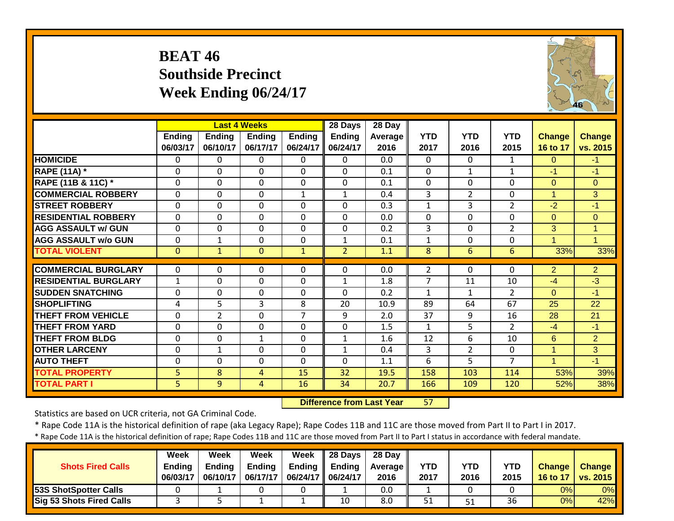#### **BEAT 46 Southside Precinct Week Ending 06/24/17**



|                             |                |                | <b>Last 4 Weeks</b> |                | 28 Days        | 28 Day         |                |                |                |                |                |
|-----------------------------|----------------|----------------|---------------------|----------------|----------------|----------------|----------------|----------------|----------------|----------------|----------------|
|                             | <b>Ending</b>  | <b>Ending</b>  | <b>Ending</b>       | <b>Ending</b>  | <b>Ending</b>  | <b>Average</b> | <b>YTD</b>     | <b>YTD</b>     | <b>YTD</b>     | <b>Change</b>  | <b>Change</b>  |
|                             | 06/03/17       | 06/10/17       | 06/17/17            | 06/24/17       | 06/24/17       | 2016           | 2017           | 2016           | 2015           | 16 to 17       | vs. 2015       |
| <b>HOMICIDE</b>             | $\mathbf{0}$   | $\Omega$       | 0                   | $\Omega$       | $\Omega$       | 0.0            | $\Omega$       | $\Omega$       | $\mathbf{1}$   | $\Omega$       | $-1$           |
| <b>RAPE (11A)</b> *         | $\Omega$       | $\Omega$       | $\Omega$            | $\Omega$       | $\Omega$       | 0.1            | $\Omega$       | $\mathbf{1}$   | $\mathbf{1}$   | $-1$           | $-1$           |
| RAPE (11B & 11C) *          | 0              | $\Omega$       | $\mathbf 0$         | $\mathbf 0$    | $\Omega$       | 0.1            | 0              | $\mathbf 0$    | 0              | $\overline{0}$ | $\Omega$       |
| <b>COMMERCIAL ROBBERY</b>   | 0              | $\mathbf 0$    | 0                   | $\mathbf{1}$   | $\mathbf{1}$   | 0.4            | 3              | $\overline{2}$ | $\mathbf 0$    | $\mathbf{1}$   | 3              |
| <b>STREET ROBBERY</b>       | $\mathbf 0$    | $\Omega$       | $\Omega$            | $\mathbf 0$    | $\Omega$       | 0.3            | $\mathbf{1}$   | 3              | $\overline{2}$ | $-2$           | $-1$           |
| <b>RESIDENTIAL ROBBERY</b>  | $\mathbf 0$    | $\Omega$       | $\mathbf 0$         | $\Omega$       | $\Omega$       | 0.0            | $\mathbf 0$    | $\Omega$       | $\Omega$       | $\overline{0}$ | $\mathbf{0}$   |
| <b>AGG ASSAULT w/ GUN</b>   | $\mathbf 0$    | $\mathbf 0$    | $\mathbf 0$         | $\mathbf 0$    | $\overline{0}$ | 0.2            | 3              | $\mathbf 0$    | $\overline{2}$ | 3              | $\overline{1}$ |
| <b>AGG ASSAULT w/o GUN</b>  | $\mathbf 0$    | $\mathbf{1}$   | 0                   | $\mathbf 0$    | $\mathbf{1}$   | 0.1            | $\mathbf{1}$   | $\mathbf 0$    | $\mathbf{0}$   | $\mathbf{1}$   | $\overline{1}$ |
| <b>TOTAL VIOLENT</b>        | $\mathbf{0}$   | $\mathbf{1}$   | $\mathbf{0}$        | $\mathbf{1}$   | $\overline{2}$ | 1.1            | 8              | $6\phantom{1}$ | 6              | 33%            | 33%            |
|                             |                |                |                     |                |                |                |                |                |                |                |                |
| <b>COMMERCIAL BURGLARY</b>  | 0              | 0              | 0                   | $\Omega$       | $\Omega$       | 0.0            | $\overline{2}$ | $\Omega$       | 0              | $\overline{2}$ | $\overline{2}$ |
| <b>RESIDENTIAL BURGLARY</b> | $\mathbf{1}$   | $\Omega$       | 0                   | $\mathbf 0$    | $\mathbf{1}$   | 1.8            | $\overline{7}$ | 11             | 10             | $-4$           | $-3$           |
| <b>ISUDDEN SNATCHING</b>    | $\mathbf 0$    | $\Omega$       | 0                   | $\mathbf 0$    | $\Omega$       | 0.2            | $\mathbf{1}$   | $\mathbf{1}$   | $\overline{2}$ | $\Omega$       | $-1$           |
| <b>SHOPLIFTING</b>          | 4              | 5              | 3                   | 8              | 20             | 10.9           | 89             | 64             | 67             | 25             | 22             |
| <b>THEFT FROM VEHICLE</b>   | $\mathbf 0$    | $\overline{2}$ | 0                   | $\overline{7}$ | 9              | 2.0            | 37             | 9              | 16             | 28             | 21             |
| <b>THEFT FROM YARD</b>      | 0              | $\Omega$       | 0                   | 0              | $\Omega$       | 1.5            | $\mathbf{1}$   | 5              | 2              | $-4$           | $-1$           |
| <b>THEFT FROM BLDG</b>      | 0              | $\Omega$       | $\mathbf{1}$        | $\mathbf 0$    | 1              | 1.6            | 12             | 6              | 10             | 6              | $\overline{2}$ |
| <b>OTHER LARCENY</b>        | 0              | $\mathbf{1}$   | 0                   | $\Omega$       | $\mathbf{1}$   | 0.4            | 3              | $\overline{2}$ | $\Omega$       | 1              | 3              |
| <b>AUTO THEFT</b>           | 0              | $\Omega$       | 0                   | $\Omega$       | $\Omega$       | 1.1            | 6              | 5              | 7              | 1              | $-1$           |
| <b>TOTAL PROPERTY</b>       | 5              | 8              | 4                   | 15             | 32             | 19.5           | 158            | 103            | 114            | 53%            | 39%            |
| <b>TOTAL PART I</b>         | 5 <sup>1</sup> | 9              | 4                   | 16             | 34             | 20.7           | 166            | 109            | 120            | 52%            | 38%            |

 **Difference from Last Year**r 57

Statistics are based on UCR criteria, not GA Criminal Code.

\* Rape Code 11A is the historical definition of rape (aka Legacy Rape); Rape Codes 11B and 11C are those moved from Part II to Part I in 2017.

| <b>Shots Fired Calls</b>        | Week<br><b>Endina</b><br>06/03/17 | Week<br><b>Ending</b><br>06/10/17 | Week<br><b>Ending</b><br>06/17/17 | Week<br>Ending<br>06/24/17   06/24/17 | $\parallel$ 28 Davs<br><b>Ending</b> | 28 Dav<br><b>Average II</b><br>2016 | <b>YTD</b><br>2017 | YTD<br>2016 | <b>YTD</b><br>2015 | <b>Change</b><br>16 to 17 | <b>Change</b><br>vs. 2015 |
|---------------------------------|-----------------------------------|-----------------------------------|-----------------------------------|---------------------------------------|--------------------------------------|-------------------------------------|--------------------|-------------|--------------------|---------------------------|---------------------------|
| 53S ShotSpotter Calls           |                                   |                                   |                                   |                                       |                                      | 0.0                                 |                    |             |                    | 0%                        | 0%                        |
| <b>Sig 53 Shots Fired Calls</b> |                                   |                                   |                                   |                                       | 10                                   | 8.0                                 | 51                 | 51          | 36                 | 0%                        | 42%                       |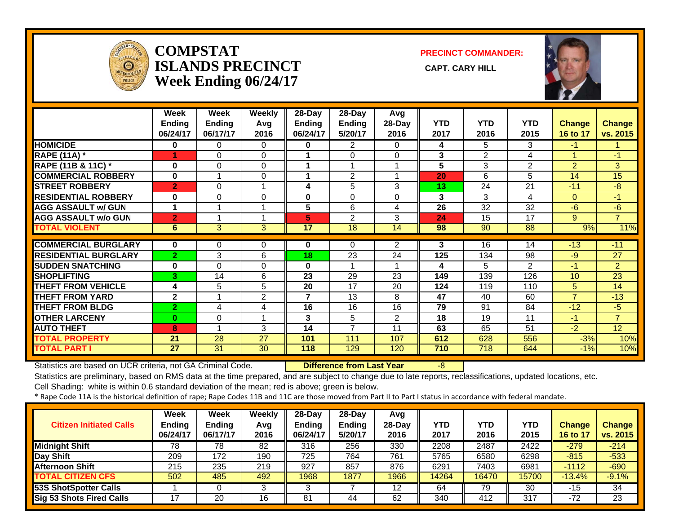

#### **COMPSTATISLANDS PRECINCT** CAPT. CARY HILL **Week Ending 06/24/17**

**PRECINCT COMMANDER:**



|                             | Week                      | Week                      | <b>Weekly</b>  | $28 - Day$         | $28 - Day$               | Avg            |                    |                    |                    |                           |                           |
|-----------------------------|---------------------------|---------------------------|----------------|--------------------|--------------------------|----------------|--------------------|--------------------|--------------------|---------------------------|---------------------------|
|                             | <b>Ending</b><br>06/24/17 | <b>Ending</b><br>06/17/17 | Avg<br>2016    | Ending<br>06/24/17 | <b>Ending</b><br>5/20/17 | 28-Day<br>2016 | <b>YTD</b><br>2017 | <b>YTD</b><br>2016 | <b>YTD</b><br>2015 | <b>Change</b><br>16 to 17 | <b>Change</b><br>vs. 2015 |
| <b>HOMICIDE</b>             | $\mathbf{0}$              | 0                         | $\Omega$       | 0                  | 2                        | 0              | 4                  | 5                  | 3                  | $-1$                      |                           |
| <b>RAPE (11A)</b> *         | 1                         | 0                         | $\Omega$       | 1                  | $\Omega$                 | $\Omega$       | 3                  | $\overline{2}$     | 4                  | 1                         | $-1$                      |
| RAPE (11B & 11C) *          | $\bf{0}$                  | $\Omega$                  | 0              |                    |                          |                | 5                  | 3                  | $\overline{2}$     | $\overline{2}$            | 3                         |
| <b>COMMERCIAL ROBBERY</b>   | $\bf{0}$                  |                           | 0              |                    | $\overline{2}$           |                | 20                 | 6                  | 5                  | 14                        | 15                        |
| <b>STREET ROBBERY</b>       | $\overline{2}$            | $\Omega$                  |                | 4                  | 5                        | 3              | 13                 | 24                 | 21                 | $-11$                     | $-8$                      |
| <b>RESIDENTIAL ROBBERY</b>  | 0                         | $\Omega$                  | $\Omega$       | 0                  | $\Omega$                 | $\Omega$       | 3                  | 3                  | 4                  | $\Omega$                  | $-1$                      |
| <b>AGG ASSAULT w/ GUN</b>   | $\mathbf 1$               |                           | 1              | 5                  | 6                        | 4              | 26                 | 32                 | 32                 | $-6$                      | $-6$                      |
| <b>AGG ASSAULT w/o GUN</b>  | $\overline{2}$            |                           |                | 5                  | $\overline{2}$           | 3              | 24                 | 15                 | 17                 | 9                         | $\overline{7}$            |
| <b>TOTAL VIOLENT</b>        | $6\phantom{1}$            | 3                         | 3              | 17                 | 18                       | 14             | 98                 | 90                 | 88                 | 9%                        | 11%                       |
|                             |                           |                           |                |                    |                          |                |                    |                    |                    |                           |                           |
| <b>COMMERCIAL BURGLARY</b>  | 0                         | 0                         | 0              | 0                  | 0                        | $\overline{2}$ | 3                  | 16                 | 14                 | $-13$                     | $-11$                     |
| <b>RESIDENTIAL BURGLARY</b> | $\overline{2}$            | 3                         | 6              | 18                 | 23                       | 24             | 125                | 134                | 98                 | $-9$                      | 27                        |
| <b>SUDDEN SNATCHING</b>     | 0                         | $\Omega$                  | $\Omega$       | 0                  |                          |                | 4                  | 5                  | $\mathcal{P}$      | $-1$                      | $\overline{2}$            |
| <b>SHOPLIFTING</b>          | 3                         | 14                        | 6              | 23                 | 29                       | 23             | 149                | 139                | 126                | 10                        | 23                        |
| <b>THEFT FROM VEHICLE</b>   | 4                         | 5                         | 5              | 20                 | 17                       | 20             | 124                | 119                | 110                | 5                         | 14                        |
| <b>THEFT FROM YARD</b>      | $\mathbf{2}$              |                           | $\overline{2}$ | 7                  | 13                       | 8              | 47                 | 40                 | 60                 | 7                         | $-13$                     |
| <b>THEFT FROM BLDG</b>      | $\overline{2}$            | 4                         | 4              | 16                 | 16                       | 16             | 79                 | 91                 | 84                 | $-12$                     | $-5$                      |
| <b>OTHER LARCENY</b>        | $\bf{0}$                  | 0                         |                | 3                  | 5                        | $\overline{2}$ | 18                 | 19                 | 11                 | $-1$                      | $\overline{7}$            |
| <b>AUTO THEFT</b>           | 8                         |                           | 3              | 14                 | $\overline{7}$           | 11             | 63                 | 65                 | 51                 | $-2$                      | 12                        |
| <b>TOTAL PROPERTY</b>       | 21                        | 28                        | 27             | 101                | 111                      | 107            | 612                | 628                | 556                | $-3%$                     | 10%                       |
| <b>TOTAL PART I</b>         | 27                        | 31                        | 30             | 118                | 129                      | 120            | 710                | 718                | 644                | $-1%$                     | 10%                       |

Statistics are based on UCR criteria, not GA Criminal Code. **Difference from Last Year** -8

Statistics are preliminary, based on RMS data at the time prepared, and are subject to change due to late reports, reclassifications, updated locations, etc.

Cell Shading: white is within 0.6 standard deviation of the mean; red is above; green is below.

| <b>Citizen Initiated Calls</b>  | <b>Week</b><br><b>Ending</b><br>06/24/17 | <b>Week</b><br><b>Ending</b><br>06/17/17 | Weekly<br>Avg<br>2016 | $28$ -Dav<br>Ending<br>06/24/17 | 28-Day<br><b>Ending</b><br>5/20/17 | Avg<br>$28$ -Day<br>2016 | YTD<br>2017 | <b>YTD</b><br>2016 | <b>YTD</b><br>2015 | <b>Change</b><br>16 to 17 | <b>Change</b><br>vs. 2015 |
|---------------------------------|------------------------------------------|------------------------------------------|-----------------------|---------------------------------|------------------------------------|--------------------------|-------------|--------------------|--------------------|---------------------------|---------------------------|
| <b>Midnight Shift</b>           | 78                                       | 78                                       | 82                    | 316                             | 256                                | 330                      | 2208        | 2487               | 2422               | $-279$                    | $-214$                    |
| <b>Day Shift</b>                | 209                                      | 172                                      | 190                   | 725                             | 764                                | 761                      | 5765        | 6580               | 6298               | $-815$                    | $-533$                    |
| <b>Afternoon Shift</b>          | 215                                      | 235                                      | 219                   | 927                             | 857                                | 876                      | 6291        | 7403               | 6981               | $-1112$                   | $-690$                    |
| <b>TOTAL CITIZEN CFS</b>        | 502                                      | 485                                      | 492                   | 1968                            | 1877                               | 1966                     | 14264       | 16470              | 15700              | $-13.4%$                  | $-9.1%$                   |
| 53S ShotSpotter Calls           |                                          |                                          |                       |                                 |                                    | 12                       | 64          | 79                 | 30                 | $-15$                     | 34                        |
| <b>Sig 53 Shots Fired Calls</b> |                                          | 20                                       | 16                    | 81                              | 44                                 | 62                       | 340         | 412                | 317                | $-72$                     | 23                        |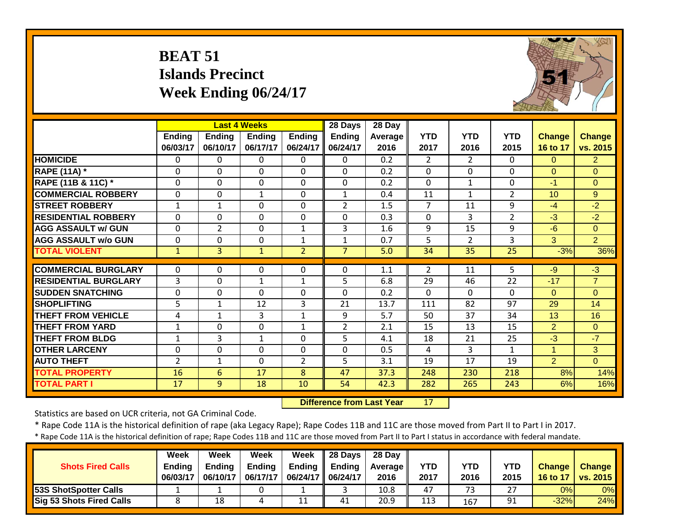|                             | <b>BEAT 51</b>     | <b>Islands Precinct</b> | Week Ending 06/24/17                      |                    |                               |                             |                    |                    |                    |                           |                           |
|-----------------------------|--------------------|-------------------------|-------------------------------------------|--------------------|-------------------------------|-----------------------------|--------------------|--------------------|--------------------|---------------------------|---------------------------|
|                             | Ending<br>06/03/17 | Ending<br>06/10/17      | <b>Last 4 Weeks</b><br>Ending<br>06/17/17 | Ending<br>06/24/17 | 28 Days<br>Ending<br>06/24/17 | $28$ Day<br>Average<br>2016 | <b>YTD</b><br>2017 | <b>YTD</b><br>2016 | <b>YTD</b><br>2015 | <b>Change</b><br>16 to 17 | <b>Change</b><br>vs. 2015 |
| <b>HOMICIDE</b>             | $\Omega$           | $\Omega$                | 0                                         | $\Omega$           | $\Omega$                      | 0.2                         | $\overline{2}$     | $\overline{2}$     | $\Omega$           | $\Omega$                  | $\overline{2}$            |
| <b>RAPE (11A) *</b>         | $\mathbf 0$        | $\Omega$                | 0                                         | $\Omega$           | $\Omega$                      | 0.2                         | 0                  | $\Omega$           | $\mathbf{0}$       | $\Omega$                  | $\Omega$                  |
| RAPE (11B & 11C) *          | $\mathbf 0$        | $\Omega$                | 0                                         | $\Omega$           | $\Omega$                      | 0.2                         | $\Omega$           | $\mathbf{1}$       | $\Omega$           | $-1$                      | $\overline{0}$            |
| <b>COMMERCIAL ROBBERY</b>   | $\mathbf 0$        | $\Omega$                | $\mathbf{1}$                              | $\Omega$           | $\mathbf{1}$                  | 0.4                         | 11                 | $\mathbf{1}$       | $\overline{2}$     | 10 <sup>1</sup>           | $\overline{9}$            |
| <b>STREET ROBBERY</b>       | $\mathbf{1}$       | $\mathbf{1}$            | $\Omega$                                  | $\mathbf 0$        | $\overline{2}$                | 1.5                         | $\overline{7}$     | 11                 | 9                  | $-4$                      | $-2$                      |
| <b>RESIDENTIAL ROBBERY</b>  | $\mathbf 0$        | 0                       | 0                                         | $\boldsymbol{0}$   | $\mathbf 0$                   | 0.3                         | $\mathbf 0$        | 3                  | $\overline{2}$     | $-3$                      | $-2$                      |
| <b>AGG ASSAULT w/ GUN</b>   | 0                  | $\overline{2}$          | 0                                         | $\mathbf{1}$       | 3                             | 1.6                         | 9                  | 15                 | 9                  | $-6$                      | $\overline{0}$            |
| <b>AGG ASSAULT w/o GUN</b>  | $\mathbf 0$        | 0                       | 0                                         | $\mathbf{1}$       | $\mathbf{1}$                  | 0.7                         | 5                  | $\overline{2}$     | $\overline{3}$     | 3                         | $\overline{2}$            |
| <b>TOTAL VIOLENT</b>        | $\mathbf{1}$       | $\overline{3}$          | $\mathbf{1}$                              | $\overline{2}$     | $\overline{7}$                | 5.0                         | $\overline{34}$    | $\overline{35}$    | $\overline{25}$    | $-3%$                     | 36%                       |
| <b>COMMERCIAL BURGLARY</b>  | $\mathbf{0}$       | 0                       | 0                                         | $\Omega$           | $\Omega$                      | 1.1                         | $\overline{2}$     | 11                 | 5.                 | $-9$                      | $-3$                      |
| <b>RESIDENTIAL BURGLARY</b> | 3                  | $\Omega$                | $\mathbf{1}$                              | $\mathbf{1}$       | 5                             | 6.8                         | 29                 | 46                 | 22                 | $-17$                     | $\overline{7}$            |
| <b>SUDDEN SNATCHING</b>     | $\mathbf 0$        | $\mathbf 0$             | 0                                         | $\mathbf 0$        | $\mathbf 0$                   | 0.2                         | $\mathbf 0$        | $\Omega$           | $\Omega$           | $\overline{0}$            | $\overline{0}$            |
| <b>SHOPLIFTING</b>          | 5                  | $\mathbf{1}$            | 12                                        | 3                  | 21                            | 13.7                        | 111                | 82                 | 97                 | 29                        | 14                        |
| <b>THEFT FROM VEHICLE</b>   | 4                  | $\mathbf{1}$            | 3                                         | $1\,$              | 9                             | 5.7                         | 50                 | 37                 | 34                 | 13                        | 16                        |
| <b>THEFT FROM YARD</b>      | $\mathbf{1}$       | 0                       | 0                                         | $\mathbf{1}$       | $\overline{2}$                | 2.1                         | 15                 | 13                 | 15                 | $\overline{2}$            | $\Omega$                  |
| <b>THEFT FROM BLDG</b>      | $\mathbf{1}$       | 3                       | $\mathbf{1}$                              | $\mathbf 0$        | 5                             | 4.1                         | 18                 | 21                 | 25                 | $-3$                      | $-7$                      |
| <b>OTHER LARCENY</b>        | $\mathbf 0$        | $\mathbf 0$             | 0                                         | $\mathbf 0$        | $\mathbf{0}$                  | 0.5                         | 4                  | $\overline{3}$     | $\mathbf{1}$       | $\mathbf{1}$              | 3                         |
| <b>AUTO THEFT</b>           | $\overline{2}$     | $\mathbf{1}$            | 0                                         | 2                  | 5                             | 3.1                         | 19                 | 17                 | 19                 | $\overline{2}$            | $\Omega$                  |
| <b>TOTAL PROPERTY</b>       | 16                 | 6                       | 17                                        | 8                  | 47                            | 37.3                        | 248                | 230                | 218                | 8%                        | 14%                       |
| <b>TOTAL PART I</b>         | $\overline{17}$    | 9                       | 18                                        | 10                 | $\overline{54}$               | 42.3                        | 282                | 265                | 243                | 6%                        | 16%                       |

 **Difference from Last Year**r 17

Statistics are based on UCR criteria, not GA Criminal Code.

\* Rape Code 11A is the historical definition of rape (aka Legacy Rape); Rape Codes 11B and 11C are those moved from Part II to Part I in 2017.

| <b>Shots Fired Calls</b>        | Week<br><b>Ending</b><br>06/03/17 | Week<br><b>Ending</b><br>06/10/17 | Week<br><b>Ending</b><br>06/17/17 | Week<br><b>Endina</b><br>06/24/17   06/24/17 | $\parallel$ 28 Days<br><b>Ending</b> | 28 Day<br><b>Average</b> I<br>2016 | <b>YTD</b><br>2017 | YTD<br>2016 | YTD<br>2015 | <b>Change</b><br>16 to 17 | <b>Change</b><br><b>vs. 2015</b> |
|---------------------------------|-----------------------------------|-----------------------------------|-----------------------------------|----------------------------------------------|--------------------------------------|------------------------------------|--------------------|-------------|-------------|---------------------------|----------------------------------|
| <b>53S ShotSpotter Calls</b>    |                                   |                                   |                                   |                                              |                                      | 10.8                               | 47                 | 73          | ີ           | 0%                        | $0\%$                            |
| <b>Sig 53 Shots Fired Calls</b> |                                   | 18                                |                                   | 11                                           | 41                                   | 20.9                               | 113                | 167         | 91          | $-32%$                    | 24%                              |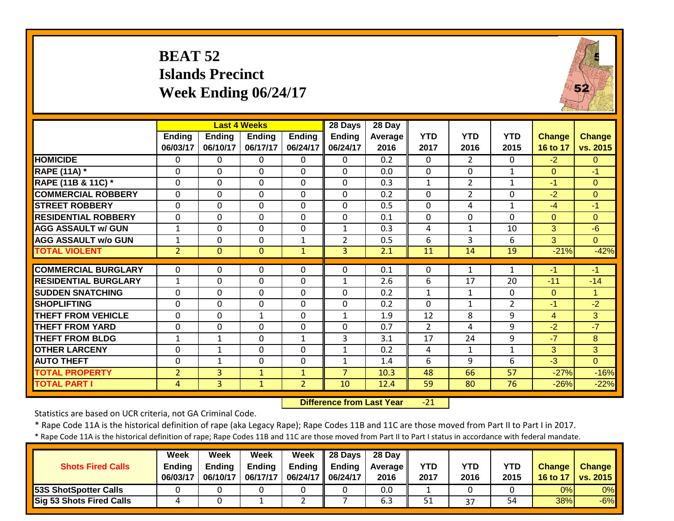## **BEAT 52 Islands Precinct Week Ending 06/24/17**



|                             |                |               | <b>Last 4 Weeks</b> |                | 28 Days        | 28 Day         |                |                |                |                |                |
|-----------------------------|----------------|---------------|---------------------|----------------|----------------|----------------|----------------|----------------|----------------|----------------|----------------|
|                             | <b>Ending</b>  | <b>Ending</b> | <b>Ending</b>       | <b>Ending</b>  | <b>Ending</b>  | <b>Average</b> | <b>YTD</b>     | <b>YTD</b>     | <b>YTD</b>     | <b>Change</b>  | <b>Change</b>  |
|                             | 06/03/17       | 06/10/17      | 06/17/17            | 06/24/17       | 06/24/17       | 2016           | 2017           | 2016           | 2015           | 16 to 17       | vs. 2015       |
| <b>HOMICIDE</b>             | $\mathbf{0}$   | $\Omega$      | 0                   | $\Omega$       | $\Omega$       | 0.2            | $\Omega$       | $\overline{2}$ | 0              | $-2$           | $\Omega$       |
| <b>RAPE (11A)</b> *         | $\Omega$       | $\Omega$      | $\mathbf 0$         | $\Omega$       | $\mathbf 0$    | 0.0            | $\Omega$       | $\mathbf{0}$   | $\mathbf{1}$   | $\Omega$       | $-1$           |
| RAPE (11B & 11C) *          | $\mathbf 0$    | $\mathbf 0$   | $\mathbf 0$         | $\mathbf 0$    | $\mathbf 0$    | 0.3            | $\mathbf{1}$   | $\overline{2}$ | 1              | $-1$           | $\Omega$       |
| <b>COMMERCIAL ROBBERY</b>   | $\mathbf 0$    | $\Omega$      | $\mathbf 0$         | $\mathbf 0$    | $\mathbf 0$    | 0.2            | $\mathbf 0$    | $\overline{2}$ | $\mathbf 0$    | $-2$           | $\mathbf{0}$   |
| <b>STREET ROBBERY</b>       | $\mathbf 0$    | $\Omega$      | $\mathbf 0$         | 0              | $\Omega$       | 0.5            | $\mathbf 0$    | 4              | 1              | $-4$           | $-1$           |
| <b>RESIDENTIAL ROBBERY</b>  | 0              | $\Omega$      | $\Omega$            | $\Omega$       | $\Omega$       | 0.1            | 0              | $\Omega$       | $\Omega$       | $\overline{0}$ | $\Omega$       |
| <b>AGG ASSAULT w/ GUN</b>   | $\mathbf{1}$   | $\Omega$      | $\mathbf 0$         | $\mathbf 0$    | $\mathbf{1}$   | 0.3            | 4              | $\mathbf{1}$   | 10             | 3              | $-6$           |
| <b>AGG ASSAULT w/o GUN</b>  | 1              | $\Omega$      | 0                   | $\mathbf{1}$   | 2              | 0.5            | 6              | 3              | 6              | 3              | $\overline{0}$ |
| <b>TOTAL VIOLENT</b>        | $\overline{2}$ | $\Omega$      | $\mathbf{0}$        | $\mathbf{1}$   | $\overline{3}$ | 2.1            | 11             | 14             | 19             | $-21%$         | $-42%$         |
|                             |                |               |                     |                |                |                |                |                |                |                |                |
| <b>COMMERCIAL BURGLARY</b>  | $\Omega$       | $\Omega$      | $\Omega$            | $\Omega$       | $\Omega$       | 0.1            | $\Omega$       | $\mathbf{1}$   | 1              | $-1$           | $-1$           |
| <b>RESIDENTIAL BURGLARY</b> | $\mathbf{1}$   | $\Omega$      | 0                   | $\mathbf 0$    | $\mathbf{1}$   | 2.6            | 6              | 17             | 20             | $-11$          | $-14$          |
| <b>SUDDEN SNATCHING</b>     | $\overline{0}$ | $\Omega$      | 0                   | $\Omega$       | $\Omega$       | 0.2            | $\mathbf{1}$   | 1              | $\Omega$       | $\overline{0}$ | 1              |
| <b>SHOPLIFTING</b>          | 0              | $\Omega$      | 0                   | $\Omega$       | $\mathbf 0$    | 0.2            | $\Omega$       | $\mathbf{1}$   | $\overline{2}$ | $-1$           | $-2$           |
| <b>THEFT FROM VEHICLE</b>   | $\mathbf 0$    | $\Omega$      | $\mathbf{1}$        | $\mathbf 0$    | $\mathbf{1}$   | 1.9            | 12             | 8              | 9              | 4              | 3              |
| <b>THEFT FROM YARD</b>      | 0              | $\Omega$      | 0                   | 0              | $\Omega$       | 0.7            | $\overline{2}$ | 4              | 9              | $-2$           | $-7$           |
| <b>THEFT FROM BLDG</b>      | $\mathbf 1$    | 1             | 0                   | $\mathbf 1$    | 3              | 3.1            | 17             | 24             | 9              | $-7$           | 8              |
| <b>OTHER LARCENY</b>        | 0              | 1             | $\Omega$            | $\mathbf 0$    | $\mathbf{1}$   | 0.2            | 4              | 1              | 1              | 3              | 3              |
| <b>AUTO THEFT</b>           | 0              | 1             | 0                   | 0              | $\mathbf{1}$   | 1.4            | 6              | 9              | 6              | $-3$           | $\Omega$       |
| <b>TOTAL PROPERTY</b>       | $\overline{2}$ | 3             | $\mathbf{1}$        | 1              | 7              | 10.3           | 48             | 66             | 57             | $-27%$         | $-16%$         |
| <b>TOTAL PART I</b>         | 4              | 3             | $\mathbf{1}$        | $\overline{2}$ | 10             | 12.4           | 59             | 80             | 76             | $-26%$         | $-22%$         |

 **Difference from Last Year**‐21

Statistics are based on UCR criteria, not GA Criminal Code.

\* Rape Code 11A is the historical definition of rape (aka Legacy Rape); Rape Codes 11B and 11C are those moved from Part II to Part I in 2017.

| <b>Shots Fired Calls</b>        | Week<br><b>Ending</b><br>06/03/17 | Week<br>Endina<br>06/10/17 | Week<br><b>Ending</b><br>06/17/17 | Week<br>Ending<br>06/24/17 | 28 Days<br><b>Ending</b><br>06/24/17 | 28 Day<br><b>Average II</b><br>2016 | <b>YTD</b><br>2017 | YTD<br>2016 | YTD<br>2015 | <b>Change</b><br>16 to 17 | <b>Change</b><br>$\sqrt{vs. 2015}$ |
|---------------------------------|-----------------------------------|----------------------------|-----------------------------------|----------------------------|--------------------------------------|-------------------------------------|--------------------|-------------|-------------|---------------------------|------------------------------------|
| <b>53S ShotSpotter Calls</b>    |                                   |                            |                                   |                            |                                      | 0.0                                 |                    |             |             | 0%                        | 0%                                 |
| <b>Sig 53 Shots Fired Calls</b> |                                   |                            |                                   | _                          |                                      | 6.3                                 | 51                 | 37          | 54          | 38%                       | $-6%$                              |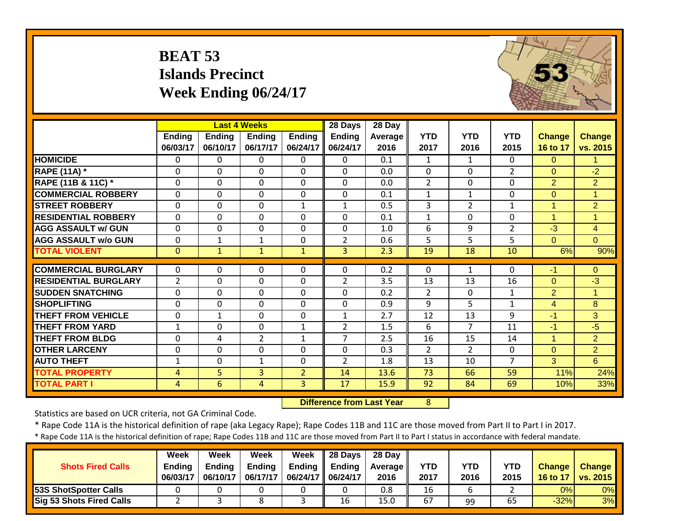|                               | <b>BEAT 53</b>            | <b>Islands Precinct</b><br>Week Ending 06/24/17 |                     |                           |                           |                  |                    |                    |                    |                           |                           |
|-------------------------------|---------------------------|-------------------------------------------------|---------------------|---------------------------|---------------------------|------------------|--------------------|--------------------|--------------------|---------------------------|---------------------------|
|                               |                           |                                                 | <b>Last 4 Weeks</b> |                           | 28 Days                   | 28 Day           |                    |                    |                    |                           |                           |
|                               | <b>Ending</b><br>06/03/17 | <b>Ending</b><br>06/10/17                       | Ending<br>06/17/17  | <b>Ending</b><br>06/24/17 | <b>Ending</b><br>06/24/17 | Average<br>2016  | <b>YTD</b><br>2017 | <b>YTD</b><br>2016 | <b>YTD</b><br>2015 | <b>Change</b><br>16 to 17 | <b>Change</b><br>vs. 2015 |
| <b>HOMICIDE</b>               | $\mathbf{0}$              | 0                                               | 0                   | $\mathbf{0}$              | $\Omega$                  | 0.1              | $\mathbf{1}$       | $\mathbf{1}$       | $\mathbf{0}$       | $\overline{0}$            | $\mathbf{1}$              |
| <b>RAPE (11A) *</b>           | $\Omega$                  | $\Omega$                                        | $\Omega$            | $\Omega$                  | $\Omega$                  | 0.0              | $\mathbf 0$        | $\Omega$           | $\overline{2}$     | 0                         | $-2$                      |
| <b>RAPE (11B &amp; 11C) *</b> | $\mathbf{0}$              | $\mathbf 0$                                     | $\overline{0}$      | $\mathbf 0$               | $\overline{0}$            | 0.0              | $\overline{2}$     | $\overline{0}$     | $\Omega$           | $\overline{2}$            | $\overline{2}$            |
| <b>COMMERCIAL ROBBERY</b>     | $\mathbf 0$               | $\Omega$                                        | $\Omega$            | $\Omega$                  | $\Omega$                  | 0.1              | $\mathbf{1}$       | $\mathbf{1}$       | $\Omega$           | $\overline{0}$            | $\mathbf{1}$              |
| <b>STREET ROBBERY</b>         | $\mathbf 0$               | $\Omega$                                        | $\mathbf 0$         | $\mathbf{1}$              | $\mathbf{1}$              | 0.5              | 3                  | $\overline{2}$     | $\mathbf{1}$       | $\mathbf{1}$              | $\overline{2}$            |
| <b>RESIDENTIAL ROBBERY</b>    | $\mathbf{0}$              | 0                                               | $\mathbf 0$         | $\mathbf 0$               | $\Omega$                  | 0.1              | $\mathbf{1}$       | $\Omega$           | $\Omega$           | $\mathbf{1}$              | $\mathbf{1}$              |
| <b>AGG ASSAULT w/ GUN</b>     | $\mathbf 0$               | 0                                               | $\mathbf 0$         | $\mathbf 0$               | $\Omega$                  | 1.0              | 6                  | 9                  | $\overline{2}$     | $-3$                      | $\overline{4}$            |
| <b>AGG ASSAULT w/o GUN</b>    | $\Omega$                  | $\mathbf{1}$                                    | $\mathbf{1}$        | $\Omega$                  | 2                         | 0.6              | 5                  | 5                  | 5                  | $\overline{0}$            | $\Omega$                  |
| <b>TOTAL VIOLENT</b>          | $\mathbf{0}$              | $\mathbf{1}$                                    | $\mathbf{1}$        | $\mathbf{1}$              | $\overline{3}$            | $\overline{2.3}$ | $\overline{19}$    | $\overline{18}$    | $\overline{10}$    | 6%                        | 90%                       |
| <b>COMMERCIAL BURGLARY</b>    | $\Omega$                  | $\Omega$                                        | $\Omega$            | $\Omega$                  | $\Omega$                  | 0.2              | $\Omega$           | 1                  | $\Omega$           | $-1$                      | $\Omega$                  |
| <b>RESIDENTIAL BURGLARY</b>   | $\overline{2}$            | 0                                               | $\mathbf 0$         | $\Omega$                  | $\overline{2}$            | 3.5              | 13                 | 13                 | 16                 | $\overline{0}$            | $-3$                      |
| <b>SUDDEN SNATCHING</b>       | $\mathbf 0$               | $\Omega$                                        | $\mathbf 0$         | $\mathbf 0$               | $\Omega$                  | 0.2              | $\overline{2}$     | $\Omega$           | $\mathbf{1}$       | $\overline{2}$            | $\mathbf{1}$              |
| <b>SHOPLIFTING</b>            | $\mathbf 0$               | 0                                               | $\mathbf 0$         | $\mathbf 0$               | $\Omega$                  | 0.9              | 9                  | 5                  | $\mathbf{1}$       | $\overline{4}$            | 8                         |
| <b>THEFT FROM VEHICLE</b>     | $\mathbf{0}$              | $\mathbf{1}$                                    | $\Omega$            | $\Omega$                  | $\mathbf{1}$              | 2.7              | 12                 | 13                 | 9                  | $-1$                      | 3                         |
| <b>THEFT FROM YARD</b>        | $\mathbf{1}$              | 0                                               | $\Omega$            | $1\,$                     | $\overline{2}$            | 1.5              | 6                  | $\overline{7}$     | 11                 | $-1$                      | $-5$                      |
| <b>THEFT FROM BLDG</b>        | $\mathbf 0$               | 4                                               | $\overline{2}$      | $\mathbf{1}$              | $\overline{7}$            | 2.5              | 16                 | 15                 | 14                 | $\mathbf{1}$              | $\overline{2}$            |
| <b>OTHER LARCENY</b>          | $\mathbf{0}$              | 0                                               | $\mathbf 0$         | $\Omega$                  | $\Omega$                  | 0.3              | $\overline{2}$     | $\overline{2}$     | 0                  | $\overline{0}$            | $\overline{2}$            |
| <b>AUTO THEFT</b>             | $\mathbf{1}$              | 0                                               | $\mathbf{1}$        | $\mathbf 0$               | 2                         | 1.8              | 13                 | 10                 | $\overline{7}$     | 3                         | 6                         |
| <b>TOTAL PROPERTY</b>         | 4                         | 5                                               | $\overline{3}$      | $\overline{2}$            | 14                        | 13.6             | 73                 | 66                 | 59                 | 11%                       | 24%                       |
| <b>TOTAL PART I</b>           | 4                         | 6                                               | $\overline{4}$      | 3                         | $\overline{17}$           | 15.9             | 92                 | 84                 | 69                 | 10%                       | 33%                       |

 **Difference from Last Year**r 8

Statistics are based on UCR criteria, not GA Criminal Code.

\* Rape Code 11A is the historical definition of rape (aka Legacy Rape); Rape Codes 11B and 11C are those moved from Part II to Part I in 2017.

| <b>Shots Fired Calls</b>        | Week<br><b>Ending</b><br>06/03/17 | Week<br><b>Ending</b><br>06/10/17 | Week<br><b>Ending</b><br>06/17/17 | Week<br>06/24/17   06/24/17 | $\parallel$ 28 Days<br>Ending $\parallel$ Ending | 28 Day<br><b>Average</b> II<br>2016 | <b>YTD</b><br>2017 | YTD<br>2016 | YTD<br>2015 | <b>Change</b><br>16 to 17 | <b>Change</b><br>vs. 2015 |
|---------------------------------|-----------------------------------|-----------------------------------|-----------------------------------|-----------------------------|--------------------------------------------------|-------------------------------------|--------------------|-------------|-------------|---------------------------|---------------------------|
| <b>53S ShotSpotter Calls</b>    |                                   |                                   |                                   |                             |                                                  | 0.8                                 | 16                 |             |             | 0%                        | $0\%$                     |
| <b>Sig 53 Shots Fired Calls</b> |                                   |                                   |                                   |                             | 16                                               | 15.0                                | 67                 | 99          | 65          | $-32%$                    | 3%                        |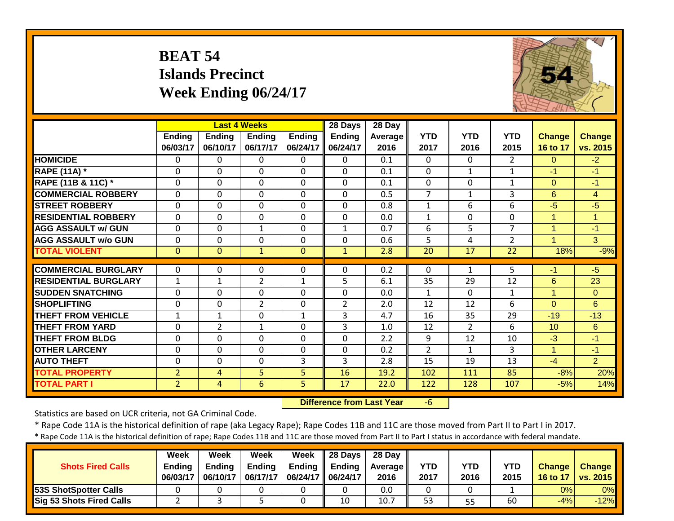|                             | <b>BEAT 54</b>     | <b>Islands Precinct</b>   | Week Ending 06/24/17                      |                           |                               |                             |                    |                    |                    |                           |                           |
|-----------------------------|--------------------|---------------------------|-------------------------------------------|---------------------------|-------------------------------|-----------------------------|--------------------|--------------------|--------------------|---------------------------|---------------------------|
|                             | Ending<br>06/03/17 | <b>Ending</b><br>06/10/17 | <b>Last 4 Weeks</b><br>Ending<br>06/17/17 | <b>Ending</b><br>06/24/17 | 28 Days<br>Ending<br>06/24/17 | $28$ Day<br>Average<br>2016 | <b>YTD</b><br>2017 | <b>YTD</b><br>2016 | <b>YTD</b><br>2015 | <b>Change</b><br>16 to 17 | <b>Change</b><br>vs. 2015 |
| <b>HOMICIDE</b>             | $\Omega$           | 0                         | $\Omega$                                  | $\Omega$                  | 0                             | $\overline{0.1}$            | $\Omega$           | $\Omega$           | $\overline{2}$     | $\Omega$                  | $-2$                      |
| <b>RAPE (11A) *</b>         | $\Omega$           | $\Omega$                  | $\mathbf 0$                               | $\mathbf{0}$              | $\Omega$                      | 0.1                         | $\Omega$           | $\mathbf{1}$       | $\mathbf{1}$       | $-1$                      | $-1$                      |
| RAPE (11B & 11C) *          | $\Omega$           | $\Omega$                  | $\Omega$                                  | $\Omega$                  | $\Omega$                      | 0.1                         | $\Omega$           | $\Omega$           | $\mathbf{1}$       | $\Omega$                  | $-1$                      |
| <b>COMMERCIAL ROBBERY</b>   | $\mathbf 0$        | $\Omega$                  | $\mathbf 0$                               | $\Omega$                  | $\Omega$                      | 0.5                         | $\overline{7}$     | $\mathbf{1}$       | $\overline{3}$     | 6                         | $\overline{4}$            |
| <b>STREET ROBBERY</b>       | $\Omega$           | $\Omega$                  | $\mathbf 0$                               | $\mathbf{0}$              | $\Omega$                      | 0.8                         | $\mathbf{1}$       | 6                  | 6                  | $-5$                      | $-5$                      |
| <b>RESIDENTIAL ROBBERY</b>  | 0                  | 0                         | $\Omega$                                  | $\Omega$                  | $\mathbf{0}$                  | 0.0                         | $\mathbf{1}$       | $\mathbf{0}$       | $\mathbf{0}$       | $\mathbf{1}$              | $\mathbf{1}$              |
| <b>AGG ASSAULT w/ GUN</b>   | 0                  | 0                         | $\mathbf{1}$                              | $\Omega$                  | $\mathbf{1}$                  | 0.7                         | 6                  | 5                  | $\overline{7}$     | 1                         | $-1$                      |
| <b>AGG ASSAULT w/o GUN</b>  | $\mathbf 0$        | $\Omega$                  | $\mathbf 0$                               | $\Omega$                  | $\mathbf 0$                   | 0.6                         | 5                  | 4                  | $\overline{2}$     | $\blacktriangleleft$      | 3                         |
| <b>TOTAL VIOLENT</b>        | $\mathbf{0}$       | $\Omega$                  | $\mathbf{1}$                              | $\mathbf{0}$              | $\mathbf{1}$                  | 2.8                         | 20                 | 17                 | 22                 | 18%                       | $-9%$                     |
| <b>COMMERCIAL BURGLARY</b>  | $\Omega$           | 0                         | 0                                         | $\mathbf 0$               | $\Omega$                      | 0.2                         | $\Omega$           | $\mathbf{1}$       | 5                  | -1                        | $-5$                      |
| <b>RESIDENTIAL BURGLARY</b> | $\mathbf{1}$       | $\mathbf{1}$              | $\overline{2}$                            | $\mathbf{1}$              | 5                             | 6.1                         | 35                 | 29                 | 12                 | $6\phantom{1}$            | 23                        |
| <b>SUDDEN SNATCHING</b>     | $\mathbf 0$        | 0                         | 0                                         | $\mathbf 0$               | $\mathbf 0$                   | 0.0                         | $\mathbf{1}$       | $\mathbf{0}$       | $\mathbf{1}$       | $\mathbf{1}$              | $\mathbf{O}$              |
| <b>SHOPLIFTING</b>          | 0                  | 0                         | $\overline{2}$                            | $\mathbf 0$               | $\overline{2}$                | 2.0                         | 12                 | 12                 | 6                  | $\overline{0}$            | $6\phantom{1}$            |
| <b>THEFT FROM VEHICLE</b>   | $\mathbf{1}$       | $\mathbf{1}$              | $\overline{0}$                            | $\mathbf{1}$              | $\overline{3}$                | 4.7                         | 16                 | $\overline{35}$    | 29                 | $-19$                     | $-13$                     |
| <b>THEFT FROM YARD</b>      | $\Omega$           | $\overline{2}$            | 1                                         | $\mathbf{0}$              | 3                             | 1.0                         | 12                 | $\overline{2}$     | 6                  | 10                        | 6                         |
| <b>THEFT FROM BLDG</b>      | $\mathbf 0$        | $\Omega$                  | $\Omega$                                  | $\Omega$                  | $\Omega$                      | 2.2                         | 9                  | 12                 | 10                 | $-3$                      | $-1$                      |
| <b>OTHER LARCENY</b>        | 0                  | $\Omega$                  | $\mathbf 0$                               | $\mathbf{0}$              | $\mathbf{0}$                  | 0.2                         | $\overline{2}$     | $\mathbf{1}$       | 3                  | 1                         | $-1$                      |
| <b>AUTO THEFT</b>           | $\mathbf{0}$       | $\Omega$                  | $\mathbf 0$                               | 3                         | $\overline{3}$                | 2.8                         | 15                 | 19                 | 13                 | $-4$                      | $\overline{2}$            |
| <b>TOTAL PROPERTY</b>       | $\overline{2}$     | 4                         | 5                                         | 5                         | 16                            | 19.2                        | 102                | 111                | 85                 | $-8%$                     | 20%                       |
| <b>TOTAL PART I</b>         | $\overline{2}$     | $\overline{4}$            | $\overline{6}$                            | $\overline{5}$            | $\overline{17}$               | 22.0                        | 122                | 128                | 107                | $-5%$                     | 14%                       |

 **Difference from Last Year**‐6 The Store the 1

Statistics are based on UCR criteria, not GA Criminal Code.

\* Rape Code 11A is the historical definition of rape (aka Legacy Rape); Rape Codes 11B and 11C are those moved from Part II to Part I in 2017.

| <b>Shots Fired Calls</b>        | Week<br><b>Ending</b><br>06/03/17 | Week<br><b>Ending</b><br>06/10/17 | Week<br><b>Ending</b><br>06/17/17 | Week<br><b>Ending</b><br>06/24/17   06/24/17 | $\parallel$ 28 Days<br><b>Ending</b> | 28 Day<br><b>Average</b> I<br>2016 | <b>YTD</b><br>2017 | YTD<br>2016 | YTD<br>2015 | <b>Change</b><br>16 to 17 | <b>Change</b><br><b>vs. 2015</b> |
|---------------------------------|-----------------------------------|-----------------------------------|-----------------------------------|----------------------------------------------|--------------------------------------|------------------------------------|--------------------|-------------|-------------|---------------------------|----------------------------------|
| <b>53S ShotSpotter Calls</b>    |                                   |                                   |                                   |                                              |                                      | 0.0                                |                    |             |             | 0%                        | 0%                               |
| <b>Sig 53 Shots Fired Calls</b> |                                   |                                   |                                   |                                              | 10                                   | 10.7                               | 53                 | 55          | 60          | $-4%$                     | $-12%$                           |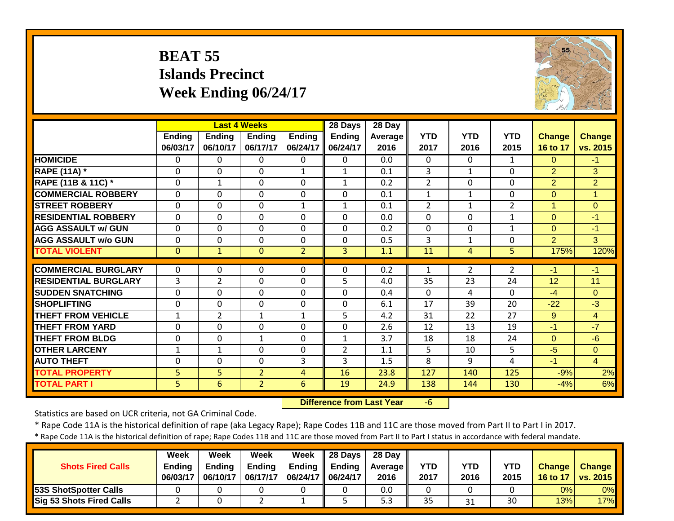## **BEAT 55 Islands Precinct Week Ending 06/24/17**



|                                              |                    |                           | <b>Last 4 Weeks</b>       |                            | 28 Days                   | 28 Day          |                    |                    |                    |                           |                           |
|----------------------------------------------|--------------------|---------------------------|---------------------------|----------------------------|---------------------------|-----------------|--------------------|--------------------|--------------------|---------------------------|---------------------------|
|                                              | Ending<br>06/03/17 | <b>Ending</b><br>06/10/17 | <b>Ending</b><br>06/17/17 | <b>Ending</b><br>06/24/17  | <b>Ending</b><br>06/24/17 | Average<br>2016 | <b>YTD</b><br>2017 | <b>YTD</b><br>2016 | <b>YTD</b><br>2015 | <b>Change</b><br>16 to 17 | <b>Change</b><br>vs. 2015 |
| <b>HOMICIDE</b>                              | $\Omega$           | 0                         | 0                         | $\Omega$                   | $\Omega$                  | 0.0             | $\mathbf{0}$       | $\Omega$           | $\mathbf{1}$       | $\Omega$                  | $-1$                      |
| <b>RAPE (11A)</b> *                          | $\Omega$           | $\mathbf 0$               | $\mathbf 0$               | $\mathbf{1}$               | $\mathbf{1}$              | 0.1             | 3                  | $\mathbf{1}$       | 0                  | $\overline{2}$            | 3                         |
| RAPE (11B & 11C) *                           | $\mathbf 0$        | $\mathbf{1}$              | $\mathbf 0$               | $\mathbf 0$                | $\mathbf{1}$              | 0.2             | $\overline{2}$     | $\mathbf 0$        | 0                  | $\overline{2}$            | $\overline{2}$            |
| <b>COMMERCIAL ROBBERY</b>                    | $\mathbf{0}$       | $\mathbf 0$               | $\mathbf 0$               | $\mathbf 0$                | $\mathbf 0$               | 0.1             | $\mathbf{1}$       | $\mathbf{1}$       | 0                  | $\overline{0}$            | $\overline{1}$            |
| <b>STREET ROBBERY</b>                        | 0                  | $\Omega$                  | $\mathbf 0$               | $\mathbf{1}$               | $\mathbf{1}$              | 0.1             | $\overline{2}$     | $\mathbf{1}$       | $\overline{2}$     | 1                         | $\mathbf{0}$              |
| <b>RESIDENTIAL ROBBERY</b>                   | $\mathbf{0}$       | $\Omega$                  | $\Omega$                  | $\mathbf{0}$               | $\Omega$                  | 0.0             | 0                  | $\Omega$           | 1                  | $\Omega$                  | $-1$                      |
| <b>AGG ASSAULT w/ GUN</b>                    | $\mathbf 0$        | $\mathbf 0$               | $\mathbf 0$               | $\mathbf 0$                | $\Omega$                  | 0.2             | $\mathbf 0$        | $\Omega$           | 1                  | $\Omega$                  | $-1$                      |
| <b>AGG ASSAULT w/o GUN</b>                   | $\mathbf 0$        | 0                         | 0                         | $\mathbf 0$                | $\Omega$                  | 0.5             | $\overline{3}$     | $\mathbf{1}$       | 0                  | $\overline{2}$            | 3                         |
| <b>TOTAL VIOLENT</b>                         | $\mathbf{0}$       | $\mathbf{1}$              | $\mathbf{0}$              | $\overline{2}$             | 3                         | 1.1             | 11                 | 4                  | 5                  | 175%                      | 120%                      |
| <b>COMMERCIAL BURGLARY</b>                   | $\Omega$           | 0                         | $\Omega$                  | $\mathbf{0}$               | $\Omega$                  | 0.2             | 1                  | 2                  | $\overline{2}$     | $-1$                      | $-1$                      |
| <b>RESIDENTIAL BURGLARY</b>                  | 3                  | $\overline{2}$            | 0                         | $\mathbf 0$                | 5                         | 4.0             | 35                 | 23                 | 24                 | 12                        | 11                        |
| <b>SUDDEN SNATCHING</b>                      |                    | 0                         |                           |                            | $\Omega$                  |                 |                    |                    | $\Omega$           |                           |                           |
| <b>SHOPLIFTING</b>                           | $\overline{0}$     | $\mathbf 0$               | 0<br>0                    | $\mathbf 0$<br>$\mathbf 0$ | $\Omega$                  | 0.4<br>6.1      | $\mathbf 0$<br>17  | 4<br>39            | 20                 | $-4$<br>$-22$             | $\mathbf{0}$<br>$-3$      |
| <b>THEFT FROM VEHICLE</b>                    | 0<br>$\mathbf{1}$  | $\overline{2}$            | $\mathbf{1}$              | $\mathbf{1}$               | 5                         | 4.2             | 31                 | 22                 | 27                 | 9                         | $\overline{4}$            |
| <b>THEFT FROM YARD</b>                       | 0                  | $\Omega$                  | 0                         | $\mathbf{0}$               | $\Omega$                  | 2.6             | 12                 | 13                 | 19                 | $-1$                      | $-7$                      |
| <b>THEFT FROM BLDG</b>                       | 0                  | $\Omega$                  | $\mathbf{1}$              | $\mathbf{0}$               | $\mathbf{1}$              | 3.7             | 18                 | 18                 | 24                 | $\Omega$                  | $-6$                      |
| <b>OTHER LARCENY</b>                         | 1                  | $\mathbf{1}$              | 0                         | $\mathbf 0$                | $\overline{2}$            | 1.1             | 5                  | 10                 | 5                  | $-5$                      | $\overline{0}$            |
| <b>AUTO THEFT</b>                            |                    | 0                         |                           | 3                          | 3                         | 1.5             | 8                  | 9                  | 4                  | $-1$                      | $\overline{4}$            |
|                                              | 0                  |                           | 0                         |                            |                           |                 |                    |                    |                    |                           |                           |
| <b>TOTAL PROPERTY</b><br><b>TOTAL PART I</b> | 5                  | 5                         | $\overline{2}$            | 4                          | 16                        | 23.8            | 127                | 140<br>144         | 125<br>130         | $-9%$                     | 2%<br>6%                  |
|                                              | 5                  | 6                         | $\overline{2}$            | 6                          | 19                        | 24.9            | 138                |                    |                    | $-4%$                     |                           |

 **Difference from Last Year**‐6

Statistics are based on UCR criteria, not GA Criminal Code.

\* Rape Code 11A is the historical definition of rape (aka Legacy Rape); Rape Codes 11B and 11C are those moved from Part II to Part I in 2017.

| <b>Shots Fired Calls</b>        | Week<br><b>Ending</b><br>06/03/17 | Week<br>Endina<br>06/10/17 | Week<br><b>Ending</b><br>06/17/17 | Week<br>06/24/17   06/24/17 | $\parallel$ 28 Days<br>Ending $\parallel$ Ending | 28 Dav<br><b>Average II</b><br>2016 | <b>YTD</b><br>2017 | YTD<br>2016 | YTD<br>2015 | <b>Change</b><br>16 to 17 | <b>Change</b><br>vs. 2015 |
|---------------------------------|-----------------------------------|----------------------------|-----------------------------------|-----------------------------|--------------------------------------------------|-------------------------------------|--------------------|-------------|-------------|---------------------------|---------------------------|
| 53S ShotSpotter Calls           |                                   |                            |                                   |                             |                                                  | 0.0                                 |                    |             |             | 0%                        | $0\%$                     |
| <b>Sig 53 Shots Fired Calls</b> |                                   |                            |                                   |                             |                                                  | 5.3                                 | 35                 | 31          | 30          | 13%                       | 17%                       |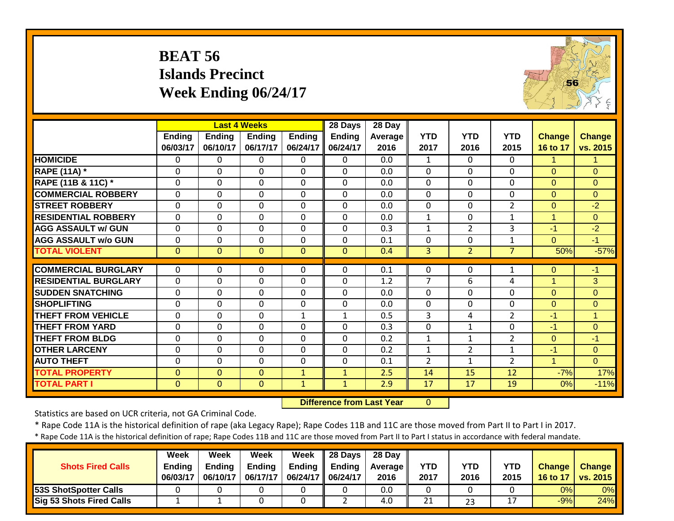## **BEAT 56 Islands Precinct Week Ending 06/24/17**



|                             |               |               | <b>Last 4 Weeks</b> |              | 28 Days                          | 28 Day         |                |                 |                |                |                |
|-----------------------------|---------------|---------------|---------------------|--------------|----------------------------------|----------------|----------------|-----------------|----------------|----------------|----------------|
|                             | <b>Ending</b> | <b>Ending</b> | <b>Ending</b>       | Ending       | <b>Ending</b>                    | <b>Average</b> | <b>YTD</b>     | <b>YTD</b>      | <b>YTD</b>     | Change         | <b>Change</b>  |
|                             | 06/03/17      | 06/10/17      | 06/17/17            | 06/24/17     | 06/24/17                         | 2016           | 2017           | 2016            | 2015           | 16 to 17       | vs. 2015       |
| <b>HOMICIDE</b>             | 0             | 0             | $\Omega$            | $\Omega$     | $\Omega$                         | 0.0            | 1              | $\Omega$        | 0              | 1.             | 1              |
| <b>RAPE (11A)</b> *         | 0             | 0             | $\mathbf 0$         | $\mathbf{0}$ | $\Omega$                         | 0.0            | $\mathbf 0$    | $\mathbf{0}$    | $\mathbf{0}$   | $\overline{0}$ | $\Omega$       |
| RAPE (11B & 11C) *          | $\mathbf{0}$  | 0             | $\mathbf 0$         | 0            | $\Omega$                         | 0.0            | $\mathbf 0$    | $\mathbf{0}$    | $\Omega$       | $\overline{0}$ | $\Omega$       |
| <b>COMMERCIAL ROBBERY</b>   | 0             | 0             | $\mathbf 0$         | $\mathbf 0$  | $\mathbf{0}$                     | 0.0            | $\mathbf 0$    | $\mathbf 0$     | $\mathbf{0}$   | $\overline{0}$ | $\overline{0}$ |
| <b>ISTREET ROBBERY</b>      | $\Omega$      | $\Omega$      | $\Omega$            | $\mathbf{0}$ | $\Omega$                         | 0.0            | 0              | $\Omega$        | $\overline{2}$ | $\overline{0}$ | $-2$           |
| <b>RESIDENTIAL ROBBERY</b>  | $\mathbf{0}$  | 0             | $\mathbf 0$         | $\mathbf 0$  | $\Omega$                         | 0.0            | $\mathbf{1}$   | $\mathbf 0$     | $\mathbf{1}$   | $\mathbf{1}$   | $\overline{0}$ |
| <b>AGG ASSAULT w/ GUN</b>   | $\mathbf 0$   | 0             | $\Omega$            | $\mathbf 0$  | $\Omega$                         | 0.3            | $\mathbf{1}$   | $\overline{2}$  | 3              | $-1$           | $-2$           |
| <b>AGG ASSAULT w/o GUN</b>  | 0             | 0             | $\mathbf 0$         | $\mathbf 0$  | $\Omega$                         | 0.1            | $\mathbf 0$    | $\mathbf 0$     | $\mathbf{1}$   | $\overline{0}$ | $-1$           |
| <b>TOTAL VIOLENT</b>        | $\mathbf{0}$  | $\mathbf{0}$  | $\mathbf{0}$        | $\mathbf{0}$ | $\overline{0}$                   | 0.4            | 3              | $\overline{2}$  | $\overline{7}$ | 50%            | $-57%$         |
| <b>COMMERCIAL BURGLARY</b>  | 0             | 0             | 0                   | $\mathbf 0$  | $\mathbf 0$                      | 0.1            | 0              | 0               | 1              | $\mathbf{O}$   | $-1$           |
| <b>RESIDENTIAL BURGLARY</b> | $\Omega$      | $\mathbf 0$   | $\mathbf 0$         | $\mathbf{0}$ | $\Omega$                         | 1.2            | $\overline{7}$ | 6               | 4              | $\mathbf{1}$   | 3              |
| <b>SUDDEN SNATCHING</b>     | $\mathbf 0$   | $\mathbf 0$   | $\Omega$            | 0            | $\Omega$                         | 0.0            | $\mathbf 0$    | $\mathbf{0}$    | $\Omega$       | $\Omega$       | $\overline{0}$ |
| <b>SHOPLIFTING</b>          | $\Omega$      | $\Omega$      | $\Omega$            | $\mathbf{0}$ | $\Omega$                         | 0.0            | $\Omega$       | $\mathbf{0}$    | $\Omega$       | $\Omega$       | $\Omega$       |
| THEFT FROM VEHICLE          | $\Omega$      | 0             | $\mathbf 0$         | $\mathbf{1}$ | $\mathbf{1}$                     | 0.5            | 3              | 4               | $\overline{2}$ | $-1$           | $\mathbf{1}$   |
| <b>THEFT FROM YARD</b>      | $\Omega$      | 0             | $\mathbf 0$         | $\mathbf{0}$ | $\Omega$                         | 0.3            | $\mathbf 0$    | $\mathbf{1}$    | $\Omega$       | -1             | $\mathbf{0}$   |
| <b>THEFT FROM BLDG</b>      | $\Omega$      | $\Omega$      | $\Omega$            | $\Omega$     | $\Omega$                         | 0.2            | $\mathbf{1}$   | 1               | $\overline{2}$ | $\overline{0}$ | $-1$           |
| <b>OTHER LARCENY</b>        | 0             | $\Omega$      | $\mathbf{0}$        | $\mathbf{0}$ | $\Omega$                         | 0.2            | $\mathbf{1}$   | $\overline{2}$  | 1              | $-1$           | $\mathbf{0}$   |
| <b>AUTO THEFT</b>           | $\Omega$      | $\Omega$      | $\Omega$            | $\mathbf{0}$ | $\Omega$                         | 0.1            | $\overline{2}$ | $\mathbf{1}$    | $\overline{2}$ | $\mathbf{1}$   | $\Omega$       |
| <b>TOTAL PROPERTY</b>       | $\mathbf{0}$  | $\mathbf{0}$  | $\mathbf{0}$        | $\mathbf{1}$ | $\mathbf{1}$                     | 2.5            | 14             | 15              | 12             | $-7%$          | 17%            |
| <b>TOTAL PART I</b>         | $\mathbf{0}$  | $\mathbf{0}$  | $\mathbf{0}$        | $\mathbf{1}$ | $\mathbf{1}$                     | 2.9            | 17             | $\overline{17}$ | 19             | 0%             | $-11%$         |
|                             |               |               |                     |              | <b>Difference from Last Year</b> |                | $\mathbf{0}$   |                 |                |                |                |

 **Difference from Last Year**

Statistics are based on UCR criteria, not GA Criminal Code.

\* Rape Code 11A is the historical definition of rape (aka Legacy Rape); Rape Codes 11B and 11C are those moved from Part II to Part I in 2017.

| <b>Shots Fired Calls</b>        | Week<br><b>Ending</b><br>06/03/17 | Week<br><b>Ending</b><br>06/10/17 | Week<br><b>Ending</b><br>06/17/17 | Week<br><b>Ending</b><br>06/24/17   06/24/17 | $\parallel$ 28 Days<br><b>Ending</b> | 28 Dav<br><b>Average</b> I<br>2016 | <b>YTD</b><br>2017 | YTD<br>2016 | YTD<br>2015 | <b>Change</b><br>16 to 17 | <b>Change</b><br>vs. 2015 |
|---------------------------------|-----------------------------------|-----------------------------------|-----------------------------------|----------------------------------------------|--------------------------------------|------------------------------------|--------------------|-------------|-------------|---------------------------|---------------------------|
| 53S ShotSpotter Calls           |                                   |                                   |                                   |                                              |                                      | 0.0                                |                    |             |             | 0%                        | 0%                        |
| <b>Sig 53 Shots Fired Calls</b> |                                   |                                   |                                   |                                              |                                      | 4.0                                | 21                 | 23          |             | $-9%$                     | 24%                       |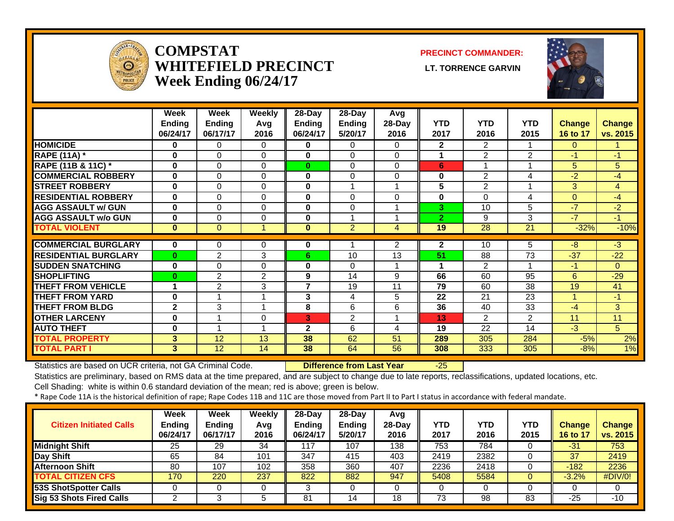

#### **COMPSTATWHITEFIELD PRECINCT LT. TORRENCE GARVINWeek Ending 06/24/17**

#### **PRECINCT COMMANDER:**



|                                              | Week<br><b>Ending</b> | Week<br><b>Ending</b> | <b>Weekly</b><br>Avq | 28-Day<br><b>Ending</b> | $28$ -Day<br><b>Ending</b> | Avg<br>28-Day  | <b>YTD</b>     | <b>YTD</b>     | <b>YTD</b>     | <b>Change</b>  | <b>Change</b>  |
|----------------------------------------------|-----------------------|-----------------------|----------------------|-------------------------|----------------------------|----------------|----------------|----------------|----------------|----------------|----------------|
|                                              | 06/24/17              | 06/17/17              | 2016                 | 06/24/17                | 5/20/17                    | 2016           | 2017           | 2016           | 2015           | 16 to 17       | vs. 2015       |
| <b>HOMICIDE</b>                              | 0                     | 0                     | $\Omega$             | 0                       | $\Omega$                   | 0              | $\overline{2}$ | $\overline{2}$ |                | $\Omega$       |                |
| <b>RAPE (11A) *</b>                          | $\bf{0}$              | $\Omega$              | $\Omega$             | $\bf{0}$                | $\Omega$                   | 0              | 1              | 2              | $\overline{2}$ | $-1$           | $-1$           |
| RAPE (11B & 11C) *                           | $\bf{0}$              | $\Omega$              | $\Omega$             | $\bf{0}$                | $\Omega$                   | $\Omega$       | 6              | 1              |                | 5              | 5              |
| <b>COMMERCIAL ROBBERY</b>                    | $\bf{0}$              | $\Omega$              | $\Omega$             | $\bf{0}$                | $\Omega$                   | $\Omega$       | 0              | $\overline{2}$ | 4              | $-2$           | $-4$           |
| <b>STREET ROBBERY</b>                        | $\bf{0}$              | $\Omega$              | $\Omega$             | $\bf{0}$                |                            |                | 5              | $\overline{2}$ |                | 3 <sup>1</sup> | $\overline{4}$ |
| <b>RESIDENTIAL ROBBERY</b>                   | 0                     | $\Omega$              | 0                    | $\bf{0}$                | $\Omega$                   | $\Omega$       | 0              | $\Omega$       | 4              | $\Omega$       | -4             |
| <b>AGG ASSAULT w/ GUN</b>                    | $\bf{0}$              | $\Omega$              | $\Omega$             | $\bf{0}$                | 0                          |                | 3              | 10             | 5              | $-7$           | $-2$           |
| <b>AGG ASSAULT w/o GUN</b>                   | 0                     | $\Omega$              | 0                    | $\bf{0}$                |                            |                | $\overline{2}$ | 9              | 3              | -7             | $-1$           |
| <b>TOTAL VIOLENT</b>                         | $\bf{0}$              | $\Omega$              | и                    | $\bf{0}$                | $\overline{2}$             | 4              | 19             | 28             | 21             | $-32%$         | $-10%$         |
| <b>COMMERCIAL BURGLARY</b>                   | 0                     | 0                     | 0                    | 0                       |                            | $\overline{2}$ | $\overline{2}$ | 10             | 5              | -8             | $-3$           |
| <b>RESIDENTIAL BURGLARY</b>                  | $\bf{0}$              | $\overline{2}$        | 3                    | 6.                      | 10                         | 13             | 51             | 88             | 73             | $-37$          | $-22$          |
| <b>SUDDEN SNATCHING</b>                      | $\bf{0}$              | $\Omega$              | 0                    | $\bf{0}$                | $\Omega$                   |                | 1              | $\overline{2}$ |                | $-1$           | $\Omega$       |
| <b>SHOPLIFTING</b>                           | $\bf{0}$              | $\overline{2}$        | 2                    | 9                       | 14                         | 9              | 66             | 60             | 95             | 6              | $-29$          |
| <b>THEFT FROM VEHICLE</b>                    | 1                     | 2                     | 3                    | 7                       | 19                         | 11             | 79             | 60             | 38             | 19             | 41             |
| <b>THEFT FROM YARD</b>                       | $\bf{0}$              | 1                     | 1                    | 3                       | 4                          | 5              | 22             | 21             | 23             | $\overline{A}$ | $-1$           |
| <b>THEFT FROM BLDG</b>                       | $\mathbf{2}$          | 3                     | 1                    |                         | 6                          | 6              | 36             | 40             | 33             | $-4$           |                |
| <b>OTHER LARCENY</b>                         | $\bf{0}$              | 1                     | 0                    | 8<br>3                  | $\overline{2}$             |                | 13             | $\overline{2}$ | $\overline{2}$ | 11             | 3<br>11        |
| <b>AUTO THEFT</b>                            | $\bf{0}$              | 1                     | 1                    | $\mathbf{2}$            | 6                          | 4              | 19             | 22             | 14             | $-3$           | 5              |
|                                              |                       |                       |                      |                         |                            |                |                |                |                |                |                |
| <b>TOTAL PROPERTY</b><br><b>TOTAL PART I</b> | 3<br>$\overline{3}$   | 12<br>12              | 13<br>14             | 38<br>38                | 62<br>64                   | 51<br>56       | 289<br>308     | 305<br>333     | 284<br>305     | $-5%$          | 2%<br>1%       |
|                                              |                       |                       |                      |                         |                            |                |                |                |                | $-8%$          |                |

Statistics are based on UCR criteria, not GA Criminal Code. **Difference from Last Year** -25

Statistics are preliminary, based on RMS data at the time prepared, and are subject to change due to late reports, reclassifications, updated locations, etc.

Cell Shading: white is within 0.6 standard deviation of the mean; red is above; green is below.

| <b>Citizen Initiated Calls</b>  | <b>Week</b><br><b>Ending</b><br>06/24/17 | <b>Week</b><br><b>Ending</b><br>06/17/17 | Weekly<br>Avg<br>2016 | $28$ -Dav<br>Ending<br>06/24/17 | 28-Day<br><b>Ending</b><br>5/20/17 | Avg<br>$28$ -Day<br>2016 | YTD<br>2017 | <b>YTD</b><br>2016 | YTD<br>2015 | <b>Change</b><br>16 to 17 | <b>Change</b><br>vs. 2015 |
|---------------------------------|------------------------------------------|------------------------------------------|-----------------------|---------------------------------|------------------------------------|--------------------------|-------------|--------------------|-------------|---------------------------|---------------------------|
| <b>Midnight Shift</b>           | 25                                       | 29                                       | 34                    | 117                             | 107                                | 138                      | 753         | 784                |             | -31                       | 753                       |
| <b>Day Shift</b>                | 65                                       | 84                                       | 101                   | 347                             | 415                                | 403                      | 2419        | 2382               |             | 37                        | 2419                      |
| <b>Afternoon Shift</b>          | 80                                       | 107                                      | 102                   | 358                             | 360                                | 407                      | 2236        | 2418               |             | $-182$                    | 2236                      |
| <b>TOTAL CITIZEN CFS</b>        | 170                                      | 220                                      | 237                   | 822                             | 882                                | 947                      | 5408        | 5584               |             | $-3.2%$                   | #DIV/0!                   |
| 53S ShotSpotter Calls           |                                          |                                          |                       | ⌒<br>ມ                          |                                    |                          |             |                    |             |                           |                           |
| <b>Sig 53 Shots Fired Calls</b> |                                          |                                          |                       | 81                              | 14                                 | 18                       | 73          | 98                 | 83          | $-25$                     | $-10$                     |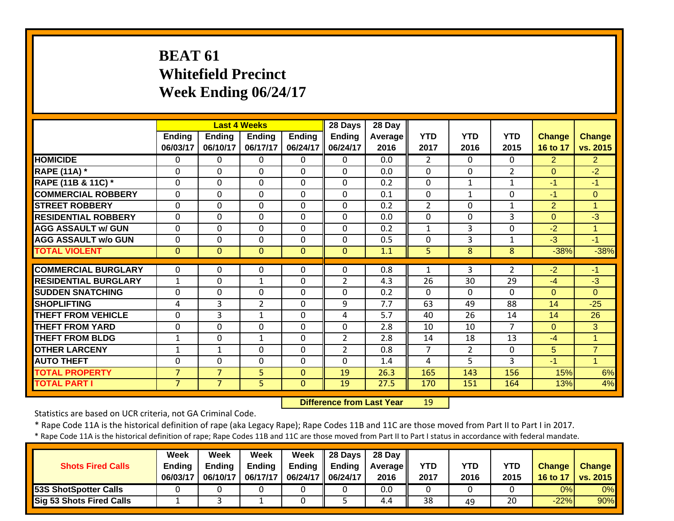# **BEAT 61 Whitefield Precinct Week Ending 06/24/17**

|                             |                           |                           | <b>Last 4 Weeks</b>       |                           | 28 Days            | 28 Day          |                    |                    |                    |                           |                           |
|-----------------------------|---------------------------|---------------------------|---------------------------|---------------------------|--------------------|-----------------|--------------------|--------------------|--------------------|---------------------------|---------------------------|
|                             | <b>Ending</b><br>06/03/17 | <b>Ending</b><br>06/10/17 | <b>Ending</b><br>06/17/17 | <b>Ending</b><br>06/24/17 | Ending<br>06/24/17 | Average<br>2016 | <b>YTD</b><br>2017 | <b>YTD</b><br>2016 | <b>YTD</b><br>2015 | <b>Change</b><br>16 to 17 | <b>Change</b><br>vs. 2015 |
| <b>HOMICIDE</b>             | $\Omega$                  | $\Omega$                  | 0                         | $\Omega$                  | $\Omega$           | 0.0             | $\overline{2}$     | $\Omega$           | 0                  | $\overline{2}$            | $\overline{2}$            |
| <b>RAPE (11A)</b> *         | $\Omega$                  | $\mathbf{0}$              | $\Omega$                  | $\Omega$                  | $\Omega$           | 0.0             | $\mathbf{0}$       | 0                  | $\overline{2}$     | $\Omega$                  | $-2$                      |
| RAPE (11B & 11C) *          | 0                         | $\Omega$                  | 0                         | $\Omega$                  | $\Omega$           | 0.2             | $\mathbf{0}$       | 1                  | 1                  | $-1$                      | $-1$                      |
| <b>COMMERCIAL ROBBERY</b>   | $\Omega$                  | $\Omega$                  | $\Omega$                  | $\Omega$                  | $\Omega$           | 0.1             | $\mathbf{0}$       | 1                  | $\Omega$           | $-1$                      | $\mathbf{0}$              |
| <b>STREET ROBBERY</b>       | $\mathbf 0$               | $\Omega$                  | $\Omega$                  | $\mathbf 0$               | $\Omega$           | 0.2             | $\overline{2}$     | $\Omega$           | $\mathbf{1}$       | $\overline{2}$            | $\mathbf{1}$              |
| <b>RESIDENTIAL ROBBERY</b>  | $\mathbf 0$               | $\Omega$                  | $\Omega$                  | $\mathbf 0$               | $\Omega$           | 0.0             | $\mathbf{0}$       | $\Omega$           | 3                  | $\overline{0}$            | $-3$                      |
| <b>AGG ASSAULT w/ GUN</b>   | $\mathbf 0$               | $\overline{0}$            | $\mathbf 0$               | $\mathbf 0$               | $\mathbf 0$        | 0.2             | $\mathbf{1}$       | 3                  | $\mathbf 0$        | $-2$                      | $\mathbf{1}$              |
| <b>AGG ASSAULT w/o GUN</b>  | $\mathbf 0$               | $\overline{0}$            | $\mathbf 0$               | $\mathbf 0$               | $\mathbf 0$        | 0.5             | $\mathbf{0}$       | 3                  | $\mathbf{1}$       | $-3$                      | $-1$                      |
| <b>TOTAL VIOLENT</b>        | $\mathbf{0}$              | $\mathbf{0}$              | $\overline{0}$            | $\mathbf{0}$              | $\mathbf{0}$       | 1.1             | 5                  | 8                  | 8                  | $-38%$                    | $-38%$                    |
|                             |                           |                           |                           |                           |                    |                 |                    |                    |                    |                           |                           |
| <b>COMMERCIAL BURGLARY</b>  | $\Omega$                  | $\Omega$                  | 0                         | 0                         | 0                  | 0.8             | 1                  | 3                  | $\overline{2}$     | $-2$                      | -1                        |
| <b>RESIDENTIAL BURGLARY</b> | $\mathbf{1}$              | $\Omega$                  | $\mathbf{1}$              | $\mathbf 0$               | $\overline{2}$     | 4.3             | 26                 | 30                 | 29                 | $-4$                      | $-3$                      |
| <b>SUDDEN SNATCHING</b>     | $\Omega$                  | $\Omega$                  | $\Omega$                  | $\Omega$                  | $\Omega$           | 0.2             | $\mathbf{0}$       | 0                  | $\Omega$           | $\Omega$                  | $\Omega$                  |
| <b>SHOPLIFTING</b>          | 4                         | 3                         | $\overline{2}$            | $\mathbf 0$               | 9                  | 7.7             | 63                 | 49                 | 88                 | 14                        | $-25$                     |
| <b>THEFT FROM VEHICLE</b>   | $\mathbf 0$               | 3                         | $\mathbf{1}$              | $\Omega$                  | 4                  | 5.7             | 40                 | 26                 | 14                 | 14                        | 26                        |
| <b>THEFT FROM YARD</b>      | 0                         | $\Omega$                  | 0                         | 0                         | $\Omega$           | 2.8             | 10                 | 10                 | $\overline{7}$     | $\Omega$                  | 3                         |
| <b>THEFT FROM BLDG</b>      | $\mathbf{1}$              | $\Omega$                  | $\mathbf{1}$              | 0                         | $\overline{2}$     | 2.8             | 14                 | 18                 | 13                 | $-4$                      | $\mathbf{1}$              |
| <b>OTHER LARCENY</b>        | 1                         | $\mathbf{1}$              | 0                         | 0                         | $\overline{2}$     | 0.8             | 7                  | $\overline{2}$     | $\Omega$           | 5                         | $\overline{7}$            |
| <b>AUTO THEFT</b>           | 0                         | $\Omega$                  | 0                         | $\Omega$                  | $\Omega$           | 1.4             | 4                  | 5                  | 3                  | $-1$                      | $\overline{1}$            |
| <b>TOTAL PROPERTY</b>       | $\overline{7}$            | $\overline{7}$            | 5                         | $\mathbf{0}$              | 19                 | 26.3            | 165                | 143                | 156                | 15%                       | 6%                        |
| <b>TOTAL PART I</b>         | 7                         | $\overline{7}$            | 5                         | $\mathbf{0}$              | 19                 | 27.5            | 170                | 151                | 164                | 13%                       | 4%                        |

 **Difference from Last Year**r 19

Statistics are based on UCR criteria, not GA Criminal Code.

\* Rape Code 11A is the historical definition of rape (aka Legacy Rape); Rape Codes 11B and 11C are those moved from Part II to Part I in 2017.

| <b>Shots Fired Calls</b> | Week<br><b>Endina</b><br>06/03/17 | Week<br><b>Ending</b><br>06/10/17 | Week<br><b>Ending</b><br>06/17/17 | Week<br>Ending $\parallel$<br>06/24/17   06/24/17 | $\parallel$ 28 Days $\parallel$<br><b>Ending</b> | 28 Day<br><b>Average II</b><br>2016 | <b>YTD</b><br>2017 | YTD<br>2016 | YTD<br>2015 | <b>Change</b><br>16 to 17 | <b>Change</b><br>vs. 2015 |
|--------------------------|-----------------------------------|-----------------------------------|-----------------------------------|---------------------------------------------------|--------------------------------------------------|-------------------------------------|--------------------|-------------|-------------|---------------------------|---------------------------|
| 53S ShotSpotter Calls    |                                   |                                   |                                   |                                                   |                                                  | 0.0                                 |                    |             |             | 0%                        | $0\%$                     |
| Sig 53 Shots Fired Calls |                                   |                                   |                                   |                                                   |                                                  | 4.4                                 | 38                 | 49          | 20          | $-22%$                    | 90%                       |